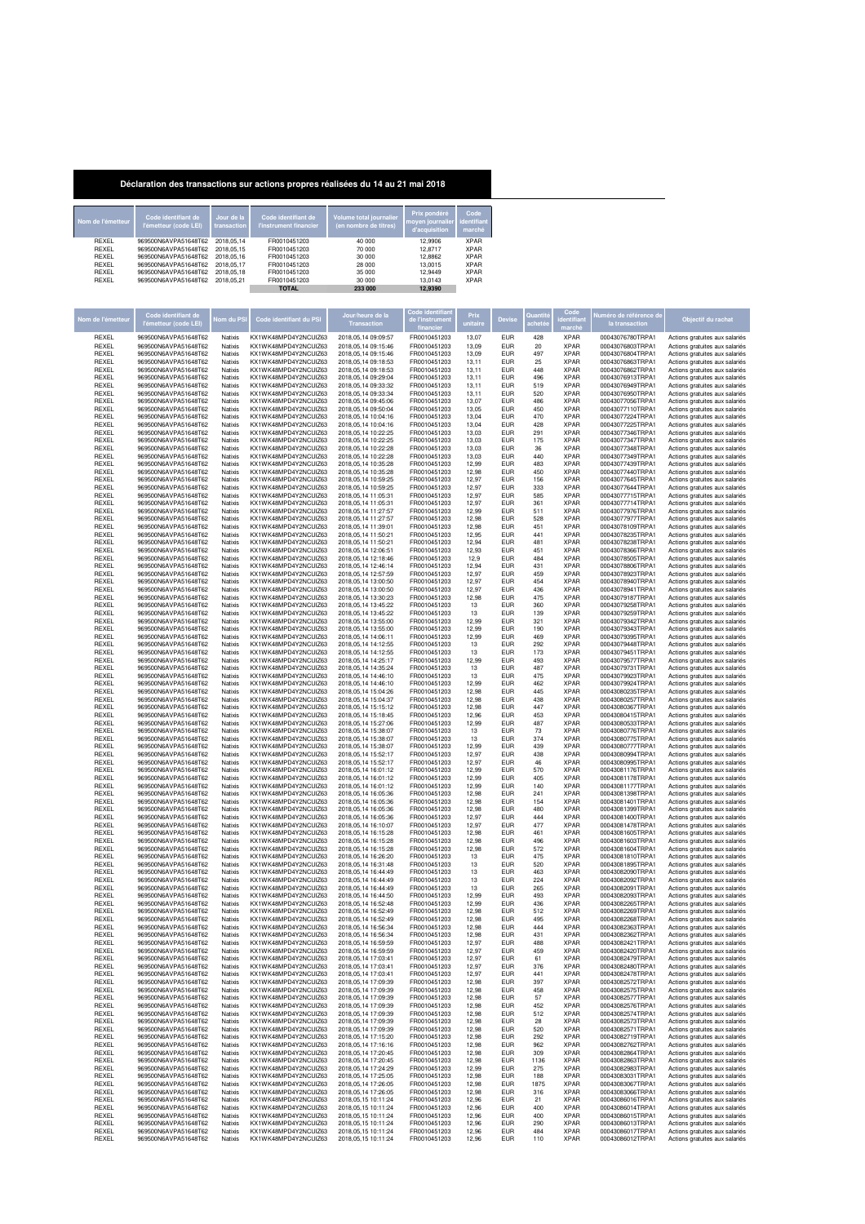## **Déclaration des transactions sur actions propres réalisées du 14 au 21 mai 2018**

| Nom de l'émetteur | Code identifiant de<br>l'émetteur (code LEI) | Jour de la<br>transaction | Code identifiant de<br>l'instrument financier | Volume total journalier<br>(en nombre de titres) | Prix pondéré<br>moyen journalier identifiant<br>d'acquisition | Code<br>marché |
|-------------------|----------------------------------------------|---------------------------|-----------------------------------------------|--------------------------------------------------|---------------------------------------------------------------|----------------|
| REXEL             | 969500N6AVPA51648T62                         | 2018.05.14                | FR0010451203                                  | 40,000                                           | 12,9906                                                       | <b>XPAR</b>    |
| <b>REXEL</b>      | 969500N6AVPA51648T62                         | 2018.05.15                | FR0010451203                                  | 70 000                                           | 12,8717                                                       | <b>XPAR</b>    |
| <b>REXEL</b>      | 969500N6AVPA51648T62                         | 2018.05.16                | FR0010451203                                  | 30,000                                           | 12,8862                                                       | <b>XPAR</b>    |
| <b>REXEL</b>      | 969500N6AVPA51648T62                         | 2018.05.17                | FR0010451203                                  | 28 000                                           | 13,0015                                                       | <b>XPAR</b>    |
| <b>REXEL</b>      | 969500N6AVPA51648T62                         | 2018.05.18                | FR0010451203                                  | 35 000                                           | 12,9449                                                       | <b>XPAR</b>    |
| REXEL             | 969500N6AVPA51648T62                         | 2018.05.21                | FR0010451203                                  | 30 000                                           | 13.0143                                                       | <b>XPAR</b>    |
|                   |                                              |                           | <b>TOTAL</b>                                  | 233 000                                          | 12.9390                                                       |                |

| Nom de l'émetteu | Code identifiant de                          | Vom du PSI         | Code identifiant du PSI                       | our/heure de la                                    |                              | Prix           | <b>Devis</b>             |            | dentifia                   | éro de référence d                   | Objectif du rachat                                               |
|------------------|----------------------------------------------|--------------------|-----------------------------------------------|----------------------------------------------------|------------------------------|----------------|--------------------------|------------|----------------------------|--------------------------------------|------------------------------------------------------------------|
|                  | l'émetteur (code LEI)                        |                    |                                               | <b>Transaction</b>                                 |                              | unitair        |                          |            | march                      | la transaction                       |                                                                  |
| REXEL            | 969500N6AVPA51648T62                         | Natixis            | KX1WK48MPD4Y2NCUIZ63                          | 2018, 05, 14 09: 09:57                             | FR0010451203                 | 13,07          | <b>EUR</b>               | 428        | <b>XPAR</b>                | 00043076780TRPA1                     | Actions gratuites aux salariés                                   |
| REXEL            | 969500N6AVPA51648T62                         | Natixis            | KX1WK48MPD4Y2NCUIZ63                          | 2018.05.14.09:15:46                                | FR0010451203                 | 13,09          | <b>EUR</b>               | 20         | <b>XPAR</b>                | 00043076803TRPA1                     | Actions gratuites aux salariés                                   |
| REXEL            | 969500N6AVPA51648T62                         | Natixis            | KX1WK48MPD4Y2NCUIZ63                          | 2018, 05, 14 09:15:46                              | FR0010451203                 | 13,09          | <b>EUR</b>               | 497        | <b>XPAR</b>                | 00043076804TRPA1                     | Actions gratuites aux salariés                                   |
| REXEL<br>REXEL   | 969500N6AVPA51648T62<br>969500N6AVPA51648T62 | Natixis<br>Natixis | KX1WK48MPD4Y2NCUIZ63<br>KX1WK48MPD4Y2NCUIZ63  | 2018, 05, 14 09: 18:53<br>2018.05.14 09:18:53      | FR0010451203<br>FR0010451203 | 13,11<br>13.11 | <b>EUR</b><br><b>EUR</b> | 25<br>448  | <b>XPAR</b><br><b>XPAR</b> | 00043076863TRPA1<br>00043076862TRPA1 | Actions gratuites aux salariés<br>Actions gratuites aux salariés |
| REXEL            | 969500N6AVPA51648T62                         | Natixis            | KX1WK48MPD4Y2NCUIZ63                          | 2018, 05, 14 09: 29: 04                            | FR0010451203                 | 13,11          | <b>EUR</b>               | 496        | <b>XPAR</b>                | 00043076913TRPA1                     | Actions gratuites aux salariés                                   |
| REXEL            | 969500N6AVPA51648T62                         | Natixis            | KX1WK48MPD4Y2NCLIIZ63                         | 2018.05.14 09:33:32                                | FR0010451203                 | 13,11          | <b>EUR</b>               | 519        | <b>XPAR</b>                | 00043076949TRPA1                     | Actions gratuites aux salariés                                   |
| REXEL            | 969500N6AVPA51648T62                         | Natixis            | KX1WK48MPD4Y2NCUIZ63                          | 2018, 05, 14 09: 33: 34                            | FR0010451203                 | 13,11          | <b>EUR</b>               | 520        | <b>XPAR</b>                | 00043076950TRPA1                     | Actions gratuites aux salariés                                   |
| REXEL<br>REXEL   | 969500N6AVPA51648T62<br>969500N6AVPA51648T62 | Natixis<br>Natixis | KX1WK48MPD4Y2NCUIZ63<br>KX1WK48MPD4Y2NCUIZ63  | 2018, 05, 14 09: 45: 06<br>2018, 05, 14 09:50:04   | FR0010451203<br>FR0010451203 | 13,07<br>13.05 | <b>EUR</b><br><b>EUR</b> | 486<br>450 | <b>XPAR</b><br><b>XPAR</b> | 00043077056TRPA1<br>00043077110TRPA1 | Actions gratuites aux salariés<br>Actions gratuites aux salariés |
| REXEL            | 969500N6AVPA51648T62                         | Natixis            | KX1WK48MPD4Y2NCUIZ63                          | 2018, 05, 14 10: 04: 16                            | FR0010451203                 | 13,04          | <b>EUR</b>               | 470        | <b>XPAR</b>                | 00043077224TRPA1                     | Actions gratuites aux salariés                                   |
| REXEL            | 969500N6AVPA51648T62                         | Natixis            | KX1WK48MPD4Y2NCUIZ63                          | 2018, 05, 14 10: 04: 16                            | FR0010451203                 | 13,04          | <b>EUR</b>               | 428        | <b>XPAR</b>                | 00043077225TRPA1                     | Actions gratuites aux salariés                                   |
| REXEL<br>REXEL   | 969500N6AVPA51648T62<br>969500N6AVPA51648T62 | Natixis<br>Natixis | KX1WK48MPD4Y2NCUIZ63<br>KX1WK48MPD4Y2NCUIZ63  | 2018, 05, 14 10: 22: 25<br>2018, 05, 14 10: 22: 25 | FR0010451203<br>FR0010451203 | 13,03<br>13,03 | <b>EUR</b><br><b>EUR</b> | 291<br>175 | <b>XPAR</b><br><b>XPAR</b> | 00043077346TRPA1<br>00043077347TRPA1 | Actions gratuites aux salariés                                   |
| REXEL            | 969500N6AVPA51648T62                         | Natixis            | KX1WK48MPD4Y2NCUIZ63                          | 2018, 05, 14 10: 22: 28                            | FR0010451203                 | 13.03          | <b>EUR</b>               | 36         | <b>XPAR</b>                | 00043077348TRPA1                     | Actions gratuites aux salariés<br>Actions gratuites aux salariés |
| REXEL            | 969500N6AVPA51648T62                         | Natixis            | KX1WK48MPD4Y2NCUIZ63                          | 2018, 05, 14 10: 22: 28                            | FR0010451203                 | 13,03          | <b>EUR</b>               | 440        | <b>XPAR</b>                | 00043077349TRPA1                     | Actions gratuites aux salariés                                   |
| REXEL            | 969500N6AVPA51648T62                         | Natixis            | KX1WK48MPD4Y2NCUIZ63                          | 2018, 05, 14 10: 35: 28                            | FR0010451203                 | 12,99          | <b>EUR</b>               | 483        | <b>XPAR</b>                | 00043077439TRPA1<br>00043077440TRPA1 | Actions gratuites aux salariés                                   |
| REXEL<br>REXEL   | 969500N6AVPA51648T62<br>969500N6AVPA51648T62 | Natixis<br>Natixis | KX1WK48MPD4Y2NCUIZ63<br>KX1WK48MPD4Y2NCUIZ63  | 2018, 05, 14 10: 35: 28<br>2018, 05, 14 10:59:25   | FR0010451203<br>FR0010451203 | 12,98<br>12,97 | <b>EUR</b><br><b>EUR</b> | 450<br>156 | <b>XPAR</b><br><b>XPAR</b> | 00043077645TRPA1                     | Actions gratuites aux salariés<br>Actions gratuites aux salariés |
| REXEL            | 969500N6AVPA51648T62                         | Natixis            | KX1WK48MPD4Y2NCUIZ63                          | 2018, 05, 14 10:59:25                              | FR0010451203                 | 12.97          | <b>EUR</b>               | 333        | <b>XPAR</b>                | 00043077644TRPA1                     | Actions gratuites aux salariés                                   |
| REXEL            | 969500N6AVPA51648T62                         | Natixis            | KX1WK48MPD4Y2NCLIIZ63                         | 2018.05.14 11:05:31                                | FR0010451203                 | 12,97          | <b>EUR</b>               | 585        | <b>XPAR</b>                | 00043077715TRPA1                     | Actions gratuites aux salariés                                   |
| REXEL<br>REXEL   | 969500N6AVPA51648T62<br>969500N6AVPA51648T62 | Natixis<br>Natixis | KX1WK48MPD4Y2NCUIZ63<br>KX1WK48MPD4Y2NCUIZ63  | 2018, 05, 14 11: 05: 31<br>2018.05.14 11:27:57     | FR0010451203<br>FR0010451203 | 12,97<br>12,99 | <b>EUR</b><br><b>EUR</b> | 361<br>511 | <b>XPAR</b><br><b>XPAR</b> | 00043077714TRPA1<br>00043077976TRPA1 | Actions gratuites aux salariés<br>Actions gratuites aux salariés |
| REXEL            | 969500N6AVPA51648T62                         | Natixis            | KX1WK48MPD4Y2NCUIZ63                          | 2018, 05, 14 11: 27: 57                            | FR0010451203                 | 12,98          | <b>EUR</b>               | 528        | <b>XPAR</b>                | 00043077977TRPA1                     | Actions gratuites aux salariés                                   |
| REXEL            | 969500N6AVPA51648T62                         | Natixis            | KX1WK48MPD4Y2NCUIZ63                          | 2018.05.14 11:39:01                                | FR0010451203                 | 12.98          | <b>EUR</b>               | 451        | <b>XPAR</b>                | 00043078109TRPA1                     | Actions gratuites aux salariés                                   |
| REXEL            | 969500N6AVPA51648T62                         | Natixis            | KX1WK48MPD4Y2NCUIZ63                          | 2018, 05, 14 11:50:21                              | FR0010451203                 | 12.95          | <b>EUR</b>               | 441        | <b>XPAR</b>                | 00043078235TRPA1                     | Actions gratuites aux salariés                                   |
| REXEL<br>REXEL   | 969500N6AVPA51648T62<br>969500N6AVPA51648T62 | Natixis<br>Natixis | KX1WK48MPD4Y2NCUIZ63<br>KX1WK48MPD4Y2NCUIZ63  | 2018, 05, 14 11:50:21<br>2018, 05, 14 12: 06: 51   | FR0010451203<br>FR0010451203 | 12,94<br>12,93 | <b>EUR</b><br><b>EUR</b> | 481<br>451 | <b>XPAR</b><br><b>XPAR</b> | 00043078238TRPA1<br>00043078366TRPA1 | Actions gratuites aux salariés<br>Actions gratuites aux salariés |
| REXEL            | 969500N6AVPA51648T62                         | Natixis            | KX1WK48MPD4Y2NCUIZ63                          | 2018, 05, 14 12: 18: 46                            | FR0010451203                 | 12,9           | <b>EUR</b>               | 484        | <b>XPAR</b>                | 00043078505TRPA1                     | Actions gratuites aux salariés                                   |
| REXEL            | 969500N6AVPA51648T62                         | Natixis            | KX1WK48MPD4Y2NCUIZ63                          | 2018, 05, 14 12: 46: 14                            | FR0010451203                 | 12.94          | <b>EUR</b>               | 431        | <b>XPAR</b>                | 00043078806TRPA1                     | Actions gratuites aux salariés                                   |
| REXEL<br>REXEL   | 969500N6AVPA51648T62<br>969500N6AVPA51648T62 | Natixis<br>Natixis | KX1WK48MPD4Y2NCUIZ63<br>KX1WK48MPD4Y2NCUIZ63  | 2018, 05, 14 12:57:59<br>2018,05,14 13:00:50       | FR0010451203<br>FR0010451203 | 12.97<br>12,97 | <b>EUR</b><br><b>EUR</b> | 459<br>454 | <b>XPAR</b><br><b>XPAR</b> | 00043078923TRPA1<br>00043078940TRPA1 | Actions gratuites aux salariés<br>Actions gratuites aux salariés |
| REXEL            | 969500N6AVPA51648T62                         | Natixis            | KX1WK48MPD4Y2NCUIZ63                          | 2018, 05, 14 13: 00: 50                            | FR0010451203                 | 12.97          | <b>EUR</b>               | 436        | <b>XPAR</b>                | 00043078941TRPA1                     | Actions gratuites aux salariés                                   |
| REXEL            | 969500N6AVPA51648T62                         | Natixis            | KX1WK48MPD4Y2NCUIZ63                          | 2018, 05, 14 13: 30: 23                            | FR0010451203                 | 12,98          | <b>EUR</b>               | 475        | <b>XPAR</b>                | 00043079187TRPA1                     | Actions gratuites aux salariés                                   |
| REXEL            | 969500N6AVPA51648T62<br>969500N6AVPA51648T62 | Natixis            | KX1WK48MPD4Y2NCUIZ63                          | 2018, 05, 14 13: 45: 22                            | FR0010451203                 | 13             | <b>EUR</b>               | 360        | <b>XPAR</b>                | 00043079258TRPA1                     | Actions gratuites aux salariés                                   |
| REXEL<br>REXEL   | 969500N6AVPA51648T62                         | Natixis<br>Natixis | KX1WK48MPD4Y2NCUIZ63<br>KX1WK48MPD4Y2NCUIZ63  | 2018, 05, 14 13: 45: 22<br>2018.05.14 13:55:00     | FR0010451203<br>FR0010451203 | 13<br>12,99    | <b>EUR</b><br><b>EUR</b> | 139<br>321 | <b>XPAR</b><br><b>XPAR</b> | 00043079259TRPA1<br>00043079342TRPA1 | Actions gratuites aux salariés<br>Actions gratuites aux salariés |
| REXEL            | 969500N6AVPA51648T62                         | Natixis            | KX1WK48MPD4Y2NCUIZ63                          | 2018, 05, 14 13:55:00                              | FR0010451203                 | 12.99          | <b>EUR</b>               | 190        | <b>XPAR</b>                | 00043079343TRPA1                     | Actions gratuites aux salariés                                   |
| REXEL            | 969500N6AVPA51648T62                         | Natixis            | KX1WK48MPD4Y2NCUIZ63                          | 2018, 05, 14 14: 06: 11                            | FR0010451203                 | 12,99          | <b>EUR</b>               | 469        | <b>XPAR</b>                | 00043079395TRPA1                     | Actions gratuites aux salariés                                   |
| REXEL<br>REXEL   | 969500N6AVPA51648T62<br>969500N6AVPA51648T62 | Natixis<br>Natixis | KX1WK48MPD4Y2NCUIZ63<br>KX1WK48MPD4Y2NCLIIZ63 | 2018.05.14 14:12:55                                | FR0010451203<br>FR0010451203 | 13<br>13       | <b>EUR</b><br><b>EUR</b> | 292<br>173 | <b>XPAR</b><br><b>XPAR</b> | 00043079448TRPA1<br>00043079451TRPA1 | Actions gratuites aux salariés                                   |
| REXEL            | 969500N6AVPA51648T62                         | Natixis            | KX1WK48MPD4Y2NCUIZ63                          | 2018, 05, 14 14: 12: 55<br>2018.05.14 14:25:17     | FR0010451203                 | 12,99          | <b>EUR</b>               | 493        | <b>XPAR</b>                | 00043079577TRPA1                     | Actions gratuites aux salariés<br>Actions gratuites aux salariés |
| REXEL            | 969500N6AVPA51648T62                         | Natixis            | KX1WK48MPD4Y2NCUIZ63                          | 2018, 05, 14 14: 35: 24                            | FR0010451203                 | 13             | <b>EUR</b>               | 487        | <b>XPAR</b>                | 00043079731TRPA1                     | Actions gratuites aux salariés                                   |
| REXEL            | 969500N6AVPA51648T62                         | Natixis            | KX1WK48MPD4Y2NCUIZ63                          | 2018, 05, 14 14: 46: 10                            | FR0010451203                 | 13             | <b>EUR</b>               | 475        | <b>XPAR</b>                | 00043079923TRPA1                     | Actions gratuites aux salariés                                   |
| REXEL<br>REXEL   | 969500N6AVPA51648T62<br>969500N6AVPA51648T62 | Natixis<br>Natixis | KX1WK48MPD4Y2NCUIZ63<br>KX1WK48MPD4Y2NCUIZ63  | 2018, 05, 14 14: 46: 10<br>2018, 05, 14 15: 04: 26 | FR0010451203<br>FR0010451203 | 12.99<br>12.98 | <b>EUR</b><br><b>EUR</b> | 462<br>445 | <b>XPAR</b><br><b>XPAR</b> | 00043079924TRPA1<br>00043080235TRPA1 | Actions gratuites aux salariés<br>Actions gratuites aux salariés |
| REXEL            | 969500N6AVPA51648T62                         | Natixis            | KX1WK48MPD4Y2NCUIZ63                          | 2018.05.14 15:04:37                                | FR0010451203                 | 12,98          | <b>EUR</b>               | 438        | <b>XPAR</b>                | 00043080257TRPA1                     | Actions gratuites aux salariés                                   |
| REXEL            | 969500N6AVPA51648T62                         | Natixis            | KX1WK48MPD4Y2NCUIZ63                          | 2018, 05, 14 15:15:12                              | FR0010451203                 | 12.98          | <b>EUR</b>               | 447        | <b>XPAR</b>                | 00043080367TRPA1                     | Actions gratuites aux salariés                                   |
| REXEL<br>REXEL   | 969500N6AVPA51648T62<br>969500N6AVPA51648T62 | Natixis<br>Natixis | KX1WK48MPD4Y2NCUIZ63<br>KX1WK48MPD4Y2NCUIZ63  | 2018, 05, 14 15: 18: 45<br>2018, 05, 14 15: 27: 06 | FR0010451203<br>FR0010451203 | 12,96<br>12,99 | <b>EUR</b><br><b>EUR</b> | 453<br>487 | <b>XPAR</b><br><b>XPAR</b> | 00043080415TRPA1<br>00043080533TRPA1 | Actions gratuites aux salariés                                   |
| REXEL            | 969500N6AVPA51648T62                         | Natixis            | KX1WK48MPD4Y2NCUIZ63                          | 2018, 05, 14 15:38:07                              | FR0010451203                 | 13             | <b>EUR</b>               | 73         | <b>XPAR</b>                | 00043080776TRPA1                     | Actions gratuites aux salariés<br>Actions gratuites aux salariés |
| REXEL            | 969500N6AVPA51648T62                         | Natixis            | KX1WK48MPD4Y2NCUIZ63                          | 2018, 05, 14 15:38:07                              | FR0010451203                 | 13             | <b>EUR</b>               | 374        | <b>XPAR</b>                | 00043080775TRPA1                     | Actions gratuites aux salariés                                   |
| REXEL            | 969500N6AVPA51648T62                         | Natixis            | KX1WK48MPD4Y2NCUIZ63                          | 2018, 05, 14 15:38:07                              | FR0010451203                 | 12,99          | <b>EUR</b>               | 439        | <b>XPAR</b>                | 00043080777TRPA1                     | Actions gratuites aux salariés                                   |
| REXEL<br>REXEL   | 969500N6AVPA51648T62<br>969500N6AVPA51648T62 | Natixis<br>Natixis | KX1WK48MPD4Y2NCUIZ63<br>KX1WK48MPD4Y2NCUIZ63  | 2018, 05, 14 15:52:17<br>2018, 05, 14 15:52:17     | FR0010451203<br>FR0010451203 | 12,97<br>12.97 | <b>EUR</b><br><b>EUR</b> | 438<br>46  | <b>XPAR</b><br><b>XPAR</b> | 00043080994TRPA1<br>00043080995TRPA1 | Actions gratuites aux salariés<br>Actions gratuites aux salariés |
| REXEL            | 969500N6AVPA51648T62                         | Natixis            | KX1WK48MPD4Y2NCUIZ63                          | 2018, 05, 14 16: 01: 12                            | FR0010451203                 | 12.99          | <b>EUR</b>               | 570        | <b>XPAR</b>                | 00043081176TRPA1                     | Actions gratuites aux salariés                                   |
| REXEL            | 969500N6AVPA51648T62                         | Natixis            | KX1WK48MPD4Y2NCUIZ63                          | 2018, 05, 14 16: 01: 12                            | FR0010451203                 | 12,99          | <b>EUR</b>               | 405        | <b>XPAR</b>                | 00043081178TRPA1                     | Actions gratuites aux salariés                                   |
| REXEL<br>REXEL   | 969500N6AVPA51648T62<br>969500N6AVPA51648T62 | Natixis<br>Natixis | KX1WK48MPD4Y2NCUIZ63<br>KX1WK48MPD4Y2NCUIZ63  | 2018.05.14 16:01:12<br>2018, 05, 14 16: 05: 36     | FR0010451203<br>FR0010451203 | 12.99<br>12,98 | <b>EUR</b><br><b>EUR</b> | 140<br>241 | <b>XPAR</b><br><b>XPAR</b> | 00043081177TRPA1<br>00043081398TRPA1 | Actions gratuites aux salariés<br>Actions gratuites aux salariés |
| REXEL            | 969500N6AVPA51648T62                         | Natixis            | KX1WK48MPD4Y2NCUIZ63                          | 2018, 05, 14 16: 05: 36                            | FR0010451203                 | 12.98          | <b>EUR</b>               | 154        | <b>XPAR</b>                | 00043081401TRPA1                     | Actions gratuites aux salariés                                   |
| REXEL            | 969500N6AVPA51648T62                         | Natixis            | KX1WK48MPD4Y2NCUIZ63                          | 2018, 05, 14 16: 05: 36                            | FR0010451203                 | 12,98          | <b>EUR</b>               | 480        | <b>XPAR</b>                | 00043081399TRPA1                     | Actions gratuites aux salariés                                   |
| REXEL<br>REXEL   | 969500N6AVPA51648T62<br>969500N6AVPA51648T62 | Natixis<br>Natixis | KX1WK48MPD4Y2NCUIZ63<br>KX1WK48MPD4Y2NCUIZ63  | 2018.05.14 16:05:36<br>2018.05.14 16:10:07         | FR0010451203<br>FR0010451203 | 12,97<br>12.97 | <b>EUR</b><br><b>EUR</b> | 444<br>477 | <b>XPAR</b><br><b>XPAR</b> | 00043081400TRPA1<br>00043081478TRPA1 | Actions gratuites aux salariés                                   |
| REXEL            | 969500N6AVPA51648T62                         | Natixis            | KX1WK48MPD4Y2NCUIZ63                          | 2018, 05, 14 16: 15: 28                            | FR0010451203                 | 12,98          | <b>EUR</b>               | 461        | <b>XPAR</b>                | 00043081605TRPA1                     | Actions gratuites aux salariés<br>Actions gratuites aux salariés |
| REXEL            | 969500N6AVPA51648T62                         | Natixis            | KX1WK48MPD4Y2NCUIZ63                          | 2018, 05, 14 16: 15: 28                            | FR0010451203                 | 12.98          | <b>EUR</b>               | 496        | <b>XPAR</b>                | 00043081603TRPA1                     | Actions gratuites aux salariés                                   |
| REXEL            | 969500N6AVPA51648T62                         | Natixis            | KX1WK48MPD4Y2NCUIZ63                          | 2018, 05, 14 16: 15: 28                            | FR0010451203                 | 12,98          | <b>EUR</b>               | 572        | <b>XPAR</b>                | 00043081604TRPA1                     | Actions gratuites aux salariés                                   |
| REXEL<br>REXEL   | 969500N6AVPA51648T62<br>969500N6AVPA51648T62 | Natixis<br>Natixis | KX1WK48MPD4Y2NCUIZ63<br>KX1WK48MPD4Y2NCUIZ63  | 2018, 05, 14 16: 26: 20<br>2018.05.14 16:31:48     | FR0010451203<br>FR0010451203 | 13<br>13       | <b>EUR</b><br><b>EUR</b> | 475<br>520 | <b>XPAR</b><br><b>XPAR</b> | 00043081810TRPA1<br>00043081895TRPA1 | Actions gratuites aux salariés<br>Actions gratuites aux salariés |
| REXEL            | 969500N6AVPA51648T62                         | Natixis            | KX1WK48MPD4Y2NCUIZ63                          | 2018, 05, 14 16: 44: 49                            | FR0010451203                 | 13             | <b>EUR</b>               | 463        | <b>XPAR</b>                | 00043082090TRPA1                     | Actions gratuites aux salariés                                   |
| REXEL            | 969500N6AVPA51648T62                         | Natixis            | KX1WK48MPD4Y2NCUIZ63                          | 2018, 05, 14 16: 44: 49                            | FR0010451203                 | 13             | <b>EUR</b>               | 224        | <b>XPAR</b>                | 00043082092TRPA1                     | Actions gratuites aux salariés                                   |
| REXEL<br>REXEL   | 969500N6AVPA51648T62<br>969500N6AVPA51648T62 | Natixis<br>Natixis | KX1WK48MPD4Y2NCUIZ63<br>KX1WK48MPD4Y2NCUIZ63  | 2018, 05, 14 16: 44: 49                            | FR0010451203<br>FR0010451203 | 13<br>12,99    | <b>EUR</b><br><b>EUR</b> | 265<br>493 | <b>XPAR</b><br><b>XPAR</b> | 00043082091TRPA1<br>00043082093TRPA1 | Actions gratuites aux salariés                                   |
| REXEL            | 969500N6AVPA51648T62                         | Natixis            | KX1WK48MPD4Y2NCUIZ63                          | 2018, 05, 14 16: 44: 50<br>2018.05.14 16:52:48     | FR0010451203                 | 12.99          | <b>EUR</b>               | 436        | <b>XPAR</b>                | 00043082265TRPA1                     | Actions gratuites aux salariés<br>Actions gratuites aux salariés |
| REXEL            | 969500N6AVPA51648T62                         | Natixis            | KX1WK48MPD4Y2NCUIZ63                          | 2018, 05, 14 16:52:49                              | FR0010451203                 | 12,98          | <b>EUR</b>               | 512        | <b>XPAR</b>                | 00043082269TRPA1                     | Actions gratuites aux salariés                                   |
| REXEL            | 969500N6AVPA51648T62<br>969500N6AVPA51648T62 | Natixis            | KX1WK48MPD4Y2NCUIZ63<br>KX1WK48MPD4Y2NCLIIZ63 | 2018, 05, 14 16:52:49                              | FR0010451203                 | 12.98          | <b>EUR</b>               | 495        | <b>XPAR</b>                | 00043082268TRPA1<br>00043082363TRPA1 | Actions gratuites aux salariés                                   |
| REXEL<br>REXEL   | 969500N6AVPA51648T62                         | Natixis<br>Natixis | KX1WK48MPD4Y2NCUIZ63                          | 2018, 05, 14 16:56:34<br>2018, 05, 14 16:56:34     | FR0010451203<br>FR0010451203 | 12.98<br>12,98 | <b>EUR</b><br><b>EUR</b> | 444<br>431 | <b>XPAR</b><br><b>XPAR</b> | 00043082362TRPA1                     | Actions gratuites aux salariés<br>Actions gratuites aux salariés |
| REXEL            | 969500N6AVPA51648T62                         | Natixis            | KX1WK48MPD4Y2NCUIZ63                          | 2018.05.14 16:59:59                                | FR0010451203                 | 12.97          | <b>EUR</b>               | 488        | <b>XPAR</b>                | 00043082421TRPA1                     | Actions gratuites aux salariés                                   |
| REXEL            | 969500N6AVPA51648T62                         | Natixis            | KX1WK48MPD4Y2NCUIZ63                          | 2018, 05, 14 16:59:59                              | FR0010451203                 | 12,97          | <b>EUR</b>               | 459        | <b>XPAR</b>                | 00043082420TRPA1                     | Actions gratuites aux salariés                                   |
| REXEL<br>REXEL   | 969500N6AVPA51648T62<br>969500N6AVPA51648T62 | Natixis<br>Natixis | KX1WK48MPD4Y2NCUIZ63<br>KX1WK48MPD4Y2NCUIZ63  | 2018, 05, 14 17: 03: 41<br>2018, 05, 14 17: 03: 41 | FR0010451203<br>FR0010451203 | 12.97<br>12,97 | <b>EUR</b><br><b>EUR</b> | 61<br>376  | <b>XPAR</b><br><b>XPAR</b> | 00043082479TRPA1<br>00043082480TRPA1 | Actions gratuites aux salariés<br>Actions gratuites aux salariés |
| REXEL            | 969500N6AVPA51648T62                         | Natixis            | KX1WK48MPD4Y2NCUIZ63                          | 2018.05.14 17:03:41                                | FR0010451203                 | 12,97          | <b>EUR</b>               | 441        | <b>XPAR</b>                | 00043082478TRPA1                     | Actions gratuites aux salariés                                   |
| REXEL            | 969500N6AVPA51648T62                         | Natixis            | KX1WK48MPD4Y2NCUIZ63                          | 2018, 05, 14 17: 09: 39                            | FR0010451203                 | 12,98          | <b>EUR</b>               | 397        | <b>XPAR</b>                | 00043082572TRPA1                     | Actions gratuites aux salariés                                   |
| REXEL            | 969500N6AVPA51648T62                         | Natixis            | KX1WK48MPD4Y2NCUIZ63                          | 2018, 05, 14 17: 09: 39                            | FR0010451203                 | 12,98          | <b>EUR</b>               | 458        | <b>XPAR</b>                | 00043082575TRPA1                     | Actions gratuites aux salariés                                   |
| REXEL<br>REXEL   | 969500N6AVPA51648T62<br>969500N6AVPA51648T62 | Natixis<br>Natixis | KX1WK48MPD4Y2NCUIZ63<br>KX1WK48MPD4Y2NCUIZ63  | 2018, 05, 14 17: 09: 39<br>2018, 05, 14 17: 09: 39 | FR0010451203<br>FR0010451203 | 12,98<br>12,98 | <b>EUR</b><br><b>EUR</b> | 57<br>452  | <b>XPAR</b><br><b>XPAR</b> | 00043082577TRPA1<br>00043082576TRPA1 | Actions gratuites aux salariés<br>Actions gratuites aux salariés |
| REXEL            | 969500N6AVPA51648T62                         | Natixis            | KX1WK48MPD4Y2NCLIIZ63                         | 2018, 05, 14 17: 09: 39                            | FR0010451203                 | 12,98          | <b>EUR</b>               | 512        | <b>XPAR</b>                | 00043082574TRPA1                     | Actions gratuites aux salariés                                   |
| REXEL            | 969500N6AVPA51648T62                         | Natixis            | KX1WK48MPD4Y2NCUIZ63                          | 2018.05.14 17:09:39                                | FR0010451203                 | 12,98          | <b>EUR</b>               | 28         | <b>XPAR</b>                | 00043082573TRPA1                     | Actions gratuites aux salariés                                   |
| REXEL<br>REXEL   | 969500N6AVPA51648T62<br>969500N6AVPA51648T62 | Natixis<br>Natixis | KX1WK48MPD4Y2NCUIZ63<br>KX1WK48MPD4Y2NCUIZ63  | 2018, 05, 14 17: 09: 39<br>2018, 05, 14 17: 15: 20 | FR0010451203<br>FR0010451203 | 12,98<br>12,98 | <b>EUR</b><br><b>EUR</b> | 520<br>292 | <b>XPAR</b><br><b>XPAR</b> | 00043082571TRPA1<br>00043082719TRPA1 | Actions gratuites aux salariés<br>Actions gratuites aux salariés |
| REXEL            | 969500N6AVPA51648T62                         | Natixis            | KX1WK48MPD4Y2NCUIZ63                          | 2018, 05, 14 17: 16: 16                            | FR0010451203                 | 12,98          | <b>EUR</b>               | 962        | <b>XPAR</b>                | 00043082762TRPA1                     | Actions gratuites aux salariés                                   |
| REXEL            | 969500N6AVPA51648T62                         | Natixis            | KX1WK48MPD4Y2NCUIZ63                          | 2018, 05, 14 17: 20: 45                            | FR0010451203                 | 12,98          | <b>EUR</b>               | 309        | XPAR                       | 00043082864TRPA1                     | Actions gratuites aux salariés                                   |
| REXEL            | 969500N6AVPA51648T62                         | Natixis            | KX1WK48MPD4Y2NCUIZ63                          | 2018.05.14 17:20:45                                | FR0010451203                 | 12,98          | <b>EUR</b>               | 1136       | <b>XPAR</b>                | 00043082863TRPA1                     | Actions gratuites aux salariés                                   |
| REXEL<br>REXEL   | 969500N6AVPA51648T62<br>969500N6AVPA51648T62 | Natixis<br>Natixis | KX1WK48MPD4Y2NCUIZ63<br>KX1WK48MPD4Y2NCUIZ63  | 2018, 05, 14 17: 24: 29<br>2018, 05, 14 17: 25: 05 | FR0010451203<br>FR0010451203 | 12,99<br>12,98 | <b>EUR</b><br><b>EUR</b> | 275<br>188 | <b>XPAR</b><br><b>XPAR</b> | 00043082983TRPA1<br>00043083031TRPA1 | Actions gratuites aux salariés<br>Actions gratuites aux salariés |
| REXEL            | 969500N6AVPA51648T62                         | Natixis            | KX1WK48MPD4Y2NCUIZ63                          | 2018, 05, 14 17: 26: 05                            | FR0010451203                 | 12,98          | <b>EUR</b>               | 1875       | <b>XPAR</b>                | 00043083067TRPA1                     | Actions gratuites aux salariés                                   |
| REXEL            | 969500N6AVPA51648T62                         | Natixis            | KX1WK48MPD4Y2NCUIZ63                          | 2018, 05, 14 17: 26: 05                            | FR0010451203                 | 12,98          | <b>EUR</b>               | 316        | <b>XPAR</b>                | 00043083066TRPA1                     | Actions gratuites aux salariés                                   |
| REXEL<br>REXEL   | 969500N6AVPA51648T62<br>969500N6AVPA51648T62 | Natixis<br>Natixis | KX1WK48MPD4Y2NCUIZ63<br>KX1WK48MPD4Y2NCUIZ63  | 2018, 05, 15 10:11:24<br>2018, 05, 15 10:11:24     | FR0010451203<br>FR0010451203 | 12,96<br>12,96 | <b>EUR</b><br><b>EUR</b> | 21<br>400  | <b>XPAR</b><br><b>XPAR</b> | 00043086016TRPA1<br>00043086014TRPA1 | Actions gratuites aux salariés<br>Actions gratuites aux salariés |
| REXEL            | 969500N6AVPA51648T62                         | Natixis            | KX1WK48MPD4Y2NCUIZ63                          | 2018, 05, 15 10:11:24                              | FR0010451203                 | 12,96          | <b>EUR</b>               | 400        | <b>XPAR</b>                | 00043086015TRPA1                     | Actions gratuites aux salariés                                   |
| REXEL            | 969500N6AVPA51648T62                         | Natixis            | KX1WK48MPD4Y2NCUIZ63                          | 2018, 05, 15 10:11:24                              | FR0010451203                 | 12,96          | <b>EUR</b>               | 290        | <b>XPAR</b>                | 00043086013TRPA1                     | Actions gratuites aux salariés                                   |
| REXEL<br>REXEL   | 969500N6AVPA51648T62<br>969500N6AVPA51648T62 | Natixis<br>Natixis | KX1WK48MPD4Y2NCUIZ63<br>KX1WK48MPD4Y2NCUIZ63  | 2018, 05, 15 10:11:24<br>2018, 05, 15 10:11:24     | FR0010451203<br>FR0010451203 | 12,96<br>12,96 | <b>EUR</b><br><b>EUR</b> | 484<br>110 | <b>XPAR</b><br><b>XPAR</b> | 00043086017TRPA1<br>00043086012TRPA1 | Actions gratuites aux salariés<br>Actions gratuites aux salariés |
|                  |                                              |                    |                                               |                                                    |                              |                |                          |            |                            |                                      |                                                                  |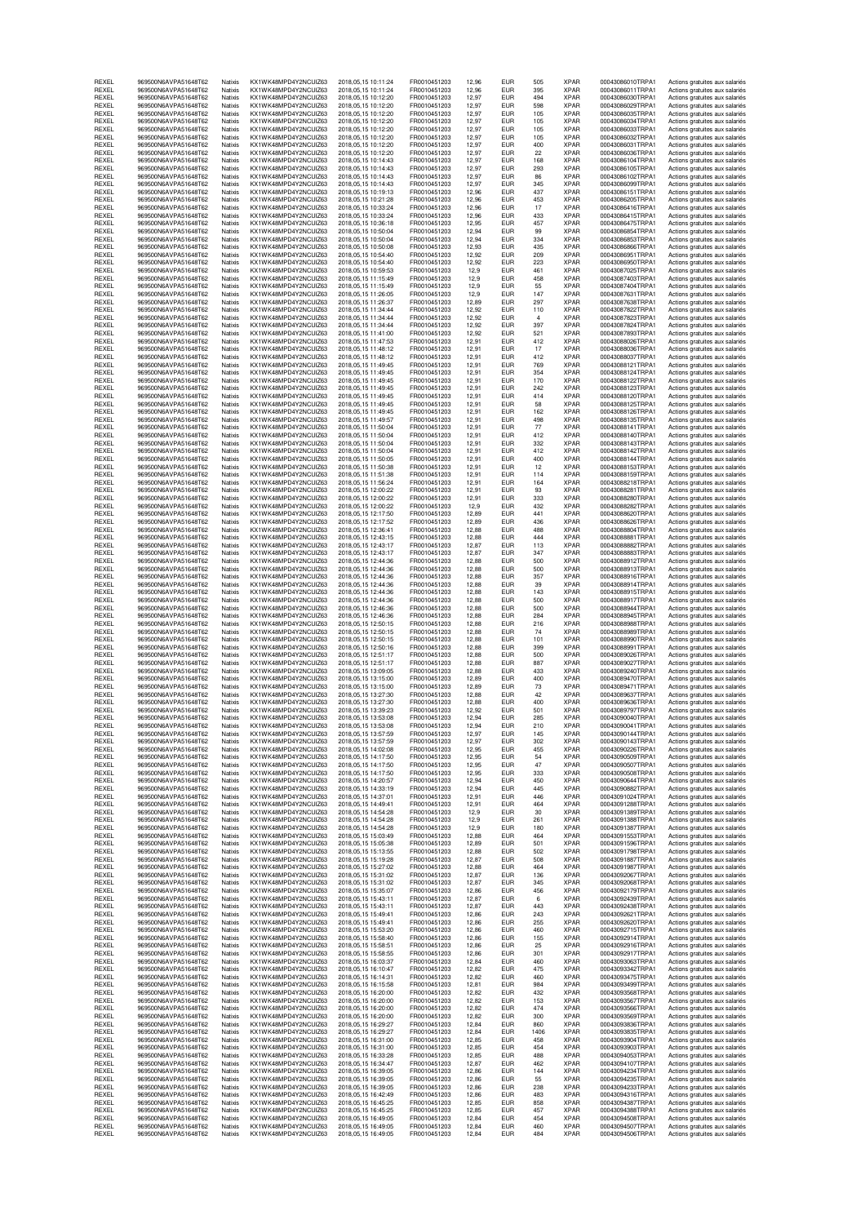| REXEL<br>REXEL | 969500N6AVPA51648T62<br>969500N6AVPA51648T62 | Natixis<br>Natixis | KX1WK48MPD4Y2NCUIZ63<br>KX1WK48MPD4Y2NCUIZ63  | 2018.05.15.10:11:24<br>2018, 05, 15 10:11:24       | FR0010451203<br>FR0010451203 | 12.96<br>12,96 | EUR<br><b>EUR</b>        | 505<br>395     | XPAR<br>XPAR               | 00043086010TRPA1<br>00043086011TRPA1 | Actions gratuites aux salariés<br>Actions gratuites aux salariés |
|----------------|----------------------------------------------|--------------------|-----------------------------------------------|----------------------------------------------------|------------------------------|----------------|--------------------------|----------------|----------------------------|--------------------------------------|------------------------------------------------------------------|
| REXEL          | 969500N6AVPA51648T62                         | Natixis            | KX1WK48MPD4Y2NCUIZ63                          | 2018, 05, 15 10:12: 20                             | FR0010451203                 | 12.97          | <b>EUR</b>               | 494            | <b>XPAR</b>                | 00043086030TRPA1                     | Actions gratuites aux salariés                                   |
| REXEL<br>REXEL | 969500N6AVPA51648T62<br>969500N6AVPA51648T62 | Natixis<br>Natixis | KX1WK48MPD4Y2NCUIZ63<br>KX1WK48MPD4Y2NCUIZ63  | 2018, 05, 15 10:12: 20<br>2018, 05, 15 10:12:20    | FR0010451203<br>FR0010451203 | 12,97<br>12,97 | EUR<br><b>EUR</b>        | 598<br>105     | <b>XPAR</b><br><b>XPAR</b> | 00043086029TRPA1<br>00043086035TRPA1 | Actions gratuites aux salariés<br>Actions gratuites aux salariés |
| REXEL          | 969500N6AVPA51648T62                         | Natixis            | KX1WK48MPD4Y2NCUIZ63                          | 2018,05,15 10:12:20                                | FR0010451203                 | 12,97          | <b>EUR</b>               | 105            | <b>XPAR</b>                | 00043086034TRPA1                     | Actions gratuites aux salariés                                   |
| REXEL<br>REXEL | 969500N6AVPA51648T62<br>969500N6AVPA51648T62 | Natixis<br>Natixis | KX1WK48MPD4Y2NCUIZ63<br>KX1WK48MPD4Y2NCUIZ63  | 2018.05.15 10:12:20<br>2018.05.15 10:12:20         | FR0010451203<br>FR0010451203 | 12,97<br>12.97 | <b>EUR</b><br><b>EUR</b> | 105<br>105     | <b>XPAR</b><br><b>XPAR</b> | 00043086033TRPA1<br>00043086032TRPA1 | Actions gratuites aux salariés<br>Actions gratuites aux salariés |
| REXEL          | 969500N6AVPA51648T62                         | Natixis            | KX1WK48MPD4Y2NCUIZ63                          | 2018, 05, 15 10:12: 20                             | FR0010451203                 | 12,97          | EUR                      | 400            | <b>XPAR</b>                | 00043086031TRPA1                     | Actions gratuites aux salariés                                   |
| REXEL<br>REXEL | 969500N6AVPA51648T62<br>969500N6AVPA51648T62 | Natixis<br>Natixis | KX1WK48MPD4Y2NCUIZ63<br>KX1WK48MPD4Y2NCUIZ63  | 2018, 05, 15 10:12:20<br>2018, 05, 15 10:14:43     | FR0010451203<br>FR0010451203 | 12,97<br>12,97 | <b>EUR</b><br>EUR        | 22<br>168      | <b>XPAR</b><br><b>XPAR</b> | 00043086036TRPA1<br>00043086104TRPA1 | Actions gratuites aux salariés<br>Actions gratuites aux salariés |
| REXEL          | 969500N6AVPA51648T62                         | Natixis            | KX1WK48MPD4Y2NCUIZ63                          | 2018, 05, 15 10:14:43                              | FR0010451203                 | 12,97          | <b>EUR</b>               | 293            | XPAR                       | 00043086105TRPA1                     | Actions gratuites aux salariés                                   |
| REXEL<br>REXEL | 969500N6AVPA51648T62<br>969500N6AVPA51648T62 | Natixis<br>Natixis | KX1WK48MPD4Y2NCUIZ63<br>KX1WK48MPD4Y2NCUIZ63  | 2018, 05, 15 10:14:43<br>2018.05.15 10:14:43       | FR0010451203<br>FR0010451203 | 12.97<br>12,97 | <b>EUR</b><br><b>EUR</b> | 86<br>345      | <b>XPAR</b><br><b>XPAR</b> | 00043086102TRPA1<br>00043086099TRPA1 | Actions gratuites aux salariés<br>Actions gratuites aux salariés |
| REXEL          | 969500N6AVPA51648T62                         | Natixis            | KX1WK48MPD4Y2NCUIZ63                          | 2018, 05, 15 10:19:13                              | FR0010451203                 | 12,96          | <b>EUR</b>               | 437            | <b>XPAR</b>                | 00043086151TRPA1                     | Actions gratuites aux salariés                                   |
| REXEL          | 969500N6AVPA51648T62                         | Natixis            | KX1WK48MPD4Y2NCUIZ63                          | 2018, 05, 15 10: 21: 28                            | FR0010451203                 | 12,96          | <b>EUR</b>               | 453            | <b>XPAR</b>                | 00043086205TRPA1                     | Actions gratuites aux salariés                                   |
| REXEL<br>REXEL | 969500N6AVPA51648T62<br>969500N6AVPA51648T62 | Natixis<br>Natixis | KX1WK48MPD4Y2NCUIZ63<br>KX1WK48MPD4Y2NCUIZ63  | 2018, 05, 15 10: 33: 24<br>2018, 05, 15 10: 33: 24 | FR0010451203<br>FR0010451203 | 12,96<br>12.96 | <b>EUR</b><br><b>EUR</b> | 17<br>433      | <b>XPAR</b><br><b>XPAR</b> | 00043086416TRPA1<br>00043086415TRPA1 | Actions gratuites aux salariés<br>Actions gratuites aux salariés |
| REXEL          | 969500N6AVPA51648T62<br>969500N6AVPA51648T62 | Natixis            | KX1WK48MPD4Y2NCUIZ63<br>KX1WK48MPD4Y2NCLIIZ63 | 2018, 05, 15 10:36:18                              | FR0010451203                 | 12,95          | <b>EUR</b>               | 457            | <b>XPAR</b>                | 00043086475TRPA1                     | Actions gratuites aux salariés                                   |
| REXEL<br>REXEL | 969500N6AVPA51648T62                         | Natixis<br>Natixis | KX1WK48MPD4Y2NCUIZ63                          | 2018, 05, 15 10:50:04<br>2018, 05, 15 10:50:04     | FR0010451203<br>FR0010451203 | 12,94<br>12,94 | <b>EUR</b><br><b>EUR</b> | 99<br>334      | <b>XPAR</b><br><b>XPAR</b> | 00043086854TRPA1<br>00043086853TRPA1 | Actions gratuites aux salariés<br>Actions gratuites aux salariés |
| REXEL<br>REXEL | 969500N6AVPA51648T62<br>969500N6AVPA51648T62 | Natixis<br>Natixis | KX1WK48MPD4Y2NCUIZ63                          | 2018,05,15 10:50:08                                | FR0010451203                 | 12,93<br>12.92 | EUR<br><b>EUR</b>        | 435<br>209     | XPAR<br><b>XPAR</b>        | 00043086866TRPA1<br>00043086951TRPA1 | Actions gratuites aux salariés                                   |
| REXEL          | 969500N6AVPA51648T62                         | Natixis            | KX1WK48MPD4Y2NCUIZ63<br>KX1WK48MPD4Y2NCUIZ63  | 2018, 05, 15 10:54:40<br>2018, 05, 15 10:54:40     | FR0010451203<br>FR0010451203 | 12,92          | <b>EUR</b>               | 223            | <b>XPAR</b>                | 00043086950TRPA1                     | Actions gratuites aux salariés<br>Actions gratuites aux salariés |
| REXEL          | 969500N6AVPA51648T62                         | Natixis            | KX1WK48MPD4Y2NCUIZ63                          | 2018, 05, 15 10:59:53                              | FR0010451203                 | 12,9           | <b>EUR</b>               | 461            | <b>XPAR</b><br><b>XPAR</b> | 00043087025TRPA1<br>00043087403TRPA1 | Actions gratuites aux salariés                                   |
| REXEL<br>REXEL | 969500N6AVPA51648T62<br>969500N6AVPA51648T62 | Natixis<br>Natixis | KX1WK48MPD4Y2NCUIZ63<br>KX1WK48MPD4Y2NCUIZ63  | 2018, 05, 15 11:15:49<br>2018.05.15 11:15:49       | FR0010451203<br>FR0010451203 | 12,9<br>12,9   | <b>EUR</b><br><b>EUR</b> | 458<br>55      | <b>XPAR</b>                | 00043087404TRPA1                     | Actions gratuites aux salariés<br>Actions gratuites aux salariés |
| REXEL          | 969500N6AVPA51648T62                         | Natixis            | KX1WK48MPD4Y2NCUIZ63                          | 2018, 05, 15 11: 26: 05                            | FR0010451203                 | 12.9           | <b>EUR</b>               | 147            | <b>XPAR</b>                | 00043087631TRPA1                     | Actions gratuites aux salariés                                   |
| REXEL<br>REXEL | 969500N6AVPA51648T62<br>969500N6AVPA51648T62 | Natixis<br>Natixis | KX1WK48MPD4Y2NCUIZ63<br>KX1WK48MPD4Y2NCUIZ63  | 2018, 05, 15 11: 26: 37<br>2018, 05, 15 11: 34: 44 | FR0010451203<br>FR0010451203 | 12,89<br>12,92 | EUR<br><b>EUR</b>        | 297<br>110     | <b>XPAR</b><br><b>XPAR</b> | 00043087638TRPA1<br>00043087822TRPA1 | Actions gratuites aux salariés<br>Actions gratuites aux salariés |
| REXEL          | 969500N6AVPA51648T62                         | Natixis            | KX1WK48MPD4Y2NCUIZ63                          | 2018, 05, 15 11: 34: 44                            | FR0010451203                 | 12,92          | EUR                      | $\overline{4}$ | <b>XPAR</b>                | 00043087823TRPA1                     | Actions gratuites aux salariés                                   |
| REXEL<br>REXEL | 969500N6AVPA51648T62<br>969500N6AVPA51648T62 | Natixis<br>Natixis | KX1WK48MPD4Y2NCUIZ63<br>KX1WK48MPD4Y2NCUIZ63  | 2018, 05, 15 11: 34: 44<br>2018, 05, 15 11:41:00   | FR0010451203<br>FR0010451203 | 12,92<br>12.92 | <b>EUR</b><br><b>EUR</b> | 397<br>521     | <b>XPAR</b><br><b>XPAR</b> | 00043087824TRPA1<br>00043087893TRPA1 | Actions gratuites aux salariés<br>Actions gratuites aux salariés |
| REXEL          | 969500N6AVPA51648T62                         | Natixis            | KX1WK48MPD4Y2NCUIZ63                          | 2018.05.15 11:47:53                                | FR0010451203                 | 12,91          | <b>EUR</b>               | 412            | <b>XPAR</b>                | 00043088026TRPA1                     | Actions gratuites aux salariés                                   |
| REXEL<br>REXEL | 969500N6AVPA51648T62<br>969500N6AVPA51648T62 | Natixis<br>Natixis | KX1WK48MPD4Y2NCUIZ63<br>KX1WK48MPD4Y2NCUIZ63  | 2018, 05, 15 11: 48: 12<br>2018, 05, 15 11:48:12   | FR0010451203<br>FR0010451203 | 12,91<br>12,91 | <b>EUR</b><br><b>EUR</b> | 17<br>412      | <b>XPAR</b><br><b>XPAR</b> | 00043088036TRPA1<br>00043088037TRPA1 | Actions gratuites aux salariés<br>Actions gratuites aux salariés |
| REXEL          | 969500N6AVPA51648T62                         | Natixis            | KX1WK48MPD4Y2NCUIZ63                          | 2018, 05, 15 11:49:45                              | FR0010451203                 | 12,91          | <b>EUR</b>               | 769            | <b>XPAR</b>                | 00043088121TRPA1                     | Actions gratuites aux salariés                                   |
| REXEL<br>REXEL | 969500N6AVPA51648T62<br>969500N6AVPA51648T62 | Natixis<br>Natixis | KX1WK48MPD4Y2NCUIZ63<br>KX1WK48MPD4Y2NCUIZ63  | 2018, 05, 15 11:49:45<br>2018, 05, 15 11:49:45     | FR0010451203<br>FR0010451203 | 12,91<br>12,91 | <b>EUR</b><br><b>EUR</b> | 354<br>170     | <b>XPAR</b><br><b>XPAR</b> | 00043088124TRPA1<br>00043088122TRPA1 | Actions gratuites aux salariés<br>Actions gratuites aux salariés |
| REXEL          | 969500N6AVPA51648T62                         | Natixis            | KX1WK48MPD4Y2NCUIZ63                          | 2018, 05, 15 11:49:45                              | FR0010451203                 | 12,91          | <b>EUR</b>               | 242            | <b>XPAR</b>                | 00043088123TRPA1                     | Actions gratuites aux salariés                                   |
| REXEL<br>REXEL | 969500N6AVPA51648T62<br>969500N6AVPA51648T62 | Natixis<br>Natixis | KX1WK48MPD4Y2NCUIZ63<br>KX1WK48MPD4Y2NCUIZ63  | 2018, 05, 15 11:49:45<br>2018, 05, 15 11:49:45     | FR0010451203<br>FR0010451203 | 12,91<br>12,91 | <b>EUR</b><br><b>EUR</b> | 414<br>58      | <b>XPAR</b><br>XPAR        | 00043088120TRPA1<br>00043088125TRPA1 | Actions gratuites aux salariés<br>Actions gratuites aux salariés |
| REXEL          | 969500N6AVPA51648T62                         | Natixis            | KX1WK48MPD4Y2NCLIIZ63                         | 2018, 05, 15 11: 49: 45                            | FR0010451203                 | 12,91          | <b>EUR</b>               | 162            | <b>XPAR</b>                | 00043088126TRPA1                     | Actions gratuites aux salariés                                   |
| REXEL<br>REXEL | 969500N6AVPA51648T62<br>969500N6AVPA51648T62 | Natixis<br>Natixis | KX1WK48MPD4Y2NCUIZ63<br>KX1WK48MPD4Y2NCUIZ63  | 2018.05.15 11:49:57<br>2018.05.15 11:50:04         | FR0010451203<br>FR0010451203 | 12,91<br>12,91 | <b>EUR</b><br><b>EUR</b> | 498<br>77      | <b>XPAR</b><br><b>XPAR</b> | 00043088135TRPA1<br>00043088141TRPA1 | Actions gratuites aux salariés<br>Actions gratuites aux salariés |
| REXEL          | 969500N6AVPA51648T62                         | Natixis            | KX1WK48MPD4Y2NCUIZ63                          | 2018, 05, 15 11:50:04                              | FR0010451203                 | 12,91          | <b>EUR</b>               | 412            | <b>XPAR</b>                | 00043088140TRPA1                     | Actions gratuites aux salariés                                   |
| REXEL<br>REXEL | 969500N6AVPA51648T62<br>969500N6AVPA51648T62 | Natixis<br>Natixis | KX1WK48MPD4Y2NCUIZ63<br>KX1WK48MPD4Y2NCUIZ63  | 2018, 05, 15 11:50:04<br>2018, 05, 15 11:50:04     | FR0010451203<br>FR0010451203 | 12,91<br>12,91 | <b>EUR</b><br><b>EUR</b> | 332<br>412     | <b>XPAR</b><br><b>XPAR</b> | 00043088143TRPA1<br>00043088142TRPA1 | Actions gratuites aux salariés<br>Actions gratuites aux salariés |
| REXEL          | 969500N6AVPA51648T62                         | Natixis            | KX1WK48MPD4Y2NCUIZ63                          | 2018, 05, 15 11:50:05                              | FR0010451203                 | 12,91          | EUR                      | 400            | <b>XPAR</b>                | 00043088144TRPA1                     | Actions gratuites aux salariés                                   |
| REXEL<br>REXEL | 969500N6AVPA51648T62<br>969500N6AVPA51648T62 | Natixis<br>Natixis | KX1WK48MPD4Y2NCLIIZ63<br>KX1WK48MPD4Y2NCUIZ63 | 2018, 05, 15 11:50:38<br>2018, 05, 15 11:51:38     | FR0010451203<br>FR0010451203 | 12,91<br>12,91 | <b>EUR</b><br><b>EUR</b> | 12<br>114      | <b>XPAR</b><br><b>XPAR</b> | 00043088153TRPA1<br>00043088159TRPA1 | Actions gratuites aux salariés<br>Actions gratuites aux salariés |
| REXEL          | 969500N6AVPA51648T62                         | Natixis            | KX1WK48MPD4Y2NCUIZ63                          | 2018, 05, 15 11:56: 24                             | FR0010451203                 | 12,91          | <b>EUR</b>               | 164            | <b>XPAR</b>                | 00043088218TRPA1                     | Actions gratuites aux salariés                                   |
| REXEL          | 969500N6AVPA51648T62<br>969500N6AVPA51648T62 | Natixis            | KX1WK48MPD4Y2NCUIZ63                          | 2018, 05, 15 12: 00: 22                            | FR0010451203<br>FR0010451203 | 12,91          | <b>EUR</b><br>EUR        | 93             | <b>XPAR</b><br><b>XPAR</b> | 00043088281TRPA1<br>00043088280TRPA1 | Actions gratuites aux salariés                                   |
| REXEL<br>REXEL | 969500N6AVPA51648T62                         | Natixis<br>Natixis | KX1WK48MPD4Y2NCUIZ63<br>KX1WK48MPD4Y2NCUIZ63  | 2018, 05, 15 12: 00: 22<br>2018, 05, 15 12: 00: 22 | FR0010451203                 | 12,91<br>12,9  | <b>EUR</b>               | 333<br>432     | <b>XPAR</b>                | 00043088282TRPA1                     | Actions gratuites aux salariés<br>Actions gratuites aux salariés |
| REXEL          | 969500N6AVPA51648T62                         | Natixis            | KX1WK48MPD4Y2NCUIZ63                          | 2018, 05, 15 12:17:50                              | FR0010451203                 | 12,89          | <b>EUR</b>               | 441            | <b>XPAR</b>                | 00043088620TRPA1                     | Actions gratuites aux salariés                                   |
| REXEL<br>REXEL | 969500N6AVPA51648T62<br>969500N6AVPA51648T62 | Natixis<br>Natixis | KX1WK48MPD4Y2NCUIZ63<br>KX1WK48MPD4Y2NCUIZ63  | 2018, 05, 15 12:17:52<br>2018, 05, 15 12: 36: 41   | FR0010451203<br>FR0010451203 | 12,89<br>12,88 | <b>EUR</b><br><b>EUR</b> | 436<br>488     | <b>XPAR</b><br><b>XPAR</b> | 00043088626TRPA1<br>00043088804TRPA1 | Actions gratuites aux salariés<br>Actions gratuites aux salariés |
| REXEL          | 969500N6AVPA51648T62                         | Natixis            | KX1WK48MPD4Y2NCUIZ63                          | 2018, 05, 15 12: 43: 15                            | FR0010451203                 | 12,88          | <b>EUR</b>               | 444            | <b>XPAR</b>                | 00043088881TRPA1                     | Actions gratuites aux salariés                                   |
| REXEL<br>REXEL | 969500N6AVPA51648T62<br>969500N6AVPA51648T62 | Natixis<br>Natixis | KX1WK48MPD4Y2NCUIZ63<br>KX1WK48MPD4Y2NCUIZ63  | 2018, 05, 15 12: 43: 17<br>2018.05.15 12:43:17     | FR0010451203<br>FR0010451203 | 12,87<br>12,87 | <b>EUR</b><br><b>EUR</b> | 113<br>347     | <b>XPAR</b><br><b>XPAR</b> | 00043088882TRPA1<br>00043088883TRPA1 | Actions gratuites aux salariés<br>Actions gratuites aux salariés |
| REXEL<br>REXEL | 969500N6AVPA51648T62                         | Natixis<br>Natixis | KX1WK48MPD4Y2NCUIZ63<br>KX1WK48MPD4Y2NCUIZ63  | 2018, 05, 15 12: 44: 36                            | FR0010451203                 | 12,88          | EUR<br><b>EUR</b>        | 500<br>500     | XPAR<br><b>XPAR</b>        | 00043088912TRPA1<br>00043088913TRPA1 | Actions gratuites aux salariés                                   |
| REXEL          | 969500N6AVPA51648T62<br>969500N6AVPA51648T62 | Natixis            | KX1WK48MPD4Y2NCUIZ63                          | 2018, 05, 15 12: 44: 36<br>2018, 05, 15 12: 44: 36 | FR0010451203<br>FR0010451203 | 12,88<br>12,88 | <b>EUR</b>               | 357            | <b>XPAR</b>                | 00043088916TRPA1                     | Actions gratuites aux salariés<br>Actions gratuites aux salariés |
| REXEL          | 969500N6AVPA51648T62                         | Natixis            | KX1WK48MPD4Y2NCUIZ63                          | 2018, 05, 15 12: 44: 36                            | FR0010451203                 | 12,88          | <b>EUR</b>               | 39             | <b>XPAR</b>                | 00043088914TRPA1                     | Actions gratuites aux salariés                                   |
| REXEL<br>REXEL | 969500N6AVPA51648T62<br>969500N6AVPA51648T62 | Natixis<br>Natixis | KX1WK48MPD4Y2NCUIZ63<br>KX1WK48MPD4Y2NCUIZ63  | 2018.05.15 12:44:36<br>2018, 05, 15 12: 44: 36     | FR0010451203<br>FR0010451203 | 12.88<br>12,88 | <b>EUR</b><br><b>EUR</b> | 143<br>500     | <b>XPAR</b><br><b>XPAR</b> | 00043088915TRPA1<br>00043088917TRPA1 | Actions gratuites aux salariés<br>Actions gratuites aux salariés |
| REXEL          | 969500N6AVPA51648T62                         | Natixis            | KX1WK48MPD4Y2NCUIZ63                          | 2018, 05, 15 12:46:36                              | FR0010451203                 | 12,88          | <b>EUR</b>               | 500            | <b>XPAR</b>                | 00043088944TRPA1                     | Actions gratuites aux salariés                                   |
| REXEL<br>REXEL | 969500N6AVPA51648T62<br>969500N6AVPA51648T62 | Natixis<br>Natixis | KX1WK48MPD4Y2NCUIZ63<br>KX1WK48MPD4Y2NCUIZ63  | 2018,05,15 12:46:36<br>2018,05,15 12:50:15         | FR0010451203<br>FR0010451203 | 12,88<br>12,88 | <b>EUR</b><br><b>EUR</b> | 284<br>216     | <b>XPAR</b><br><b>XPAR</b> | 00043088945TRPA1<br>00043088988TRPA1 | Actions gratuites aux salariés<br>Actions gratuites aux salariés |
| REXEL          | 969500N6AVPA51648T62                         | Natixis            | KX1WK48MPD4Y2NCUIZ63                          | 2018.05.15 12:50:15                                | FR0010451203                 | 12,88          | <b>EUR</b>               | 74             | <b>XPAR</b>                | 00043088989TRPA1                     | Actions gratuites aux salariés                                   |
| REXEL<br>REXEL | 969500N6AVPA51648T62<br>969500N6AVPA51648T62 | Natixis<br>Natixis | KX1WK48MPD4Y2NCUIZ63<br>KX1WK48MPD4Y2NCUIZ63  | 2018, 05, 15 12:50:15<br>2018, 05, 15 12:50:16     | FR0010451203<br>FR0010451203 | 12,88<br>12,88 | <b>EUR</b><br><b>EUR</b> | 101<br>399     | XPAR<br><b>XPAR</b>        | 00043088990TRPA1<br>00043088991TRPA1 | Actions gratuites aux salariés<br>Actions gratuites aux salariés |
| REXEL          | 969500N6AVPA51648T62                         | Natixis            | KX1WK48MPD4Y2NCUIZ63                          | 2018, 05, 15 12:51:17                              | FR0010451203                 | 12,88          | <b>EUR</b>               | 500            | <b>XPAR</b>                | 00043089026TRPA1                     | Actions gratuites aux salariés                                   |
| REXEL<br>REXEL | 969500N6AVPA51648T62<br>969500N6AVPA51648T62 | Natixis<br>Natixis | KX1WK48MPD4Y2NCUIZ63<br>KX1WK48MPD4Y2NCLIIZ63 | 2018.05.15 12:51:17<br>2018.05.15 13:09:05         | FR0010451203<br>FR0010451203 | 12,88<br>12.88 | <b>EUR</b><br><b>EUR</b> | 887<br>433     | <b>XPAR</b><br><b>XPAR</b> | 00043089027TRPA1<br>00043089240TRPA1 | Actions gratuites aux salariés<br>Actions gratuites aux salariés |
| REXEL          | 969500N6AVPA51648T62                         | Natixis            | KX1WK48MPD4Y2NCUIZ63                          | 2018, 05, 15 13:15:00                              | FR0010451203                 | 12,89          | <b>EUR</b>               | 400            | <b>XPAR</b>                | 00043089470TRPA1                     | Actions gratuites aux salariés                                   |
| REXEL<br>REXEL | 969500N6AVPA51648T62<br>969500N6AVPA51648T62 | Natixis<br>Natixis | KX1WK48MPD4Y2NCUIZ63<br>KX1WK48MPD4Y2NCUIZ63  | 2018, 05, 15 13:15:00<br>2018,05,15 13:27:30       | FR0010451203<br>FR0010451203 | 12,89<br>12,88 | <b>EUR</b><br>EUR        | 73<br>42       | <b>XPAR</b><br><b>XPAR</b> | 00043089471TRPA1<br>00043089637TRPA1 | Actions gratuites aux salariés<br>Actions gratuites aux salariés |
| REXEL          | 969500N6AVPA51648T62                         | Natixis            | KX1WK48MPD4Y2NCUIZ63                          | 2018,05,15 13:27:30                                | FR0010451203                 | 12,88          | EUR                      | 400            | <b>XPAR</b>                | 00043089636TRPA1                     | Actions gratuites aux salariés                                   |
| REXEL<br>REXEL | 969500N6AVPA51648T62<br>969500N6AVPA51648T62 | Natixis<br>Natixis | KX1WK48MPD4Y2NCUIZ63<br>KX1WK48MPD4Y2NCUIZ63  | 2018.05.15 13:39:23<br>2018, 05, 15 13:53:08       | FR0010451203<br>FR0010451203 | 12,92<br>12,94 | <b>EUR</b><br><b>EUR</b> | 501<br>285     | <b>XPAR</b><br><b>XPAR</b> | 00043089797TRPA1<br>00043090040TRPA1 | Actions gratuites aux salariés<br>Actions gratuites aux salariés |
| REXEL          | 969500N6AVPA51648T62                         | Natixis            | KX1WK48MPD4Y2NCUIZ63                          | 2018, 05, 15 13:53:08                              | FR0010451203                 | 12,94          | <b>EUR</b>               | 210            | <b>XPAR</b>                | 00043090041TRPA1                     | Actions gratuites aux salariés                                   |
| HEXEL<br>REXEL | 969500N6AVPA51648T62<br>969500N6AVPA51648T62 | Natixis<br>Natixis | KX1WK48MPD4Y2NCUIZ63<br>KX1WK48MPD4Y2NCUIZ63  | 2018.05.15 13:57:59<br>2018, 05, 15 13:57:59       | FR0010451203<br>FR0010451203 | 12,97<br>12,97 | ьик<br><b>EUR</b>        | 145<br>302     | <b>XPAH</b><br><b>XPAR</b> | 00043090144TRPA1<br>00043090143TRPA1 | Actions gratuites aux salaries<br>Actions gratuites aux salariés |
| REXEL          | 969500N6AVPA51648T62                         | Natixis            | KX1WK48MPD4Y2NCUIZ63                          | 2018.05.15 14:02:08                                | FR0010451203                 | 12.95          | <b>EUR</b>               | 455            | <b>XPAR</b>                | 00043090226TRPA1                     | Actions gratuites aux salariés                                   |
| REXEL<br>REXEL | 969500N6AVPA51648T62<br>969500N6AVPA51648T62 | Natixis<br>Natixis | KX1WK48MPD4Y2NCUIZ63<br>KX1WK48MPD4Y2NCUIZ63  | 2018, 05, 15 14: 17:50<br>2018, 05, 15 14: 17: 50  | FR0010451203<br>FR0010451203 | 12,95<br>12.95 | <b>EUR</b><br><b>EUR</b> | 54<br>47       | <b>XPAR</b><br><b>XPAR</b> | 00043090509TRPA1<br>00043090507TRPA1 | Actions gratuites aux salariés<br>Actions gratuites aux salariés |
| REXEL          | 969500N6AVPA51648T62                         | Natixis            | KX1WK48MPD4Y2NCUIZ63                          | 2018, 05, 15 14: 17:50                             | FR0010451203                 | 12,95          | <b>EUR</b>               | 333            | <b>XPAR</b>                | 00043090508TRPA1                     | Actions gratuites aux salariés                                   |
| REXEL<br>REXEL | 969500N6AVPA51648T62<br>969500N6AVPA51648T62 | Natixis<br>Natixis | KX1WK48MPD4Y2NCUIZ63<br>KX1WK48MPD4Y2NCUIZ63  | 2018, 05, 15 14: 20: 57<br>2018.05.15 14:33:19     | FR0010451203<br>FR0010451203 | 12,94<br>12.94 | <b>EUR</b><br><b>EUR</b> | 450<br>445     | <b>XPAR</b><br><b>XPAR</b> | 00043090644TRPA1<br>00043090882TRPA1 | Actions gratuites aux salariés<br>Actions gratuites aux salariés |
| REXEL          | 969500N6AVPA51648T62                         | Natixis            | KX1WK48MPD4Y2NCUIZ63                          | 2018, 05, 15 14: 37: 01                            | FR0010451203                 | 12,91          | <b>EUR</b>               | 446            | <b>XPAR</b>                | 00043091024TRPA1                     | Actions gratuites aux salariés                                   |
| REXEL<br>REXEL | 969500N6AVPA51648T62<br>969500N6AVPA51648T62 | Natixis<br>Natixis | KX1WK48MPD4Y2NCUIZ63<br>KX1WK48MPD4Y2NCUIZ63  | 2018, 05, 15 14: 49: 41<br>2018, 05, 15 14: 54: 28 | FR0010451203<br>FR0010451203 | 12,91<br>12,9  | <b>EUR</b><br><b>EUR</b> | 464<br>30      | <b>XPAR</b><br><b>XPAR</b> | 00043091288TRPA1<br>00043091389TRPA1 | Actions gratuites aux salariés<br>Actions gratuites aux salariés |
| REXEL          | 969500N6AVPA51648T62                         | Natixis            | KX1WK48MPD4Y2NCUIZ63                          | 2018, 05, 15 14: 54: 28                            | FR0010451203                 | 12,9           | <b>EUR</b>               | 261            | <b>XPAR</b>                | 00043091388TRPA1                     | Actions gratuites aux salariés                                   |
| REXEL<br>REXEL | 969500N6AVPA51648T62<br>969500N6AVPA51648T62 | Natixis<br>Natixis | KX1WK48MPD4Y2NCUIZ63<br>KX1WK48MPD4Y2NCUIZ63  | 2018.05.15 14:54:28<br>2018, 05, 15 15: 03: 49     | FR0010451203<br>FR0010451203 | 12.9<br>12,88  | <b>EUR</b><br><b>EUR</b> | 180<br>464     | <b>XPAR</b><br><b>XPAR</b> | 00043091387TRPA1<br>00043091553TRPA1 | Actions gratuites aux salariés<br>Actions gratuites aux salariés |
| REXEL          | 969500N6AVPA51648T62                         | Natixis            | KX1WK48MPD4Y2NCUIZ63                          | 2018.05.15 15:05:38                                | FR0010451203                 | 12.89          | <b>EUR</b>               | 501            | <b>XPAR</b>                | 00043091596TRPA1                     | Actions gratuites aux salariés                                   |
| REXEL<br>REXEL | 969500N6AVPA51648T62<br>969500N6AVPA51648T62 | Natixis<br>Natixis | KX1WK48MPD4Y2NCUIZ63<br>KX1WK48MPD4Y2NCUIZ63  | 2018, 05, 15 15:13:55<br>2018, 05, 15 15:19:28     | FR0010451203<br>FR0010451203 | 12,88<br>12,87 | <b>EUR</b><br><b>EUR</b> | 502<br>508     | <b>XPAR</b><br><b>XPAR</b> | 00043091798TRPA1<br>00043091887TRPA1 | Actions gratuites aux salariés<br>Actions gratuites aux salariés |
| REXEL          | 969500N6AVPA51648T62                         | Natixis            | KX1WK48MPD4Y2NCUIZ63                          | 2018.05.15 15:27:02                                | FR0010451203                 | 12,88          | <b>EUR</b>               | 464            | <b>XPAR</b>                | 00043091987TRPA1                     | Actions gratuites aux salariés                                   |
| REXEL<br>REXEL | 969500N6AVPA51648T62<br>969500N6AVPA51648T62 | Natixis<br>Natixis | KX1WK48MPD4Y2NCUIZ63<br>KX1WK48MPD4Y2NCUIZ63  | 2018.05.15 15:31:02<br>2018.05.15 15:31:02         | FR0010451203<br>FR0010451203 | 12,87<br>12.87 | <b>EUR</b><br><b>EUR</b> | 136<br>345     | <b>XPAR</b><br><b>XPAR</b> | 00043092067TRPA1<br>00043092068TRPA1 | Actions gratuites aux salariés<br>Actions gratuites aux salariés |
| REXEL          | 969500N6AVPA51648T62                         | Natixis            | KX1WK48MPD4Y2NCUIZ63                          | 2018, 05, 15 15: 35: 07                            | FR0010451203                 | 12,86          | <b>EUR</b>               | 456            | <b>XPAR</b>                | 00043092179TRPA1                     | Actions gratuites aux salariés                                   |
| REXEL<br>REXEL | 969500N6AVPA51648T62<br>969500N6AVPA51648T62 | Natixis<br>Natixis | KX1WK48MPD4Y2NCUIZ63<br>KX1WK48MPD4Y2NCUIZ63  | 2018, 05, 15 15: 43: 11<br>2018.05.15 15:43:11     | FR0010451203<br>FR0010451203 | 12,87<br>12.87 | <b>EUR</b><br><b>EUR</b> | 6<br>443       | <b>XPAR</b><br><b>XPAR</b> | 00043092439TRPA1<br>00043092438TRPA1 | Actions gratuites aux salariés<br>Actions gratuites aux salariés |
| REXEL          | 969500N6AVPA51648T62                         | Natixis            | KX1WK48MPD4Y2NCUIZ63                          | 2018, 05, 15 15: 49: 41                            | FR0010451203                 | 12,86          | <b>EUR</b>               | 243            | <b>XPAR</b>                | 00043092621TRPA1                     | Actions gratuites aux salariés                                   |
| REXEL<br>REXEL | 969500N6AVPA51648T62<br>969500N6AVPA51648T62 | Natixis<br>Natixis | KX1WK48MPD4Y2NCUIZ63<br>KX1WK48MPD4Y2NCUIZ63  | 2018, 05, 15 15: 49: 41<br>2018, 05, 15 15:53: 20  | FR0010451203<br>FR0010451203 | 12,86<br>12,86 | <b>EUR</b><br><b>EUR</b> | 255<br>460     | <b>XPAR</b><br><b>XPAR</b> | 00043092620TRPA1<br>00043092715TRPA1 | Actions gratuites aux salariés<br>Actions gratuites aux salariés |
| REXEL          | 969500N6AVPA51648T62                         | Natixis            | KX1WK48MPD4Y2NCUIZ63                          | 2018, 05, 15 15: 58: 40                            | FR0010451203                 | 12,86          | <b>EUR</b>               | 155            | <b>XPAR</b>                | 00043092914TRPA1                     | Actions gratuites aux salariés                                   |
| REXEL<br>REXEL | 969500N6AVPA51648T62<br>969500N6AVPA51648T62 | Natixis<br>Natixis | KX1WK48MPD4Y2NCUIZ63<br>KX1WK48MPD4Y2NCUIZ63  | 2018.05.15 15:58:51<br>2018, 05, 15 15:58:55       | FR0010451203<br>FR0010451203 | 12.86<br>12,86 | <b>EUR</b><br><b>EUR</b> | 25<br>301      | <b>XPAR</b><br><b>XPAR</b> | 00043092916TRPA1<br>00043092917TRPA1 | Actions gratuites aux salariés<br>Actions gratuites aux salariés |
| REXEL          | 969500N6AVPA51648T62                         | Natixis            | KX1WK48MPD4Y2NCUIZ63                          | 2018, 05, 15 16: 03: 37                            | FR0010451203                 | 12,84          | <b>EUR</b>               | 460            | <b>XPAR</b>                | 00043093063TRPA1                     | Actions gratuites aux salariés                                   |
| REXEL<br>REXEL | 969500N6AVPA51648T62<br>969500N6AVPA51648T62 | Natixis<br>Natixis | KX1WK48MPD4Y2NCUIZ63<br>KX1WK48MPD4Y2NCUIZ63  | 2018, 05, 15 16:10:47<br>2018, 05, 15 16: 14: 31   | FR0010451203<br>FR0010451203 | 12,82<br>12,82 | <b>EUR</b><br><b>EUR</b> | 475<br>460     | <b>XPAR</b><br><b>XPAR</b> | 00043093342TRPA1<br>00043093475TRPA1 | Actions gratuites aux salariés<br>Actions gratuites aux salariés |
| REXEL          | 969500N6AVPA51648T62                         | Natixis            | KX1WK48MPD4Y2NCUIZ63                          | 2018.05.15 16:15:58                                | FR0010451203                 | 12.81          | <b>EUR</b>               | 984            | <b>XPAR</b>                | 00043093499TRPA1                     | Actions gratuites aux salariés                                   |
| REXEL<br>REXEL | 969500N6AVPA51648T62<br>969500N6AVPA51648T62 | Natixis<br>Natixis | KX1WK48MPD4Y2NCUIZ63<br>KX1WK48MPD4Y2NCUIZ63  | 2018, 05, 15 16: 20: 00<br>2018, 05, 15 16: 20: 00 | FR0010451203<br>FR0010451203 | 12,82<br>12,82 | <b>EUR</b><br><b>EUR</b> | 432<br>153     | <b>XPAR</b><br><b>XPAR</b> | 00043093568TRPA1<br>00043093567TRPA1 | Actions gratuites aux salariés<br>Actions gratuites aux salariés |
| REXEL          | 969500N6AVPA51648T62                         | Natixis            | KX1WK48MPD4Y2NCUIZ63                          | 2018,05,15 16:20:00                                | FR0010451203                 | 12,82          | <b>EUR</b>               | 474            | <b>XPAR</b>                | 00043093566TRPA1                     | Actions gratuites aux salariés                                   |
| REXEL<br>REXEL | 969500N6AVPA51648T62<br>969500N6AVPA51648T62 | Natixis<br>Natixis | KX1WK48MPD4Y2NCUIZ63<br>KX1WK48MPD4Y2NCUIZ63  | 2018,05,15 16:20:00<br>2018.05.15 16:29:27         | FR0010451203<br>FR0010451203 | 12,82<br>12.84 | <b>EUR</b><br><b>EUR</b> | 300<br>860     | <b>XPAR</b><br><b>XPAR</b> | 00043093569TRPA1<br>00043093836TRPA1 | Actions gratuites aux salariés<br>Actions gratuites aux salariés |
| REXEL          | 969500N6AVPA51648T62                         | Natixis            | KX1WK48MPD4Y2NCUIZ63                          | 2018, 05, 15 16: 29: 27                            | FR0010451203                 | 12,84          | <b>EUR</b>               | 1406           | <b>XPAR</b>                | 00043093835TRPA1                     | Actions gratuites aux salariés                                   |
| REXEL<br>REXEL | 969500N6AVPA51648T62<br>969500N6AVPA51648T62 | Natixis<br>Natixis | KX1WK48MPD4Y2NCUIZ63<br>KX1WK48MPD4Y2NCUIZ63  | 2018, 05, 15 16: 31: 00<br>2018, 05, 15 16: 31: 00 | FR0010451203<br>FR0010451203 | 12,85<br>12,85 | <b>EUR</b><br><b>EUR</b> | 458<br>454     | <b>XPAR</b><br><b>XPAR</b> | 00043093904TRPA1<br>00043093903TRPA1 | Actions gratuites aux salariés<br>Actions gratuites aux salariés |
| REXEL          | 969500N6AVPA51648T62                         | Natixis            | KX1WK48MPD4Y2NCUIZ63                          | 2018, 05, 15 16: 33: 28                            | FR0010451203                 | 12,85          | <b>EUR</b>               | 488            | <b>XPAR</b>                | 00043094053TRPA1                     | Actions gratuites aux salariés                                   |
| REXEL<br>REXEL | 969500N6AVPA51648T62<br>969500N6AVPA51648T62 | Natixis<br>Natixis | KX1WK48MPD4Y2NCUIZ63<br>KX1WK48MPD4Y2NCUIZ63  | 2018.05.15 16:34:47<br>2018, 05, 15 16:39:05       | FR0010451203<br>FR0010451203 | 12.87<br>12,86 | <b>EUR</b><br><b>EUR</b> | 462<br>144     | <b>XPAR</b><br><b>XPAR</b> | 00043094107TRPA1<br>00043094234TRPA1 | Actions gratuites aux salariés<br>Actions gratuites aux salariés |
| REXEL          | 969500N6AVPA51648T62                         | Natixis            | KX1WK48MPD4Y2NCUIZ63                          | 2018, 05, 15 16: 39: 05                            | FR0010451203                 | 12,86          | <b>EUR</b>               | 55             | <b>XPAR</b>                | 00043094235TRPA1                     | Actions gratuites aux salariés                                   |
| REXEL<br>REXEL | 969500N6AVPA51648T62<br>969500N6AVPA51648T62 | Natixis<br>Natixis | KX1WK48MPD4Y2NCUIZ63<br>KX1WK48MPD4Y2NCUIZ63  | 2018, 05, 15 16:39:05<br>2018, 05, 15 16: 42: 49   | FR0010451203<br>FR0010451203 | 12,86<br>12,86 | <b>EUR</b><br><b>EUR</b> | 238<br>483     | <b>XPAR</b><br><b>XPAR</b> | 00043094233TRPA1<br>00043094316TRPA1 | Actions gratuites aux salariés<br>Actions gratuites aux salariés |
| REXEL          | 969500N6AVPA51648T62                         | Natixis            | KX1WK48MPD4Y2NCUIZ63                          | 2018.05.15 16:45:25                                | FR0010451203                 | 12.85          | <b>EUR</b>               | 858            | <b>XPAR</b>                | 00043094387TRPA1                     | Actions gratuites aux salariés                                   |
| REXEL<br>REXEL | 969500N6AVPA51648T62<br>969500N6AVPA51648T62 | Natixis<br>Natixis | KX1WK48MPD4Y2NCUIZ63<br>KX1WK48MPD4Y2NCUIZ63  | 2018, 05, 15 16: 45: 25<br>2018, 05, 15 16: 49: 05 | FR0010451203<br>FR0010451203 | 12,85<br>12,84 | <b>EUR</b><br><b>EUR</b> | 457<br>454     | <b>XPAR</b><br><b>XPAR</b> | 00043094388TRPA1<br>00043094508TRPA1 | Actions gratuites aux salariés<br>Actions gratuites aux salariés |
| REXEL          | 969500N6AVPA51648T62<br>969500N6AVPA51648T62 | Natixis<br>Natixis | KX1WK48MPD4Y2NCUIZ63<br>KX1WK48MPD4Y2NCUIZ63  | 2018, 05, 15 16: 49: 05<br>2018, 05, 15 16: 49: 05 | FR0010451203<br>FR0010451203 | 12,84<br>12,84 | <b>EUR</b><br><b>EUR</b> | 460<br>484     | <b>XPAR</b><br><b>XPAR</b> | 00043094507TRPA1<br>00043094506TRPA1 | Actions gratuites aux salariés<br>Actions gratuites aux salariés |
| REXEL          |                                              |                    |                                               |                                                    |                              |                |                          |                |                            |                                      |                                                                  |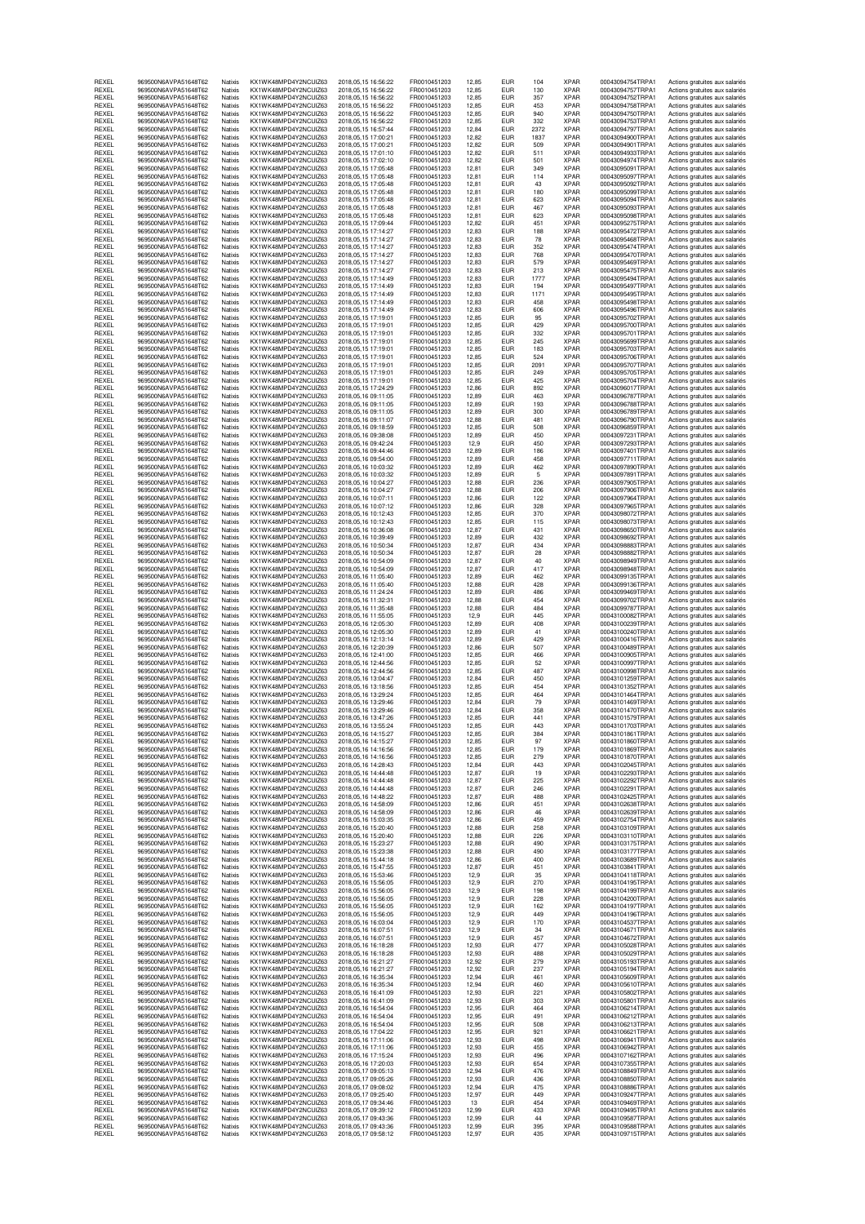| REXEL          | 969500N6AVPA51648T62                         | Natixis            | KX1WK48MPD4Y2NCUIZ63                          | 2018, 05, 15 16:56:22                      | FR0010451203                 | 12,85          | EUR                      | 104         | <b>XPAR</b>                | 00043094754TRPA1                     | Actions gratuites aux salariés                                   |
|----------------|----------------------------------------------|--------------------|-----------------------------------------------|--------------------------------------------|------------------------------|----------------|--------------------------|-------------|----------------------------|--------------------------------------|------------------------------------------------------------------|
| REXEL          | 969500N6AVPA51648T62                         | Natixis            | KX1WK48MPD4Y2NCUIZ63                          | 2018.05.15 16:56:22                        | FR0010451203                 | 12,85          | <b>EUR</b>               | 130         | <b>XPAR</b>                | 00043094757TRPA1                     | Actions gratuites aux salariés                                   |
| REXEL          | 969500N6AVPA51648T62                         | Natixis            | KX1WK48MPD4Y2NCUIZ63                          | 2018, 05, 15 16:56:22                      | FR0010451203                 | 12,85          | EUR                      | 357         | <b>XPAR</b>                | 00043094752TRPA1                     | Actions gratuites aux salariés                                   |
| REXEL          | 969500N6AVPA51648T62                         | Natixis            | KX1WK48MPD4Y2NCUIZ63                          | 2018,05,15 16:56:22                        | FR0010451203                 | 12,85          | EUR                      | 453         | <b>XPAR</b>                | 00043094758TRPA1                     | Actions gratuites aux salariés                                   |
| REXEL          | 969500N6AVPA51648T62                         | Natixis            | KX1WK48MPD4Y2NCUIZ63                          | 2018.05.15 16:56:22                        | FR0010451203                 | 12.85          | <b>EUR</b>               | 940         | <b>XPAR</b>                | 00043094750TRPA1                     | Actions gratuites aux salariés                                   |
| REXEL          | 969500N6AVPA51648T62                         | Natixis            | KX1WK48MPD4Y2NCUIZ63                          | 2018, 05, 15 16: 56: 22                    | FR0010451203                 | 12,85          | <b>EUR</b>               | 332         | <b>XPAR</b>                | 00043094753TRPA1                     | Actions gratuites aux salariés                                   |
| REXEL          | 969500N6AVPA51648T62                         | Natixis            | KX1WK48MPD4Y2NCUIZ63                          | 2018, 05, 15 16: 57: 44                    | FR0010451203                 | 12,84          | <b>EUR</b>               | 2372        | <b>XPAR</b>                | 00043094797TRPA1                     | Actions gratuites aux salariés                                   |
| REXEL<br>REXEL | 969500N6AVPA51648T62<br>969500N6AVPA51648T62 | Natixis<br>Natixis | KX1WK48MPD4Y2NCUIZ63<br>KX1WK48MPD4Y2NCUIZ63  | 2018, 05, 15 17: 00: 21                    | FR0010451203                 | 12,82          | EUR<br><b>EUR</b>        | 1837<br>509 | <b>XPAR</b><br><b>XPAR</b> | 00043094900TRPA1<br>00043094901TRPA1 | Actions gratuites aux salariés                                   |
| REXEL          | 969500N6AVPA51648T62                         | Natixis            | KX1WK48MPD4Y2NCLIIZ63                         | 2018,05,15 17:00:21<br>2018.05.15 17:01:10 | FR0010451203<br>FR0010451203 | 12,82<br>12.82 | <b>EUR</b>               | 511         | <b>XPAR</b>                | 00043094933TRPA1                     | Actions gratuites aux salariés<br>Actions gratuites aux salariés |
| REXEL          | 969500N6AVPA51648T62                         | Natixis            | KX1WK48MPD4Y2NCUIZ63                          | 2018, 05, 15 17: 02: 10                    | FR0010451203                 | 12,82          | <b>EUR</b>               | 501         | <b>XPAR</b>                | 00043094974TRPA1                     | Actions gratuites aux salariés                                   |
| REXEL          | 969500N6AVPA51648T62                         | Natixis            | KX1WK48MPD4Y2NCUIZ63                          | 2018, 05, 15 17: 05: 48                    | FR0010451203                 | 12,81          | <b>EUR</b>               | 349         | <b>XPAR</b>                | 00043095091TRPA1                     | Actions gratuites aux salariés                                   |
| REXEL          | 969500N6AVPA51648T62                         | Natixis            | KX1WK48MPD4Y2NCUIZ63                          | 2018, 05, 15 17: 05: 48                    | FR0010451203                 | 12,81          | <b>EUR</b>               | 114         | <b>XPAR</b>                | 00043095097TRPA1                     | Actions gratuites aux salariés                                   |
| REXEL          | 969500N6AVPA51648T62                         | Natixis            | KX1WK48MPD4Y2NCUIZ63                          | 2018, 05, 15 17: 05: 48                    | FR0010451203                 | 12,81          | <b>EUR</b>               | 43          | <b>XPAR</b>                | 00043095092TRPA1                     | Actions gratuites aux salariés                                   |
| REXEL          | 969500N6AVPA51648T62                         | Natixis            | KX1WK48MPD4Y2NCUIZ63                          | 2018, 05, 15 17: 05: 48                    | FR0010451203                 | 12,81          | <b>EUR</b>               | 180         | <b>XPAR</b>                | 00043095099TRPA1                     | Actions gratuites aux salariés                                   |
| REXEL          | 969500N6AVPA51648T62                         | Natixis            | KX1WK48MPD4Y2NCUIZ63                          | 2018, 05, 15 17: 05: 48                    | FR0010451203                 | 12,81          | EUR                      | 623         | <b>XPAR</b>                | 00043095094TRPA1                     | Actions gratuites aux salariés                                   |
| REXEL          | 969500N6AVPA51648T62                         | Natixis            | KX1WK48MPD4Y2NCUIZ63                          | 2018, 05, 15 17: 05: 48                    | FR0010451203                 | 12,81          | <b>EUR</b>               | 467         | <b>XPAR</b>                | 00043095093TRPA1                     | Actions gratuites aux salariés                                   |
| REXEL          | 969500N6AVPA51648T62                         | Natixis            | KX1WK48MPD4Y2NCUIZ63                          | 2018, 05, 15 17: 05: 48                    | FR0010451203                 | 12,81          | <b>EUR</b>               | 623         | <b>XPAR</b>                | 00043095098TRPA1                     | Actions gratuites aux salariés                                   |
| REXEL          | 969500N6AVPA51648T62                         | Natixis            | KX1WK48MPD4Y2NCUIZ63                          | 2018, 05, 15 17: 09: 44                    | FR0010451203                 | 12,82          | <b>EUR</b>               | 451         | <b>XPAR</b>                | 00043095275TRPA1                     | Actions gratuites aux salariés                                   |
| REXEL          | 969500N6AVPA51648T62                         | Natixis            | KX1WK48MPD4Y2NCLIIZ63                         | 2018.05.15 17:14:27                        | FR0010451203                 | 12.83          | <b>EUR</b>               | 188         | <b>XPAR</b>                | 00043095472TRPA1                     | Actions gratuites aux salariés                                   |
| REXEL          | 969500N6AVPA51648T62                         | Natixis            | KX1WK48MPD4Y2NCUIZ63                          | 2018, 05, 15 17: 14: 27                    | FR0010451203                 | 12,83          | <b>EUR</b>               | 78          | <b>XPAR</b>                | 00043095468TRPA1                     | Actions gratuites aux salariés                                   |
| REXEL          | 969500N6AVPA51648T62                         | Natixis            | KX1WK48MPD4Y2NCUIZ63                          | 2018.05.15 17:14:27                        | FR0010451203                 | 12,83          | <b>EUR</b>               | 352         | <b>XPAR</b>                | 00043095474TRPA1                     | Actions gratuites aux salariés                                   |
| REXEL          | 969500N6AVPA51648T62                         | Natixis            | KX1WK48MPD4Y2NCUIZ63                          | 2018, 05, 15 17:14: 27                     | FR0010451203                 | 12,83          | <b>EUR</b>               | 768         | <b>XPAR</b>                | 00043095470TRPA1                     | Actions gratuites aux salariés                                   |
| REXEL          | 969500N6AVPA51648T62                         | Natixis            | KX1WK48MPD4Y2NCUIZ63                          | 2018, 05, 15 17: 14: 27                    | FR0010451203                 | 12,83          | <b>EUR</b>               | 579         | <b>XPAR</b>                | 00043095469TRPA1                     | Actions gratuites aux salariés                                   |
| REXEL          | 969500N6AVPA51648T62                         | Natixis            | KX1WK48MPD4Y2NCLIIZ63                         | 2018.05.15 17:14:27                        | FR0010451203                 | 12.83          | <b>EUR</b>               | 213         | <b>XPAR</b>                | 00043095475TRPA1                     | Actions gratuites aux salariés                                   |
| REXEL          | 969500N6AVPA51648T62                         | Natixis            | KX1WK48MPD4Y2NCUIZ63                          | 2018, 05, 15 17: 14: 49                    | FR0010451203                 | 12,83          | <b>EUR</b>               | 1777        | <b>XPAR</b>                | 00043095494TRPA1                     | Actions gratuites aux salariés                                   |
| REXEL          | 969500N6AVPA51648T62                         | Natixis            | KX1WK48MPD4Y2NCUIZ63                          | 2018, 05, 15 17: 14: 49                    | FR0010451203                 | 12,83          | <b>EUR</b>               | 194         | <b>XPAR</b>                | 00043095497TRPA1                     | Actions gratuites aux salariés                                   |
| REXEL          | 969500N6AVPA51648T62                         | Natixis            | KX1WK48MPD4Y2NCUIZ63                          | 2018, 05, 15 17: 14: 49                    | FR0010451203                 | 12,83          | EUR                      | 1171        | <b>XPAR</b>                | 00043095495TRPA1                     | Actions gratuites aux salariés                                   |
| REXEL          | 969500N6AVPA51648T62                         | Natixis            | KX1WK48MPD4Y2NCUIZ63                          | 2018, 05, 15 17: 14: 49                    | FR0010451203                 | 12,83          | EUR                      | 458         | XPAR                       | 00043095498TRPA1                     | Actions gratuites aux salariés                                   |
| REXEL          | 969500N6AVPA51648T62                         | Natixis            | KX1WK48MPD4Y2NCUIZ63                          | 2018, 05, 15 17: 14: 49                    | FR0010451203                 | 12.83          | <b>EUR</b>               | 606         | <b>XPAR</b>                | 00043095496TRPA1                     | Actions gratuites aux salariés                                   |
| REXEL          | 969500N6AVPA51648T62                         | Natixis            | KX1WK48MPD4Y2NCUIZ63                          | 2018, 05, 15 17:19:01                      | FR0010451203                 | 12,85          | <b>EUR</b>               | 95          | <b>XPAR</b>                | 00043095702TRPA1                     | Actions gratuites aux salariés                                   |
| REXEL          | 969500N6AVPA51648T62                         | Natixis            | KX1WK48MPD4Y2NCUIZ63                          | 2018, 05, 15 17:19:01                      | FR0010451203                 | 12,85          | <b>EUR</b>               | 429         | <b>XPAR</b>                | 00043095700TRPA1                     | Actions gratuites aux salariés                                   |
| REXEL          | 969500N6AVPA51648T62                         | Natixis            | KX1WK48MPD4Y2NCUIZ63                          | 2018, 05, 15 17:19:01                      | FR0010451203                 | 12,85          | <b>EUR</b>               | 332         | <b>XPAR</b>                | 00043095701TRPA1                     | Actions gratuites aux salariés                                   |
| REXEL          | 969500N6AVPA51648T62                         | Natixis            | KX1WK48MPD4Y2NCUIZ63                          | 2018, 05, 15 17:19:0                       | FR0010451203                 | 12,85          | <b>EUR</b>               | 245         | <b>XPAR</b>                | 00043095699TRPA1                     | Actions gratuites aux salariés                                   |
| REXEL          | 969500N6AVPA51648T62                         | Natixis            | KX1WK48MPD4Y2NCUIZ63<br>KX1WK48MPD4Y2NCUIZ63  | 2018.05.15 17:19:01                        | FR0010451203                 | 12.85          | <b>EUR</b>               | 183         | <b>XPAR</b>                | 00043095703TRPA1                     | Actions gratuites aux salariés                                   |
| REXEL          | 969500N6AVPA51648T62                         | Natixis            | KX1WK48MPD4Y2NCUIZ63                          | 2018, 05, 15 17:19:0                       | FR0010451203                 | 12,85          | EUR                      | 524         | <b>XPAR</b>                | 00043095706TRPA1                     | Actions gratuites aux salariés                                   |
| REXEL          | 969500N6AVPA51648T62                         | Natixis            |                                               | 2018.05.15 17:19:01                        | FR0010451203                 | 12,85          | <b>EUR</b>               | 2091        | <b>XPAR</b>                | 00043095707TRPA1                     | Actions gratuites aux salariés                                   |
| REXEL          | 969500N6AVPA51648T62                         | Natixis            | KX1WK48MPD4Y2NCUIZ63                          | 2018, 05, 15 17:19:01                      | FR0010451203                 | 12,85          | <b>EUR</b>               | 249         | <b>XPAR</b>                | 00043095705TRPA1                     | Actions gratuites aux salariés                                   |
| REXEL          | 969500N6AVPA51648T62                         | Natixis            | KX1WK48MPD4Y2NCUIZ63                          | 2018, 05, 15 17:19:01                      | FR0010451203                 | 12,85          | <b>EUR</b>               | 425         | <b>XPAR</b>                | 00043095704TRPA1                     | Actions gratuites aux salariés                                   |
| REXEL          | 969500N6AVPA51648T62                         | Natixis            | KX1WK48MPD4Y2NCUIZ63                          | 2018, 05, 15 17: 24: 29                    | FR0010451203                 | 12.86          | <b>EUR</b>               | 892         | <b>XPAR</b>                | 00043096017TRPA1                     | Actions gratuites aux salariés                                   |
| REXEL          | 969500N6AVPA51648T62                         | Natixis            | KX1WK48MPD4Y2NCUIZ63                          | 2018, 05, 16 09:11:05                      | FR0010451203                 | 12,89          | <b>EUR</b>               | 463         | <b>XPAR</b>                | 00043096787TRPA1                     | Actions gratuites aux salariés                                   |
| REXEL          | 969500N6AVPA51648T62                         | Natixis            | KX1WK48MPD4Y2NCLIIZ63                         | 2018, 05, 16 09:11:05                      | FR0010451203                 | 12,89          | <b>EUR</b>               | 193         | <b>XPAR</b>                | 00043096788TRPA1                     | Actions gratuites aux salariés                                   |
| REXEL          | 969500N6AVPA51648T62                         | Natixis            | KX1WK48MPD4Y2NCUIZ63                          | 2018,05,16 09:11:05                        | FR0010451203                 | 12,89          | <b>EUR</b>               | 300         | <b>XPAR</b>                | 00043096789TRPA1                     | Actions gratuites aux salariés                                   |
| REXEL          | 969500N6AVPA51648T62                         | Natixis            | KX1WK48MPD4Y2NCUIZ63<br>KX1WK48MPD4Y2NCLIIZ63 | 2018,05,16 09:11:07                        | FR0010451203                 | 12,88          | <b>EUR</b>               | 481         | <b>XPAR</b>                | 00043096790TRPA1<br>00043096859TRPA1 | Actions gratuites aux salariés                                   |
| REXEL<br>REXEL | 969500N6AVPA51648T62<br>969500N6AVPA51648T62 | Natixis<br>Natixis | KX1WK48MPD4Y2NCUIZ63                          | 2018.05.16.09:18:59<br>2018,05,16 09:38:08 | FR0010451203<br>FR0010451203 | 12.85<br>12,89 | <b>EUR</b><br><b>EUR</b> | 508<br>450  | <b>XPAR</b><br><b>XPAR</b> | 00043097231TRPA1                     | Actions gratuites aux salariés<br>Actions gratuites aux salariés |
| REXEL          | 969500N6AVPA51648T62                         | Natixis            | KX1WK48MPD4Y2NCUIZ63                          | 2018, 05, 16 09:42:24                      | FR0010451203                 | 12,9           | <b>EUR</b>               | 450         | <b>XPAR</b>                | 00043097293TRPA1                     | Actions gratuites aux salariés                                   |
| REXEL          | 969500N6AVPA51648T62                         | Natixis            | KX1WK48MPD4Y2NCUIZ63                          | 2018, 05, 16 09: 44: 46                    | FR0010451203                 | 12,89          | EUR                      | 186         | <b>XPAR</b>                | 00043097401TRPA1                     | Actions gratuites aux salariés                                   |
| REXEL          | 969500N6AVPA51648T62                         | Natixis            | KX1WK48MPD4Y2NCUIZ63                          | 2018,05,16 09:54:00                        | FR0010451203                 | 12,89          | EUR                      | 458         | <b>XPAR</b>                | 00043097711TRPA1                     | Actions gratuites aux salariés                                   |
| REXEL          | 969500N6AVPA51648T62                         | Natixis            | KX1WK48MPD4Y2NCUIZ63                          | 2018.05.16 10:03:32                        | FR0010451203                 | 12.89          | <b>EUR</b>               | 462         | <b>XPAR</b>                | 00043097890TRPA1                     | Actions gratuites aux salariés                                   |
| REXEL<br>REXEL | 969500N6AVPA51648T62<br>969500N6AVPA51648T62 | Natixis            | KX1WK48MPD4Y2NCUIZ63<br>KX1WK48MPD4Y2NCLIIZ63 | 2018.05.16 10:03:32<br>2018.05.16 10:04:27 | FR0010451203                 | 12,89          | <b>EUR</b>               | 5           | <b>XPAR</b><br><b>XPAR</b> | 00043097891TRPA1<br>00043097905TRPA1 | Actions gratuites aux salariés                                   |
| REXEL          | 969500N6AVPA51648T62                         | Natixis<br>Natixis | KX1WK48MPD4Y2NCUIZ63                          | 2018, 05, 16 10: 04: 27                    | FR0010451203<br>FR0010451203 | 12,88<br>12,88 | <b>EUR</b><br><b>EUR</b> | 236<br>206  | <b>XPAR</b>                | 00043097906TRPA1                     | Actions gratuites aux salariés<br>Actions gratuites aux salariés |
| REXEL          | 969500N6AVPA51648T62                         | Natixis            | KX1WK48MPD4Y2NCUIZ63                          | 2018,05,16 10:07:11                        | FR0010451203                 | 12,86          | EUR                      | 122         | <b>XPAR</b>                | 00043097964TRPA1                     | Actions gratuites aux salariés                                   |
| REXEL          | 969500N6AVPA51648T62                         | Natixis            | KX1WK48MPD4Y2NCUIZ63                          | 2018.05.16 10:07:12                        | FR0010451203                 | 12.86          | <b>EUR</b>               | 328         | <b>XPAR</b>                | 00043097965TRPA1                     | Actions gratuites aux salariés                                   |
| REXEL          | 969500N6AVPA51648T62                         | Natixis            | KX1WK48MPD4Y2NCUIZ63                          | 2018, 05, 16 10:12:43                      | FR0010451203                 | 12,85          | <b>EUR</b>               | 370         | <b>XPAR</b>                | 00043098072TRPA1                     | Actions gratuites aux salariés                                   |
| REXEL          | 969500N6AVPA51648T62                         | Natixis            | KX1WK48MPD4Y2NCUIZ63                          | 2018, 05, 16 10:12:43                      | FR0010451203                 | 12,85          | <b>EUR</b>               | 115         | <b>XPAR</b>                | 00043098073TRPA1                     | Actions gratuites aux salariés                                   |
| REXEL          | 969500N6AVPA51648T62                         | Natixis            | KX1WK48MPD4Y2NCUIZ63                          | 2018,05,16 10:36:08                        | FR0010451203                 | 12,87          | <b>EUR</b>               | 431         | <b>XPAR</b>                | 00043098650TRPA1                     | Actions gratuites aux salariés                                   |
| REXEL          | 969500N6AVPA51648T62                         | Natixis            | KX1WK48MPD4Y2NCUIZ63                          | 2018,05,16 10:39:49                        | FR0010451203                 | 12,89          | <b>EUR</b>               | 432         | <b>XPAR</b>                | 00043098692TRPA1                     | Actions gratuites aux salariés                                   |
| REXEL          | 969500N6AVPA51648T62                         | Natixis            | KX1WK48MPD4Y2NCUIZ63                          | 2018, 05, 16 10:50:34                      | FR0010451203                 | 12,87          | <b>EUR</b>               | 434         | <b>XPAR</b>                | 00043098883TRPA1                     | Actions gratuites aux salariés                                   |
| REXEL          | 969500N6AVPA51648T62                         | Natixis            | KX1WK48MPD4Y2NCUIZ63                          | 2018,05,16 10:50:34                        | FR0010451203                 | 12,87          | EUR                      | 28          | <b>XPAR</b>                | 00043098882TRPA1                     | Actions gratuites aux salariés                                   |
| REXEL          | 969500N6AVPA51648T62                         | Natixis            | KX1WK48MPD4Y2NCUIZ63                          | 2018, 05, 16 10:54: 09                     | FR0010451203                 | 12,87          | <b>EUR</b>               | 40          | <b>XPAR</b>                | 00043098949TRPA1                     | Actions gratuites aux salariés                                   |
| REXEL          | 969500N6AVPA51648T62                         | Natixis            | KX1WK48MPD4Y2NCUIZ63                          | 2018,05,16 10:54:09                        | FR0010451203                 | 12,87          | <b>EUR</b>               | 417         | <b>XPAR</b>                | 00043098948TRPA1                     | Actions gratuites aux salariés                                   |
| REXEL          | 969500N6AVPA51648T62                         | Natixis            | KX1WK48MPD4Y2NCUIZ63                          | 2018, 05, 16 11: 05: 40                    | FR0010451203                 | 12,89          | <b>EUR</b>               | 462         | <b>XPAR</b>                | 00043099135TRPA1                     | Actions gratuites aux salariés                                   |
| REXEL          | 969500N6AVPA51648T62                         | Natixis            | KX1WK48MPD4Y2NCUIZ63                          | 2018, 05, 16 11: 05: 40                    | FR0010451203                 | 12,88          | <b>EUR</b>               | 428         | <b>XPAR</b>                | 00043099136TRPA1                     | Actions gratuites aux salariés                                   |
| REXEL          | 969500N6AVPA51648T62                         | Natixis            | KX1WK48MPD4Y2NCUIZ63                          | 2018, 05, 16 11: 24: 24                    | FR0010451203                 | 12,89          | EUR                      | 486         | <b>XPAR</b>                | 00043099469TRPA1                     | Actions gratuites aux salariés                                   |
| REXEL          | 969500N6AVPA51648T62                         | Natixis            | KX1WK48MPD4Y2NCUIZ63                          | 2018,05,16 11:32:31                        | FR0010451203                 | 12,88          | EUR                      | 454         | <b>XPAR</b>                | 00043099702TRPA1                     | Actions gratuites aux salariés                                   |
| REXEL          | 969500N6AVPA51648T62                         | Natixis            | KX1WK48MPD4Y2NCUIZ63                          | 2018, 05, 16 11: 35: 48                    | FR0010451203                 | 12,88          | EUR                      | 484         | <b>XPAR</b>                | 00043099787TRPA1                     | Actions gratuites aux salariés                                   |
| REXEL          | 969500N6AVPA51648T62                         | Natixis            | KX1WK48MPD4Y2NCUIZ63                          | 2018, 05, 16 11:55:05                      | FR0010451203                 | 12,9           | <b>EUR</b>               | 445         | <b>XPAR</b>                | 00043100082TRPA1                     | Actions gratuites aux salariés                                   |
| REXEL          | 969500N6AVPA51648T62                         | Natixis            | KX1WK48MPD4Y2NCUIZ63                          | 2018,05,16 12:05:30                        | FR0010451203                 | 12.89          | <b>EUR</b>               | 408         | <b>XPAR</b>                | 00043100239TRPA1                     | Actions gratuites aux salariés                                   |
| REXEL          | 969500N6AVPA51648T62                         | Natixis            | KX1WK48MPD4Y2NCUIZ63                          | 2018,05,16 12:05:30                        | FR0010451203                 | 12,89          | <b>EUR</b>               | 41          | <b>XPAR</b>                | 00043100240TRPA1                     | Actions gratuites aux salariés                                   |
| REXEL          | 969500N6AVPA51648T62                         | Natixis            | KX1WK48MPD4Y2NCUIZ63                          | 2018,05,16 12:13:14                        | FR0010451203                 | 12,89          | <b>EUR</b>               | 429         | <b>XPAR</b>                | 00043100416TRPA1                     | Actions gratuites aux salariés                                   |
| REXEL          | 969500N6AVPA51648T62                         | Natixis            | KX1WK48MPD4Y2NCUIZ63                          | 2018, 05, 16 12: 20: 39                    | FR0010451203                 | 12,86          | <b>EUR</b>               | 507         | <b>XPAR</b>                | 00043100489TRPA1                     | Actions gratuites aux salariés                                   |
| REXEL          | 969500N6AVPA51648T62                         | Natixis            | KX1WK48MPD4Y2NCUIZ63                          | 2018.05.16 12:41:00                        | FR0010451203                 | 12,85          | <b>EUR</b>               | 466         | <b>XPAR</b>                | 00043100905TRPA1                     | Actions gratuites aux salariés                                   |
| REXEL          | 969500N6AVPA51648T62                         | Natixis            | KX1WK48MPD4Y2NCUIZ63                          | 2018, 05, 16 12: 44: 56                    | FR0010451203                 | 12,85          | <b>EUR</b>               | 52          | <b>XPAR</b>                | 00043100997TRPA1                     | Actions gratuites aux salariés                                   |
| REXEL          | 969500N6AVPA51648T62                         | Natixis            | KX1WK48MPD4Y2NCUIZ63                          | 2018, 05, 16 12: 44: 56                    | FR0010451203                 | 12,85          | <b>EUR</b>               | 487         | <b>XPAR</b>                | 00043100998TRPA1                     | Actions gratuites aux salariés                                   |
| REXEL          | 969500N6AVPA51648T62                         | Natixis            | KX1WK48MPD4Y2NCUIZ63                          | 2018.05.16 13:04:47                        | FR0010451203                 | 12,84          | <b>EUR</b>               | 450         | <b>XPAR</b>                | 00043101259TRPA1                     | Actions gratuites aux salariés                                   |
| REXEL          | 969500N6AVPA51648T62                         | Natixis            | KX1WK48MPD4Y2NCUIZ63                          | 2018,05,16 13:18:56                        | FR0010451203                 | 12,85          | <b>EUR</b>               | 454         | <b>XPAR</b>                | 00043101352TRPA1                     | Actions gratuites aux salariés                                   |
| REXEL          | 969500N6AVPA51648T62                         | Natixis            | KX1WK48MPD4Y2NCUIZ63                          | 2018,05,16 13:29:24                        | FR0010451203                 | 12,85          | EUR                      | 464         | <b>XPAR</b>                | 00043101464TRPA1                     | Actions gratuites aux salariés                                   |
| REXEL          | 969500N6AVPA51648T62                         | Natixis            | KX1WK48MPD4Y2NCUIZ63                          | 2018.05.16 13:29:46                        | FR0010451203                 | 12,84          | <b>EUR</b>               | 79          | <b>XPAR</b>                | 00043101469TRPA1                     | Actions gratuites aux salariés                                   |
| REXEL          | 969500N6AVPA51648T62                         | Natixis            | KX1WK48MPD4Y2NCUIZ63                          | 2018.05.16 13:29:46                        | FR0010451203                 | 12,84          | <b>EUR</b>               | 358         | <b>XPAR</b>                | 00043101470TRPA1                     | Actions gratuites aux salariés                                   |
| REXEL          | 969500N6AVPA51648T62                         | Natixis            | KX1WK48MPD4Y2NCUIZ63                          | 2018.05.16 13:47:26                        | FR0010451203                 | 12,85          | <b>EUR</b>               | 441         | <b>XPAR</b>                | 00043101579TRPA1                     | Actions gratuites aux salariés                                   |
| REXEI          | 969500N6AVPA51648T62                         | Natixis            | KX1WK48MPD4Y2NCUIZ63                          | 2018.05.16 13:55:24                        | FR0010451203                 | 12.85          | <b>EUR</b>               | 443         | <b>XPAR</b>                | 00043101703TRPA1                     | Actions oratuites aux salariés                                   |
| REXEL          | 969500N6AVPA51648T62                         | Natixis            | KX1WK48MPD4Y2NCUIZ63                          | 2018, 05, 16 14: 15: 27                    | FR0010451203                 | 12,85          | <b>EUR</b>               | 384         | <b>XPAR</b>                | 00043101861TRPA1                     | Actions gratuites aux salariés                                   |
| REXEL          | 969500N6AVPA51648T62                         | Natixis            | KX1WK48MPD4Y2NCUIZ63                          | 2018, 05, 16 14: 15: 27                    | FR0010451203                 | 12.85          | <b>EUR</b>               | 97          | <b>XPAR</b>                | 00043101860TRPA1                     | Actions gratuites aux salariés                                   |
| REXEL          | 969500N6AVPA51648T62                         | Natixis            | KX1WK48MPD4Y2NCUIZ63                          | 2018,05,16 14:16:56                        | FR0010451203                 | 12,85          | <b>EUR</b>               | 179         | <b>XPAR</b>                | 00043101869TRPA1                     | Actions gratuites aux salariés                                   |
| REXEL          | 969500N6AVPA51648T62                         | Natixis            | KX1WK48MPD4Y2NCUIZ63                          | 2018, 05, 16 14: 16: 56                    | FR0010451203                 | 12,85          | <b>EUR</b>               | 279         | <b>XPAR</b>                | 00043101870TRPA1                     | Actions gratuites aux salariés                                   |
| REXEL          | 969500N6AVPA51648T62                         | Natixis            | KX1WK48MPD4Y2NCUIZ63                          | 2018, 05, 16 14: 28: 43                    | FR0010451203                 | 12,84          | <b>EUR</b>               | 443         | <b>XPAR</b>                | 00043102045TRPA1                     | Actions gratuites aux salariés                                   |
| REXEL          | 969500N6AVPA51648T62                         | Natixis            | KX1WK48MPD4Y2NCUIZ63                          | 2018, 05, 16 14: 44: 48                    | FR0010451203                 | 12,87          | <b>EUR</b>               | 19          | <b>XPAR</b>                | 00043102293TRPA1                     | Actions gratuites aux salariés                                   |
| REXEL          | 969500N6AVPA51648T62                         | Natixis            | KX1WK48MPD4Y2NCUIZ63                          | 2018, 05, 16 14: 44: 48                    | FR0010451203                 | 12.87          | <b>EUR</b>               | 225         | <b>XPAR</b>                | 00043102292TRPA1                     | Actions gratuites aux salariés                                   |
| REXEL          | 969500N6AVPA51648T62                         | Natixis            | KX1WK48MPD4Y2NCUIZ63                          | 2018, 05, 16 14: 44: 48                    | FR0010451203                 | 12,87          | <b>EUR</b>               | 246         | <b>XPAR</b>                | 00043102291TRPA1                     | Actions gratuites aux salariés                                   |
| REXEL          | 969500N6AVPA51648T62                         | Natixis            | KX1WK48MPD4Y2NCUIZ63                          | 2018, 05, 16 14: 48: 22                    | FR0010451203                 | 12,87          | <b>EUR</b>               | 488         | <b>XPAR</b>                | 00043102425TRPA1                     | Actions gratuites aux salariés                                   |
| REXEL          | 969500N6AVPA51648T62                         | Natixis            | KX1WK48MPD4Y2NCUIZ63                          | 2018, 05, 16 14: 58: 09                    | FR0010451203                 | 12,86          | <b>EUR</b>               | 451         | <b>XPAR</b>                | 00043102638TRPA1                     | Actions gratuites aux salariés                                   |
| REXEL          | 969500N6AVPA51648T62                         | Natixis            | KX1WK48MPD4Y2NCUIZ63                          | 2018, 05, 16 14: 58: 09                    | FR0010451203                 | 12,86          | <b>EUR</b>               | 46          | <b>XPAR</b>                | 00043102639TRPA1                     | Actions gratuites aux salariés                                   |
| REXEL          | 969500N6AVPA51648T62                         | Natixis            | KX1WK48MPD4Y2NCUIZ63                          | 2018,05,16 15:03:35                        | FR0010451203                 | 12.86          | <b>EUR</b>               | 459         | <b>XPAR</b>                | 00043102754TRPA1                     | Actions gratuites aux salariés                                   |
| REXEL          | 969500N6AVPA51648T62                         | Natixis            | KX1WK48MPD4Y2NCUIZ63                          | 2018, 05, 16 15: 20: 40                    | FR0010451203                 | 12,88          | <b>EUR</b>               | 258         | <b>XPAR</b>                | 00043103109TRPA1                     | Actions gratuites aux salariés                                   |
| REXEL          | 969500N6AVPA51648T62                         | Natixis            | KX1WK48MPD4Y2NCUIZ63                          | 2018.05.16 15:20:40                        | FR0010451203                 | 12,88          | <b>EUR</b>               | 226         | <b>XPAR</b>                | 00043103110TRPA1                     |                                                                  |
| REXEL          | 969500N6AVPA51648T62                         | Natixis            | KX1WK48MPD4Y2NCUIZ63                          | 2018, 05, 16 15: 23: 27                    | FR0010451203                 | 12,88          | <b>EUR</b>               | 490         | <b>XPAR</b>                | 00043103175TRPA1                     | Actions gratuites aux salariés<br>Actions gratuites aux salariés |
| REXEL          | 969500N6AVPA51648T62                         | Natixis            | KX1WK48MPD4Y2NCUIZ63                          | 2018, 05, 16 15: 23: 38                    | FR0010451203                 | 12,88          | <b>EUR</b>               | 490         | <b>XPAR</b>                | 00043103177TRPA1                     | Actions gratuites aux salariés                                   |
| REXEL          | 969500N6AVPA51648T62                         | Natixis            | KX1WK48MPD4Y2NCUIZ63                          | 2018, 05, 16 15: 44: 18                    | FR0010451203                 | 12.86          | <b>EUR</b>               | 400         | <b>XPAR</b>                | 00043103689TRPA1                     | Actions gratuites aux salariés                                   |
| REXEL          | 969500N6AVPA51648T62                         | Natixis            | KX1WK48MPD4Y2NCUIZ63                          | 2018, 05, 16 15: 47: 55                    | FR0010451203                 | 12,87          | <b>EUR</b>               | 451         | <b>XPAR</b>                | 00043103841TRPA1                     | Actions gratuites aux salariés                                   |
| REXEL          | 969500N6AVPA51648T62                         | Natixis            | KX1WK48MPD4Y2NCUIZ63                          | 2018.05.16 15:53:46                        | FR0010451203                 | 12,9           | <b>EUR</b>               | 35          | <b>XPAR</b>                | 00043104118TRPA1                     | Actions gratuites aux salariés                                   |
| REXEL          | 969500N6AVPA51648T62                         | Natixis            | KX1WK48MPD4Y2NCUIZ63                          | 2018, 05, 16 15:56:05                      | FR0010451203                 | 12,9           | <b>EUR</b>               | 270         | <b>XPAR</b>                | 00043104195TRPA1                     | Actions gratuites aux salariés                                   |
| REXEL          | 969500N6AVPA51648T62                         | Natixis            | KX1WK48MPD4Y2NCUIZ63                          | 2018, 05, 16 15:56:05                      | FR0010451203                 | 12,9           | <b>EUR</b>               | 198         | <b>XPAR</b>                | 00043104199TRPA1                     | Actions gratuites aux salariés                                   |
| REXEL          | 969500N6AVPA51648T62                         | Natixis            | KX1WK48MPD4Y2NCUIZ63                          | 2018, 05, 16 15:56: 05                     | FR0010451203                 | 12.9           | <b>EUR</b>               | 228         | <b>XPAR</b>                | 00043104200TRPA1                     | Actions gratuites aux salariés                                   |
| REXEL          | 969500N6AVPA51648T62                         | Natixis            | KX1WK48MPD4Y2NCUIZ63                          | 2018,05,16 15:56:05                        | FR0010451203                 | 12,9           | <b>EUR</b>               | 162         | <b>XPAR</b>                | 00043104197TRPA1                     | Actions gratuites aux salariés                                   |
| REXEL          | 969500N6AVPA51648T62                         | Natixis            | KX1WK48MPD4Y2NCUIZ63                          | 2018,05,16 15:56:05                        | FR0010451203                 | 12,9           | <b>EUR</b>               | 449         | <b>XPAR</b>                | 00043104196TRPA1                     | Actions gratuites aux salariés                                   |
| REXEL          | 969500N6AVPA51648T62                         | Natixis            | KX1WK48MPD4Y2NCUIZ63                          | 2018, 05, 16 16: 03: 04                    | FR0010451203                 | 12.9           | <b>EUR</b>               | 170         | <b>XPAR</b>                | 00043104537TRPA1                     | Actions gratuites aux salariés                                   |
| REXEL          | 969500N6AVPA51648T62                         | Natixis            | KX1WK48MPD4Y2NCUIZ63                          | 2018, 05, 16 16: 07: 51                    | FR0010451203                 | 12,9           | <b>EUR</b>               | 34          | <b>XPAR</b>                | 00043104671TRPA1                     | Actions gratuites aux salariés                                   |
| REXEL          | 969500N6AVPA51648T62                         | Natixis            | KX1WK48MPD4Y2NCUIZ63                          | 2018, 05, 16 16: 07: 51                    | FR0010451203                 | 12.9           | <b>EUR</b>               | 457         | <b>XPAR</b>                | 00043104672TRPA1                     | Actions gratuites aux salariés                                   |
| REXEL          | 969500N6AVPA51648T62                         | Natixis            | KX1WK48MPD4Y2NCUIZ63                          | 2018, 05, 16 16: 18: 28                    | FR0010451203                 | 12,93          | <b>EUR</b>               | 477         | <b>XPAR</b>                | 00043105028TRPA1                     | Actions gratuites aux salariés                                   |
| REXEL          | 969500N6AVPA51648T62                         | Natixis            | KX1WK48MPD4Y2NCUIZ63                          | 2018,05,16 16:18:28                        | FR0010451203                 | 12,93          | <b>EUR</b>               | 488         | <b>XPAR</b>                | 00043105029TRPA1                     | Actions gratuites aux salariés                                   |
| REXEL          | 969500N6AVPA51648T62                         | Natixis            | KX1WK48MPD4Y2NCUIZ63                          | 2018.05.16 16:21:27                        | FR0010451203                 | 12,92          | <b>EUR</b>               | 279         | <b>XPAR</b>                | 00043105193TRPA1                     | Actions gratuites aux salariés                                   |
| REXEL          | 969500N6AVPA51648T62                         | Natixis            | KX1WK48MPD4Y2NCUIZ63                          | 2018, 05, 16 16: 21: 27                    | FR0010451203                 | 12,92          | <b>EUR</b>               | 237         | <b>XPAR</b>                | 00043105194TRPA1                     | Actions gratuites aux salariés                                   |
| REXEL          | 969500N6AVPA51648T62                         | Natixis            | KX1WK48MPD4Y2NCUIZ63                          | 2018, 05, 16 16: 35: 34                    | FR0010451203                 | 12.94          | <b>EUR</b>               | 461         | <b>XPAR</b>                | 00043105609TRPA1                     | Actions gratuites aux salariés                                   |
| REXEL          | 969500N6AVPA51648T62                         | Natixis            | KX1WK48MPD4Y2NCUIZ63                          | 2018, 05, 16 16: 35: 34                    | FR0010451203                 | 12,94          | <b>EUR</b>               | 460         | <b>XPAR</b>                | 00043105610TRPA1                     | Actions gratuites aux salariés                                   |
| REXEL          | 969500N6AVPA51648T62                         | Natixis            | KX1WK48MPD4Y2NCUIZ63                          | 2018, 05, 16 16: 41: 09                    | FR0010451203                 | 12,93          | <b>EUR</b>               | 221         | <b>XPAR</b>                | 00043105802TRPA1                     | Actions gratuites aux salariés                                   |
| REXEL          | 969500N6AVPA51648T62                         | Natixis            | KX1WK48MPD4Y2NCUIZ63                          | 2018.05.16 16:41:09                        | FR0010451203                 | 12.93          | <b>EUR</b>               | 303         | <b>XPAR</b>                | 00043105801TRPA1                     | Actions gratuites aux salariés                                   |
| REXEL          | 969500N6AVPA51648T62                         | Natixis            | KX1WK48MPD4Y2NCUIZ63                          | 2018, 05, 16 16:54: 04                     | FR0010451203                 | 12,95          | <b>EUR</b>               | 464         | <b>XPAR</b>                | 00043106214TRPA1                     | Actions gratuites aux salariés                                   |
| REXEL          | 969500N6AVPA51648T62                         | Natixis            | KX1WK48MPD4Y2NCUIZ63                          | 2018, 05, 16 16:54: 04                     | FR0010451203                 | 12.95          | <b>EUR</b>               | 491         | <b>XPAR</b>                | 00043106212TRPA1                     | Actions gratuites aux salariés                                   |
| REXEL          | 969500N6AVPA51648T62                         | Natixis            | KX1WK48MPD4Y2NCUIZ63                          | 2018, 05, 16 16:54: 04                     | FR0010451203                 | 12,95          | <b>EUR</b>               | 508         | <b>XPAR</b>                | 00043106213TRPA1                     | Actions gratuites aux salariés                                   |
| REXEL          | 969500N6AVPA51648T62                         | Natixis            | KX1WK48MPD4Y2NCUIZ63                          | 2018, 05, 16 17: 04: 22                    | FR0010451203                 | 12,95          | <b>EUR</b>               | 921         | <b>XPAR</b>                | 00043106621TRPA1                     | Actions gratuites aux salariés                                   |
| REXEL          | 969500N6AVPA51648T62                         | Natixis            | KX1WK48MPD4Y2NCUIZ63                          | 2018.05.16 17:11:06                        | FR0010451203                 | 12.93          | <b>EUR</b>               | 498         | <b>XPAR</b>                | 00043106941TRPA1                     | Actions gratuites aux salariés                                   |
| REXEL          | 969500N6AVPA51648T62                         | Natixis            | KX1WK48MPD4Y2NCUIZ63                          | 2018, 05, 16 17:11:06                      | FR0010451203                 | 12,93          | <b>EUR</b>               | 455         | <b>XPAR</b>                | 00043106942TRPA1                     | Actions gratuites aux salariés                                   |
| REXEL          | 969500N6AVPA51648T62                         | Natixis            | KX1WK48MPD4Y2NCUIZ63                          | 2018, 05, 16 17: 15: 24                    | FR0010451203                 | 12.93          | <b>EUR</b>               | 496         | <b>XPAR</b>                | 00043107162TRPA1                     | Actions gratuites aux salariés                                   |
| REXEL          | 969500N6AVPA51648T62                         | Natixis            | KX1WK48MPD4Y2NCUIZ63                          | 2018,05,16 17:20:03                        | FR0010451203                 | 12,93          | <b>EUR</b>               | 654         | <b>XPAR</b>                | 00043107355TRPA1                     | Actions gratuites aux salariés                                   |
| REXEL          | 969500N6AVPA51648T62                         | Natixis            | KX1WK48MPD4Y2NCUIZ63                          | 2018, 05, 17 09: 05: 13                    | FR0010451203                 | 12,94          | <b>EUR</b>               | 476         | <b>XPAR</b>                | 00043108849TRPA1                     | Actions gratuites aux salariés                                   |
| REXEL          | 969500N6AVPA51648T62                         | Natixis            | KX1WK48MPD4Y2NCUIZ63                          | 2018, 05, 17 09: 05: 26                    | FR0010451203                 | 12,93          | <b>EUR</b>               | 436         | <b>XPAR</b>                | 00043108850TRPA1                     | Actions gratuites aux salariés                                   |
| REXEL          | 969500N6AVPA51648T62                         | Natixis            | KX1WK48MPD4Y2NCUIZ63                          | 2018, 05, 17 09: 08: 02                    | FR0010451203                 | 12,94          | <b>EUR</b>               | 475         | <b>XPAR</b>                | 00043108886TRPA1                     | Actions gratuites aux salariés                                   |
| REXEL          | 969500N6AVPA51648T62                         | Natixis            | KX1WK48MPD4Y2NCUIZ63                          | 2018, 05, 17 09: 25: 40                    | FR0010451203                 | 12.97          | <b>EUR</b>               | 449         | <b>XPAR</b>                | 00043109247TRPA1                     | Actions gratuites aux salariés                                   |
| REXEL          | 969500N6AVPA51648T62                         | Natixis            | KX1WK48MPD4Y2NCUIZ63                          | 2018, 05, 17 09:34:46                      | FR0010451203                 | 13             | <b>EUR</b>               | 454         | <b>XPAR</b>                | 00043109469TRPA1                     | Actions gratuites aux salariés                                   |
| REXEL          | 969500N6AVPA51648T62                         | Natixis            | KX1WK48MPD4Y2NCUIZ63                          | 2018, 05, 17 09:39:12                      | FR0010451203                 | 12,99          | <b>EUR</b>               | 433         | <b>XPAR</b>                | 00043109495TRPA1                     | Actions gratuites aux salariés                                   |
| REXEL          | 969500N6AVPA51648T62                         | Natixis            | KX1WK48MPD4Y2NCUIZ63                          | 2018.05.17 09:43:36                        | FR0010451203                 | 12.99          | <b>EUR</b>               | 44          | <b>XPAR</b>                | 00043109587TRPA1                     | Actions gratuites aux salariés                                   |
| REXEL          | 969500N6AVPA51648T62                         | Natixis            | KX1WK48MPD4Y2NCUIZ63                          | 2018, 05, 17 09: 43: 36                    | FR0010451203                 | 12,99          | <b>EUR</b>               | 395         | <b>XPAR</b>                | 00043109588TRPA1                     | Actions gratuites aux salariés                                   |
| REXEL          | 969500N6AVPA51648T62                         | Natixis            | KX1WK48MPD4Y2NCUIZ63                          | 2018, 05, 17 09:58:12                      | FR0010451203                 | 12,97          | <b>EUR</b>               | 435         | <b>XPAR</b>                | 00043109715TRPA1                     | Actions gratuites aux salariés                                   |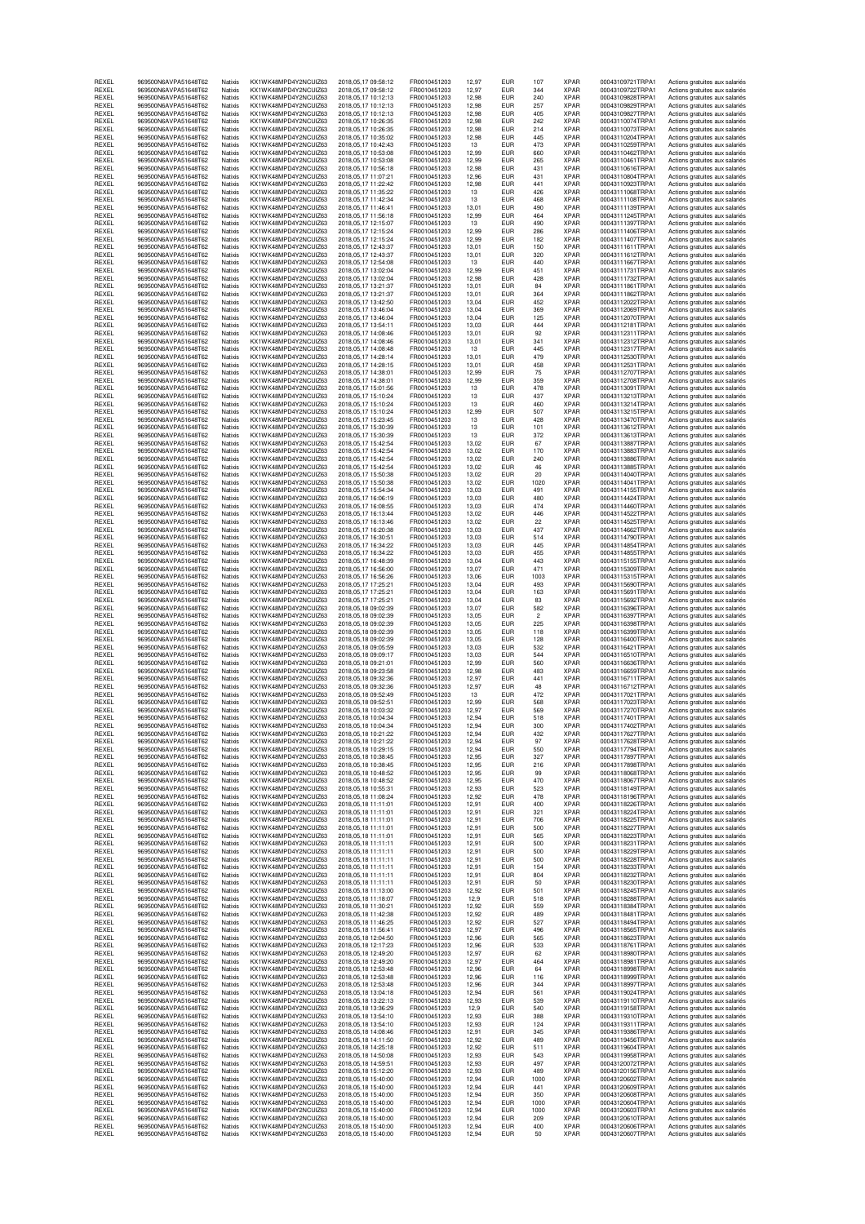| REXEL<br>REXEL | 969500N6AVPA51648T62<br>969500N6AVPA51648T62 | Natixis<br>Natixis | KX1WK48MPD4Y2NCUIZ63<br>KX1WK48MPD4Y2NCUIZ63 | 2018.05.17.09:58:12<br>2018, 05, 17 09:58:12       | FR0010451203<br>FR0010451203 | 12.97<br>12,97 | EUR<br><b>EUR</b>        | 107<br>344   | XPAR<br><b>XPAR</b>        | 00043109721TRPA1<br>00043109722TRPA1 | Actions gratuites aux salariés<br>Actions gratuites aux salariés |
|----------------|----------------------------------------------|--------------------|----------------------------------------------|----------------------------------------------------|------------------------------|----------------|--------------------------|--------------|----------------------------|--------------------------------------|------------------------------------------------------------------|
| REXEL          | 969500N6AVPA51648T62                         | Natixis            | KX1WK48MPD4Y2NCUIZ63                         | 2018.05.17 10:12:13                                | FR0010451203                 | 12.98          | <b>EUR</b>               | 240          | <b>XPAR</b>                | 00043109828TRPA1                     | Actions gratuites aux salariés                                   |
| REXEL          | 969500N6AVPA51648T62                         | Natixis            | KX1WK48MPD4Y2NCUIZ63                         | 2018, 05, 17 10:12:13                              | FR0010451203                 | 12,98          | <b>EUR</b>               | 257          | <b>XPAR</b>                | 00043109829TRPA1                     | Actions gratuites aux salariés                                   |
| REXEL<br>REXEL | 969500N6AVPA51648T62<br>969500N6AVPA51648T62 | Natixis<br>Natixis | KX1WK48MPD4Y2NCUIZ63<br>KX1WK48MPD4Y2NCUIZ63 | 2018, 05, 17 10:12:13<br>2018.05.17 10:26:35       | FR0010451203<br>FR0010451203 | 12,98<br>12,98 | <b>EUR</b><br><b>EUR</b> | 405<br>242   | <b>XPAR</b><br><b>XPAR</b> | 00043109827TRPA1<br>00043110074TRPA1 | Actions gratuites aux salariés<br>Actions gratuites aux salariés |
| REXEL          | 969500N6AVPA51648T62                         | Natixis            | KX1WK48MPD4Y2NCUIZ63                         | 2018, 05, 17 10: 26: 35                            | FR0010451203                 | 12,98          | <b>EUR</b>               | 214          | <b>XPAR</b>                | 00043110073TRPA1                     | Actions gratuites aux salariés                                   |
| REXEL<br>REXEL | 969500N6AVPA51648T62<br>969500N6AVPA51648T62 | Natixis<br>Natixis | KX1WK48MPD4Y2NCUIZ63<br>KX1WK48MPD4Y2NCUIZ63 | 2018.05.17 10:35:02<br>2018, 05, 17 10: 42: 43     | FR0010451203<br>FR0010451203 | 12,98<br>13    | <b>EUR</b><br><b>EUR</b> | 445<br>473   | <b>XPAR</b><br><b>XPAR</b> | 00043110204TRPA1<br>00043110259TRPA1 | Actions gratuites aux salariés                                   |
| REXEL          | 969500N6AVPA51648T62                         | Natixis            | KX1WK48MPD4Y2NCUIZ63                         | 2018.05.17 10:53:08                                | FR0010451203                 | 12,99          | <b>EUR</b>               | 660          | <b>XPAR</b>                | 00043110462TRPA1                     | Actions gratuites aux salariés<br>Actions gratuites aux salariés |
| REXEL          | 969500N6AVPA51648T62                         | Natixis            | KX1WK48MPD4Y2NCUIZ63                         | 2018,05,17 10:53:08                                | FR0010451203                 | 12,99          | <b>EUR</b>               | 265          | <b>XPAR</b>                | 00043110461TRPA1                     | Actions gratuites aux salariés                                   |
| REXEL<br>REXEL | 969500N6AVPA51648T62<br>969500N6AVPA51648T62 | Natixis<br>Natixis | KX1WK48MPD4Y2NCUIZ63<br>KX1WK48MPD4Y2NCUIZ63 | 2018,05,17 10:56:18<br>2018, 05, 17 11: 07: 21     | FR0010451203<br>FR0010451203 | 12,98<br>12.96 | <b>EUR</b><br><b>EUR</b> | 431<br>431   | <b>XPAR</b><br><b>XPAR</b> | 00043110616TRPA1<br>00043110804TRPA1 | Actions gratuites aux salariés<br>Actions gratuites aux salariés |
| REXEL          | 969500N6AVPA51648T62                         | Natixis            | KX1WK48MPD4Y2NCUIZ63                         | 2018.05.17 11:22:42                                | FR0010451203                 | 12,98          | <b>EUR</b>               | 441          | <b>XPAR</b>                | 00043110923TRPA1                     | Actions gratuites aux salariés                                   |
| REXEL          | 969500N6AVPA51648T62                         | Natixis            | KX1WK48MPD4Y2NCUIZ63                         | 2018, 05, 17 11: 35: 22                            | FR0010451203                 | 13             | <b>EUR</b>               | 426          | <b>XPAR</b>                | 00043111068TRPA1                     | Actions gratuites aux salariés                                   |
| REXEL<br>REXEL | 969500N6AVPA51648T62<br>969500N6AVPA51648T62 | Natixis<br>Natixis | KX1WK48MPD4Y2NCUIZ63<br>KX1WK48MPD4Y2NCUIZ63 | 2018, 05, 17 11:42:34<br>2018, 05, 17 11: 46: 41   | FR0010451203<br>FR0010451203 | 13<br>13,01    | <b>EUR</b><br><b>EUR</b> | 468<br>490   | <b>XPAR</b><br><b>XPAR</b> | 00043111108TRPA1<br>00043111139TRPA1 | Actions gratuites aux salariés<br>Actions gratuites aux salariés |
| REXEL          | 969500N6AVPA51648T62                         | Natixis            | KX1WK48MPD4Y2NCUIZ63                         | 2018, 05, 17 11:56:18                              | FR0010451203                 | 12,99          | <b>EUR</b>               | 464          | <b>XPAR</b>                | 00043111245TRPA1                     | Actions gratuites aux salariés                                   |
| REXEL<br>REXEL | 969500N6AVPA51648T62<br>969500N6AVPA51648T62 | Natixis<br>Natixis | KX1WK48MPD4Y2NCUIZ63<br>KX1WK48MPD4Y2NCUIZ63 | 2018, 05, 17 12:15:07<br>2018.05.17 12:15:24       | FR0010451203<br>FR0010451203 | 13<br>12,99    | <b>EUR</b><br><b>EUR</b> | 490<br>286   | <b>XPAR</b><br><b>XPAR</b> | 00043111397TRPA1<br>00043111406TRPA1 | Actions gratuites aux salariés<br>Actions gratuites aux salariés |
| REXEL          | 969500N6AVPA51648T62                         | Natixis            | KX1WK48MPD4Y2NCUIZ63                         | 2018, 05, 17 12:15:24                              | FR0010451203                 | 12,99          | <b>EUR</b>               | 182          | <b>XPAR</b>                | 00043111407TRPA1                     | Actions gratuites aux salariés                                   |
| REXEL          | 969500N6AVPA51648T62                         | Natixis            | KX1WK48MPD4Y2NCUIZ63                         | 2018, 05, 17 12: 43: 37                            | FR0010451203                 | 13,01          | <b>EUR</b>               | 150          | <b>XPAR</b>                | 00043111611TRPA1                     | Actions gratuites aux salariés                                   |
| REXEL<br>REXEL | 969500N6AVPA51648T62<br>969500N6AVPA51648T62 | Natixis<br>Natixis | KX1WK48MPD4Y2NCUIZ63<br>KX1WK48MPD4Y2NCUIZ63 | 2018.05.17 12:43:37<br>2018, 05, 17 12:54: 08      | FR0010451203<br>FR0010451203 | 13,01<br>13    | <b>EUR</b><br><b>EUR</b> | 320<br>440   | <b>XPAR</b><br><b>XPAR</b> | 00043111612TRPA1<br>00043111667TRPA1 | Actions gratuites aux salariés<br>Actions gratuites aux salariés |
| REXEL          | 969500N6AVPA51648T62                         | Natixis            | KX1WK48MPD4Y2NCUIZ63                         | 2018, 05, 17 13: 02: 04                            | FR0010451203                 | 12,99          | <b>EUR</b>               | 451          | <b>XPAR</b>                | 00043111731TRPA1                     | Actions gratuites aux salariés                                   |
| REXEL<br>REXEL | 969500N6AVPA51648T62<br>969500N6AVPA51648T62 | Natixis<br>Natixis | KX1WK48MPD4Y2NCUIZ63<br>KX1WK48MPD4Y2NCUIZ63 | 2018, 05, 17 13: 02: 04<br>2018, 05, 17 13: 21: 37 | FR0010451203<br>FR0010451203 | 12,98<br>13,01 | <b>EUR</b><br><b>EUR</b> | 428<br>84    | <b>XPAR</b><br><b>XPAR</b> | 00043111732TRPA1<br>00043111861TRPA1 | Actions gratuites aux salariés<br>Actions gratuites aux salariés |
| REXEL          | 969500N6AVPA51648T62                         | Natixis            | KX1WK48MPD4Y2NCUIZ63                         | 2018.05.17 13:21:37                                | FR0010451203                 | 13,01          | <b>EUR</b>               | 364          | <b>XPAR</b>                | 00043111862TRPA1                     | Actions gratuites aux salariés                                   |
| REXEL          | 969500N6AVPA51648T62                         | Natixis            | KX1WK48MPD4Y2NCUIZ63                         | 2018, 05, 17 13:42:50                              | FR0010451203                 | 13,04          | <b>EUR</b>               | 452          | <b>XPAR</b>                | 00043112022TRPA1                     | Actions gratuites aux salariés                                   |
| REXEL<br>REXEL | 969500N6AVPA51648T62<br>969500N6AVPA51648T62 | Natixis<br>Natixis | KX1WK48MPD4Y2NCUIZ63<br>KX1WK48MPD4Y2NCUIZ63 | 2018, 05, 17 13: 46: 04<br>2018, 05, 17 13:46:04   | FR0010451203<br>FR0010451203 | 13,04<br>13,04 | <b>EUR</b><br><b>EUR</b> | 369<br>125   | <b>XPAR</b><br><b>XPAR</b> | 00043112069TRPA1<br>00043112070TRPA1 | Actions gratuites aux salariés<br>Actions gratuites aux salariés |
| REXEL          | 969500N6AVPA51648T62                         | Natixis            | KX1WK48MPD4Y2NCUIZ63                         | 2018, 05, 17 13:54:11                              | FR0010451203                 | 13,03          | <b>EUR</b>               | 444          | <b>XPAR</b>                | 00043112181TRPA1                     | Actions gratuites aux salariés                                   |
| REXEL<br>REXEL | 969500N6AVPA51648T62<br>969500N6AVPA51648T62 | Natixis<br>Natixis | KX1WK48MPD4Y2NCUIZ63<br>KX1WK48MPD4Y2NCUIZ63 | 2018, 05, 17 14: 08: 46<br>2018.05.17 14:08:46     | FR0010451203<br>FR0010451203 | 13,01<br>13,01 | <b>EUR</b><br><b>EUR</b> | 92<br>341    | <b>XPAR</b><br><b>XPAR</b> | 00043112311TRPA1<br>00043112312TRPA1 | Actions gratuites aux salariés<br>Actions gratuites aux salariés |
| REXEL          | 969500N6AVPA51648T62                         | Natixis            | KX1WK48MPD4Y2NCUIZ63                         | 2018, 05, 17 14: 08: 48                            | FR0010451203                 | 13             | <b>EUR</b>               | 445          | <b>XPAR</b>                | 00043112317TRPA1                     | Actions gratuites aux salariés                                   |
| REXEL          | 969500N6AVPA51648T62                         | Natixis            | KX1WK48MPD4Y2NCUIZ63                         | 2018, 05, 17 14: 28: 14                            | FR0010451203                 | 13,01          | <b>EUR</b>               | 479          | <b>XPAR</b>                | 00043112530TRPA1                     | Actions gratuites aux salariés                                   |
| REXEL<br>REXEL | 969500N6AVPA51648T62<br>969500N6AVPA51648T62 | Natixis<br>Natixis | KX1WK48MPD4Y2NCUIZ63<br>KX1WK48MPD4Y2NCUIZ63 | 2018.05.17 14:28:15<br>2018.05.17 14:38:01         | FR0010451203<br>FR0010451203 | 13,01<br>12,99 | <b>EUR</b><br><b>EUR</b> | 458<br>75    | <b>XPAR</b><br><b>XPAR</b> | 00043112531TRPA1<br>00043112707TRPA1 | Actions gratuites aux salariés<br>Actions gratuites aux salariés |
| REXEL          | 969500N6AVPA51648T62                         | Natixis            | KX1WK48MPD4Y2NCUIZ63                         | 2018, 05, 17 14: 38: 01                            | FR0010451203                 | 12,99          | <b>EUR</b>               | 359          | <b>XPAR</b>                | 00043112708TRPA1                     | Actions gratuites aux salariés                                   |
| REXEL<br>REXEL | 969500N6AVPA51648T62<br>969500N6AVPA51648T62 | Natixis<br>Natixis | KX1WK48MPD4Y2NCUIZ63<br>KX1WK48MPD4Y2NCUIZ63 | 2018.05.17 15:01:56<br>2018, 05, 17 15:10:24       | FR0010451203<br>FR0010451203 | 13<br>13       | <b>EUR</b><br><b>EUR</b> | 478<br>437   | <b>XPAR</b><br><b>XPAR</b> | 00043113091TRPA1<br>00043113213TRPA1 | Actions gratuites aux salariés<br>Actions gratuites aux salariés |
| REXEL          | 969500N6AVPA51648T62                         | Natixis            | KX1WK48MPD4Y2NCUIZ63                         | 2018, 05, 17 15:10:24                              | FR0010451203                 | 13             | <b>EUR</b>               | 460          | <b>XPAR</b>                | 00043113214TRPA1                     | Actions gratuites aux salariés                                   |
| REXEL          | 969500N6AVPA51648T62                         | Natixis            | KX1WK48MPD4Y2NCUIZ63                         | 2018.05.17 15:10:24                                | FR0010451203                 | 12,99          | <b>EUR</b>               | 507          | <b>XPAR</b>                | 00043113215TRPA1                     | Actions gratuites aux salariés                                   |
| REXEL<br>REXEL | 969500N6AVPA51648T62<br>969500N6AVPA51648T62 | Natixis<br>Natixis | KX1WK48MPD4Y2NCUIZ63<br>KX1WK48MPD4Y2NCUIZ63 | 2018, 05, 17 15: 23: 45<br>2018.05.17 15:30:39     | FR0010451203<br>FR0010451203 | 13<br>13       | <b>EUR</b><br><b>EUR</b> | 428<br>101   | <b>XPAR</b><br><b>XPAR</b> | 00043113470TRPA1<br>00043113612TRPA1 | Actions gratuites aux salariés<br>Actions gratuites aux salariés |
| REXEL          | 969500N6AVPA51648T62                         | Natixis            | KX1WK48MPD4Y2NCUIZ63                         | 2018,05,17 15:30:39                                | FR0010451203                 | 13             | <b>EUR</b>               | 372          | <b>XPAR</b>                | 00043113613TRPA1                     | Actions gratuites aux salariés                                   |
| REXEL<br>REXEL | 969500N6AVPA51648T62<br>969500N6AVPA51648T62 | Natixis<br>Natixis | KX1WK48MPD4Y2NCUIZ63<br>KX1WK48MPD4Y2NCUIZ63 | 2018, 05, 17 15: 42: 54<br>2018, 05, 17 15: 42: 54 | FR0010451203<br>FR0010451203 | 13,02<br>13,02 | <b>EUR</b><br><b>EUR</b> | 67<br>170    | <b>XPAR</b><br><b>XPAR</b> | 00043113887TRPA1<br>00043113883TRPA1 | Actions gratuites aux salariés<br>Actions gratuites aux salariés |
| REXEL          | 969500N6AVPA51648T62                         | Natixis            | KX1WK48MPD4Y2NCUIZ63                         | 2018, 05, 17 15: 42: 54                            | FR0010451203                 | 13,02          | <b>EUR</b>               | 240          | <b>XPAR</b>                | 00043113886TRPA1                     | Actions gratuites aux salariés                                   |
| REXEL          | 969500N6AVPA51648T62                         | Natixis            | KX1WK48MPD4Y2NCUIZ63                         | 2018.05.17 15:42:54                                | FR0010451203                 | 13,02          | <b>EUR</b>               | 46           | <b>XPAR</b>                | 00043113885TRPA1                     | Actions gratuites aux salariés                                   |
| REXEL<br>REXEL | 969500N6AVPA51648T62<br>969500N6AVPA51648T62 | Natixis<br>Natixis | KX1WK48MPD4Y2NCUIZ63<br>KX1WK48MPD4Y2NCUIZ63 | 2018, 05, 17 15:50:38<br>2018, 05, 17 15:50:38     | FR0010451203<br>FR0010451203 | 13,02<br>13,02 | <b>EUR</b><br><b>EUR</b> | 20<br>1020   | <b>XPAR</b><br><b>XPAR</b> | 00043114040TRPA1<br>00043114041TRPA1 | Actions gratuites aux salariés<br>Actions gratuites aux salariés |
| REXEL          | 969500N6AVPA51648T62                         | Natixis            | KX1WK48MPD4Y2NCUIZ63                         | 2018, 05, 17 15:54:34                              | FR0010451203                 | 13,03          | <b>EUR</b>               | 491          | <b>XPAR</b>                | 00043114155TRPA1                     | Actions gratuites aux salariés                                   |
| REXEL<br>REXEL | 969500N6AVPA51648T62<br>969500N6AVPA51648T62 | Natixis            | KX1WK48MPD4Y2NCUIZ63                         | 2018.05.17 16:06:19                                | FR0010451203                 | 13,03          | <b>EUR</b>               | 480<br>474   | <b>XPAR</b><br><b>XPAR</b> | 00043114424TRPA1<br>00043114460TRPA1 | Actions gratuites aux salariés                                   |
| REXEL          | 969500N6AVPA51648T62                         | Natixis<br>Natixis | KX1WK48MPD4Y2NCUIZ63<br>KX1WK48MPD4Y2NCUIZ63 | 2018, 05, 17 16: 08: 55<br>2018, 05, 17 16:13:44   | FR0010451203<br>FR0010451203 | 13,03<br>13,02 | <b>EUR</b><br><b>EUR</b> | 446          | <b>XPAR</b>                | 00043114522TRPA1                     | Actions gratuites aux salariés<br>Actions gratuites aux salariés |
| REXEL          | 969500N6AVPA51648T62                         | Natixis            | KX1WK48MPD4Y2NCUIZ63                         | 2018, 05, 17 16: 13: 46                            | FR0010451203                 | 13,02          | <b>EUR</b>               | 22           | <b>XPAR</b>                | 00043114525TRPA1                     | Actions gratuites aux salariés                                   |
| REXEL<br>REXEL | 969500N6AVPA51648T62<br>969500N6AVPA51648T62 | Natixis<br>Natixis | KX1WK48MPD4Y2NCUIZ63<br>KX1WK48MPD4Y2NCUIZ63 | 2018.05.17 16:20:38<br>2018,05,17 16:30:51         | FR0010451203<br>FR0010451203 | 13,03<br>13,03 | <b>EUR</b><br><b>EUR</b> | 437<br>514   | <b>XPAR</b><br><b>XPAR</b> | 00043114662TRPA1<br>00043114790TRPA1 | Actions gratuites aux salariés<br>Actions gratuites aux salariés |
| REXEL          | 969500N6AVPA51648T62                         | Natixis            | KX1WK48MPD4Y2NCUIZ63                         | 2018, 05, 17 16: 34: 22                            | FR0010451203                 | 13,03          | <b>EUR</b>               | 445          | <b>XPAR</b>                | 00043114854TRPA1                     | Actions gratuites aux salariés                                   |
| REXEL          | 969500N6AVPA51648T62                         | Natixis            | KX1WK48MPD4Y2NCUIZ63                         | 2018, 05, 17 16: 34: 22                            | FR0010451203                 | 13,03          | <b>EUR</b>               | 455          | <b>XPAR</b>                | 00043114855TRPA1                     | Actions gratuites aux salariés                                   |
| REXEL<br>REXEL | 969500N6AVPA51648T62<br>969500N6AVPA51648T62 | Natixis<br>Natixis | KX1WK48MPD4Y2NCUIZ63<br>KX1WK48MPD4Y2NCUIZ63 | 2018, 05, 17 16: 48: 39<br>2018, 05, 17 16:56:00   | FR0010451203<br>FR0010451203 | 13,04<br>13,07 | <b>EUR</b><br><b>EUR</b> | 443<br>471   | <b>XPAR</b><br><b>XPAR</b> | 00043115155TRPA1<br>00043115309TRPA1 | Actions gratuites aux salariés<br>Actions gratuites aux salariés |
| REXEL          | 969500N6AVPA51648T62                         | Natixis            | KX1WK48MPD4Y2NCUIZ63                         | 2018,05,17 16:56:26                                | FR0010451203                 | 13,06          | <b>EUR</b>               | 1003         | <b>XPAR</b>                | 00043115315TRPA1                     | Actions gratuites aux salariés                                   |
| REXEL<br>REXEL | 969500N6AVPA51648T62<br>969500N6AVPA51648T62 | Natixis<br>Natixis | KX1WK48MPD4Y2NCUIZ63<br>KX1WK48MPD4Y2NCUIZ63 | 2018, 05, 17 17: 25: 21<br>2018.05.17 17:25:21     | FR0010451203<br>FR0010451203 | 13,04<br>13,04 | <b>EUR</b><br><b>EUR</b> | 493<br>163   | <b>XPAR</b><br><b>XPAR</b> | 00043115690TRPA1<br>00043115691TRPA1 | Actions gratuites aux salariés<br>Actions gratuites aux salariés |
| REXEL          | 969500N6AVPA51648T62                         | Natixis            | KX1WK48MPD4Y2NCUIZ63                         | 2018, 05, 17 17: 25: 21                            | FR0010451203                 | 13,04          | <b>EUR</b>               | 83           | <b>XPAR</b>                | 00043115692TRPA1                     | Actions gratuites aux salariés                                   |
| REXEL          | 969500N6AVPA51648T62                         | Natixis            | KX1WK48MPD4Y2NCUIZ63                         | 2018,05,18 09:02:39                                | FR0010451203                 | 13,07          | <b>EUR</b>               | 582          | <b>XPAR</b>                | 00043116396TRPA1                     | Actions gratuites aux salariés                                   |
| REXEL<br>REXEL | 969500N6AVPA51648T62<br>969500N6AVPA51648T62 | Natixis<br>Natixis | KX1WK48MPD4Y2NCUIZ63<br>KX1WK48MPD4Y2NCUIZ63 | 2018.05.18 09:02:39<br>2018,05,18 09:02:39         | FR0010451203<br>FR0010451203 | 13,05<br>13,05 | <b>EUR</b><br><b>EUR</b> | 2<br>225     | <b>XPAR</b><br><b>XPAR</b> | 00043116397TRPA1<br>00043116398TRPA1 | Actions gratuites aux salariés<br>Actions gratuites aux salariés |
| REXEL          | 969500N6AVPA51648T62                         | Natixis            | KX1WK48MPD4Y2NCUIZ63                         | 2018.05.18 09:02:39                                | FR0010451203                 | 13,05          | <b>EUR</b>               | 118          | <b>XPAR</b>                | 00043116399TRPA1                     | Actions gratuites aux salariés                                   |
| REXEL<br>REXEL | 969500N6AVPA51648T62<br>969500N6AVPA51648T62 | Natixis<br>Natixis | KX1WK48MPD4Y2NCUIZ63<br>KX1WK48MPD4Y2NCUIZ63 | 2018,05,18 09:02:39<br>2018.05.18 09:05:59         | FR0010451203<br>FR0010451203 | 13,05<br>13,03 | <b>EUR</b><br><b>EUR</b> | 128<br>532   | <b>XPAR</b><br><b>XPAR</b> | 00043116400TRPA1<br>00043116421TRPA1 | Actions gratuites aux salariés<br>Actions gratuites aux salariés |
| REXEL          | 969500N6AVPA51648T62                         | Natixis            | KX1WK48MPD4Y2NCUIZ63                         | 2018.05.18.09:09:17                                | FR0010451203                 | 13,03          | <b>EUR</b>               | 544          | <b>XPAR</b>                | 00043116510TRPA1                     | Actions gratuites aux salariés                                   |
| REXEL          | 969500N6AVPA51648T62                         | Natixis            | KX1WK48MPD4Y2NCUIZ63                         | 2018.05.18 09:21:01                                | FR0010451203                 | 12,99          | <b>EUR</b>               | 560          | <b>XPAR</b>                | 00043116636TRPA1                     | Actions gratuites aux salariés                                   |
| REXEL<br>REXEL | 969500N6AVPA51648T62<br>969500N6AVPA51648T62 | Natixis<br>Natixis | KX1WK48MPD4Y2NCUIZ63<br>KX1WK48MPD4Y2NCUIZ63 | 2018.05.18 09:23:58<br>2018, 05, 18 09: 32: 36     | FR0010451203<br>FR0010451203 | 12,98<br>12,97 | <b>EUR</b><br><b>EUR</b> | 483<br>441   | <b>XPAR</b><br><b>XPAR</b> | 00043116659TRPA1<br>00043116711TRPA1 | Actions gratuites aux salariés<br>Actions gratuites aux salariés |
| REXEL          | 969500N6AVPA51648T62                         | Natixis            | KX1WK48MPD4Y2NCUIZ63                         | 2018.05.18 09:32:36                                | FR0010451203                 | 12,97          | <b>EUR</b>               | 48           | <b>XPAR</b>                | 00043116712TRPA1                     | Actions gratuites aux salariés                                   |
| REXEL<br>REXEL | 969500N6AVPA51648T62<br>969500N6AVPA51648T62 | Natixis<br>Natixis | KX1WK48MPD4Y2NCUIZ63<br>KX1WK48MPD4Y2NCUIZ63 | 2018.05.18.09:52:49<br>2018, 05, 18 09:52:51       | FR0010451203<br>FR0010451203 | 13<br>12,99    | <b>EUR</b><br>EUR        | 472<br>568   | <b>XPAR</b><br><b>XPAR</b> | 00043117021TRPA1<br>00043117023TRPA1 | Actions gratuites aux salariés<br>Actions gratuites aux salariés |
| REXEL          | 969500N6AVPA51648T62                         | Natixis            | KX1WK48MPD4Y2NCUIZ63                         | 2018.05.18.10:03:32                                | FR0010451203                 | 12,97          | <b>EUR</b>               | 569          | <b>XPAR</b>                | 00043117270TRPA1                     | Actions gratuites aux salariés                                   |
| REXEL<br>REXEL | 969500N6AVPA51648T62<br>969500N6AVPA51648T62 | Natixis<br>Natixis | KX1WK48MPD4Y2NCUIZ63<br>KX1WK48MPD4Y2NCUIZ63 | 2018, 05, 18 10: 04: 34<br>2018,05,18 10:04:34     | FR0010451203<br>FR0010451203 | 12,94<br>12,94 | <b>EUR</b><br><b>EUR</b> | 518<br>300   | <b>XPAR</b><br><b>XPAR</b> | 00043117401TRPA1<br>00043117402TRPA1 | Actions gratuites aux salariés                                   |
| HEXEL          | 969500N6AVPA51648T62                         | Natixis            | KX1WK48MPD4Y2NCUIZ63                         | 2018.05.18 10:21:22                                | FR0010451203                 | 12,94          | EUH                      | 432          | <b>XPAH</b>                | 0004311/62/IRPA1                     | Actions gratuites aux salariés<br>Actions gratuites aux salaries |
| REXEL          | 969500N6AVPA51648T62                         | Natixis            | KX1WK48MPD4Y2NCUIZ63                         | 2018,05,18 10:21:22                                | FR0010451203                 | 12,94          | <b>EUR</b>               | 97           | <b>XPAR</b>                | 00043117628TRPA1                     | Actions gratuites aux salariés                                   |
| REXEL<br>REXEL | 969500N6AVPA51648T62<br>969500N6AVPA51648T62 | Natixis<br>Natixis | KX1WK48MPD4Y2NCUIZ63<br>KX1WK48MPD4Y2NCUIZ63 | 2018.05.18 10:29:15<br>2018, 05, 18 10: 38: 45     | FR0010451203<br>FR0010451203 | 12,94<br>12,95 | <b>EUR</b><br><b>EUR</b> | 550<br>327   | <b>XPAR</b><br><b>XPAR</b> | 00043117794TRPA1<br>00043117897TRPA1 | Actions gratuites aux salariés<br>Actions gratuites aux salariés |
| REXEL          | 969500N6AVPA51648T62                         | Natixis            | KX1WK48MPD4Y2NCUIZ63                         | 2018,05,18 10:38:45                                | FR0010451203                 | 12.95          | <b>EUR</b>               | 216          | <b>XPAR</b>                | 00043117898TRPA1                     | Actions gratuites aux salariés                                   |
| REXEL<br>REXEL | 969500N6AVPA51648T62<br>969500N6AVPA51648T62 | Natixis<br>Natixis | KX1WK48MPD4Y2NCUIZ63<br>KX1WK48MPD4Y2NCUIZ63 | 2018, 05, 18 10: 48:52<br>2018, 05, 18 10: 48: 52  | FR0010451203<br>FR0010451203 | 12,95<br>12,95 | <b>EUR</b><br><b>EUR</b> | 99<br>470    | <b>XPAR</b><br><b>XPAR</b> | 00043118068TRPA1<br>00043118067TRPA1 | Actions gratuites aux salariés<br>Actions gratuites aux salariés |
| REXEL          | 969500N6AVPA51648T62                         | Natixis            | KX1WK48MPD4Y2NCUIZ63                         | 2018.05.18 10:55:31                                | FR0010451203                 | 12,93          | <b>EUR</b>               | 523          | <b>XPAR</b>                | 00043118149TRPA1                     | Actions gratuites aux salariés                                   |
| REXEL<br>REXEL | 969500N6AVPA51648T62<br>969500N6AVPA51648T62 | Natixis<br>Natixis | KX1WK48MPD4Y2NCUIZ63<br>KX1WK48MPD4Y2NCUIZ63 | 2018, 05, 18 11: 08: 24<br>2018.05.18 11:11:01     | FR0010451203<br>FR0010451203 | 12,92          | <b>EUR</b><br><b>EUR</b> | 478<br>400   | <b>XPAR</b><br><b>XPAR</b> | 00043118196TRPA1<br>00043118226TRPA1 | Actions gratuites aux salariés                                   |
| REXEL          | 969500N6AVPA51648T62                         | Natixis            | KX1WK48MPD4Y2NCUIZ63                         | 2018,05,18 11:11:01                                | FR0010451203                 | 12,91<br>12,91 | <b>EUR</b>               | 321          | <b>XPAR</b>                | 00043118224TRPA1                     | Actions gratuites aux salariés<br>Actions gratuites aux salariés |
| REXEL          | 969500N6AVPA51648T62<br>969500N6AVPA51648T62 | Natixis            | KX1WK48MPD4Y2NCUIZ63                         | 2018.05.18 11:11:01                                | FR0010451203                 | 12,91          | <b>EUR</b>               | 706          | <b>XPAR</b>                | 00043118225TRPA1<br>00043118227TRPA1 | Actions gratuites aux salariés                                   |
| REXEL<br>REXEL | 969500N6AVPA51648T62                         | Natixis<br>Natixis | KX1WK48MPD4Y2NCUIZ63<br>KX1WK48MPD4Y2NCUIZ63 | 2018.05.18 11:11:01<br>2018,05,18 11:11:01         | FR0010451203<br>FR0010451203 | 12,91<br>12,91 | <b>EUR</b><br><b>EUR</b> | 500<br>565   | <b>XPAR</b><br><b>XPAR</b> | 00043118223TRPA1                     | Actions gratuites aux salariés<br>Actions gratuites aux salariés |
| REXEL          | 969500N6AVPA51648T62                         | Natixis            | KX1WK48MPD4Y2NCUIZ63                         | 2018.05.18 11:11:11                                | FR0010451203                 | 12,91          | <b>EUR</b>               | 500          | <b>XPAR</b>                | 00043118231TRPA1                     | Actions gratuites aux salariés                                   |
| REXEL<br>REXEL | 969500N6AVPA51648T62<br>969500N6AVPA51648T62 | Natixis<br>Natixis | KX1WK48MPD4Y2NCUIZ63<br>KX1WK48MPD4Y2NCUIZ63 | 2018,05,18 11:11:11<br>2018,05,18 11:11:11         | FR0010451203<br>FR0010451203 | 12,91<br>12,91 | <b>EUR</b><br><b>EUR</b> | 500<br>500   | <b>XPAR</b><br><b>XPAR</b> | 00043118229TRPA1<br>00043118228TRPA1 | Actions gratuites aux salariés<br>Actions gratuites aux salariés |
| REXEL          | 969500N6AVPA51648T62                         | Natixis            | KX1WK48MPD4Y2NCUIZ63                         | 2018.05.18 11:11:11                                | FR0010451203                 | 12,91          | <b>EUR</b>               | 154          | <b>XPAR</b>                | 00043118233TRPA1                     | Actions gratuites aux salariés                                   |
| REXEL<br>REXEL | 969500N6AVPA51648T62<br>969500N6AVPA51648T62 | Natixis<br>Natixis | KX1WK48MPD4Y2NCUIZ63<br>KX1WK48MPD4Y2NCUIZ63 | 2018,05,18 11:11:11                                | FR0010451203<br>FR0010451203 | 12,91<br>12.91 | <b>EUR</b><br><b>EUR</b> | 804<br>50    | <b>XPAR</b><br><b>XPAR</b> | 00043118232TRPA1<br>00043118230TRPA1 | Actions gratuites aux salariés                                   |
| REXEL          | 969500N6AVPA51648T62                         | Natixis            | KX1WK48MPD4Y2NCUIZ63                         | 2018, 05, 18 11:11:11<br>2018,05,18 11:13:00       | FR0010451203                 | 12,92          | <b>EUR</b>               | 501          | <b>XPAR</b>                | 00043118245TRPA1                     | Actions gratuites aux salariés<br>Actions gratuites aux salariés |
| REXEL          | 969500N6AVPA51648T62                         | Natixis            | KX1WK48MPD4Y2NCUIZ63                         | 2018.05.18 11:18:07                                | FR0010451203                 | 12,9           | <b>EUR</b>               | 518          | <b>XPAR</b>                | 00043118288TRPA1                     | Actions gratuites aux salariés                                   |
| REXEL<br>REXEL | 969500N6AVPA51648T62<br>969500N6AVPA51648T62 | Natixis<br>Natixis | KX1WK48MPD4Y2NCUIZ63<br>KX1WK48MPD4Y2NCUIZ63 | 2018.05.18 11:30:21<br>2018.05.18 11:42:38         | FR0010451203<br>FR0010451203 | 12,92<br>12,92 | <b>EUR</b><br><b>EUR</b> | 559<br>489   | <b>XPAR</b><br><b>XPAR</b> | 00043118384TRPA1<br>00043118481TRPA1 | Actions gratuites aux salariés<br>Actions gratuites aux salariés |
| REXEL          | 969500N6AVPA51648T62                         | Natixis            | KX1WK48MPD4Y2NCUIZ63                         | 2018, 05, 18 11: 46: 25                            | FR0010451203                 | 12,92          | <b>EUR</b>               | 527          | <b>XPAR</b>                | 00043118494TRPA1                     | Actions gratuites aux salariés                                   |
| REXEL          | 969500N6AVPA51648T62                         | Natixis            | KX1WK48MPD4Y2NCUIZ63                         | 2018, 05, 18 11:56:41                              | FR0010451203                 | 12,97          | <b>EUR</b>               | 496<br>565   | <b>XPAR</b>                | 00043118565TRPA1                     | Actions gratuites aux salariés                                   |
| REXEL<br>REXEL | 969500N6AVPA51648T62                         | Natixis            | KX1WK48MPD4Y2NCUIZ63                         | 2018,05,18 12:04:50                                | FR0010451203                 | 12,96          | <b>EUR</b>               | 533          | <b>XPAR</b><br><b>XPAR</b> | 00043118623TRPA1<br>00043118761TRPA1 | Actions gratuites aux salariés                                   |
| REXEL          | 969500N6AVPA51648T62                         | Natixis            | KX1WK48MPD4Y2NCUIZ63                         | 2018.05.18 12:17:23                                | FR0010451203                 | 12,96          | <b>EUR</b>               |              |                            |                                      | Actions gratuites aux salariés                                   |
| REXEL<br>REXEL | 969500N6AVPA51648T62                         | Natixis            | KX1WK48MPD4Y2NCUIZ63                         | 2018, 05, 18 12: 49: 20                            | FR0010451203                 | 12,97          | <b>EUR</b>               | 62           | <b>XPAR</b>                | 00043118980TRPA1                     | Actions gratuites aux salariés                                   |
| REXEL          | 969500N6AVPA51648T62<br>969500N6AVPA51648T62 | Natixis            | KX1WK48MPD4Y2NCUIZ63                         | 2018, 05, 18 12: 49: 20                            | FR0010451203                 | 12,97          | <b>EUR</b>               | 464          | <b>XPAR</b>                | 00043118981TRPA1                     | Actions gratuites aux salariés                                   |
| REXEL          | 969500N6AVPA51648T62                         | Natixis<br>Natixis | KX1WK48MPD4Y2NCUIZ63<br>KX1WK48MPD4Y2NCUIZ63 | 2018, 05, 18 12:53:48<br>2018, 05, 18 12: 53: 48   | FR0010451203<br>FR0010451203 | 12,96<br>12,96 | <b>EUR</b><br><b>EUR</b> | 64<br>116    | <b>XPAR</b><br><b>XPAR</b> | 00043118998TRPA1<br>00043118999TRPA1 | Actions gratuites aux salariés<br>Actions gratuites aux salariés |
|                | 969500N6AVPA51648T62                         | Natixis            | KX1WK48MPD4Y2NCUIZ63                         | 2018.05.18 12:53:48                                | FR0010451203                 | 12,96          | <b>EUR</b>               | 344          | <b>XPAR</b>                | 00043118997TRPA1                     | Actions gratuites aux salariés                                   |
| REXEL<br>REXEL | 969500N6AVPA51648T62<br>969500N6AVPA51648T62 | Natixis<br>Natixis | KX1WK48MPD4Y2NCUIZ63<br>KX1WK48MPD4Y2NCUIZ63 | 2018, 05, 18 13: 04: 18<br>2018, 05, 18 13: 22: 13 | FR0010451203<br>FR0010451203 | 12,94<br>12,93 | <b>EUR</b><br><b>EUR</b> | 561<br>539   | <b>XPAR</b><br><b>XPAR</b> | 00043119024TRPA1<br>00043119110TRPA1 | Actions gratuites aux salariés<br>Actions gratuites aux salariés |
| REXEL          | 969500N6AVPA51648T62                         | Natixis            | KX1WK48MPD4Y2NCUIZ63                         | 2018, 05, 18 13:36:29                              | FR0010451203                 | 12,9           | <b>EUR</b>               | 540          | <b>XPAR</b>                | 00043119158TRPA1                     | Actions gratuites aux salariés                                   |
| REXEL          | 969500N6AVPA51648T62<br>969500N6AVPA51648T62 | Natixis            | KX1WK48MPD4Y2NCUIZ63                         | 2018,05,18 13:54:10<br>2018.05.18 13:54:10         | FR0010451203                 | 12,93          | <b>EUR</b>               | 388<br>124   | <b>XPAR</b>                | 00043119310TRPA1<br>00043119311TRPA1 | Actions gratuites aux salariés                                   |
| REXEL<br>REXEL | 969500N6AVPA51648T62                         | Natixis<br>Natixis | KX1WK48MPD4Y2NCUIZ63<br>KX1WK48MPD4Y2NCUIZ63 | 2018, 05, 18 14: 08: 46                            | FR0010451203<br>FR0010451203 | 12,93<br>12,91 | <b>EUR</b><br><b>EUR</b> | 345          | <b>XPAR</b><br><b>XPAR</b> | 00043119386TRPA1                     | Actions gratuites aux salariés<br>Actions gratuites aux salariés |
| REXEL          | 969500N6AVPA51648T62                         | Natixis            | KX1WK48MPD4Y2NCUIZ63                         | 2018, 05, 18 14: 11: 50                            | FR0010451203                 | 12,92          | <b>EUR</b>               | 489          | <b>XPAR</b>                | 00043119456TRPA1                     | Actions gratuites aux salariés                                   |
| REXEL<br>REXEL | 969500N6AVPA51648T62<br>969500N6AVPA51648T62 | Natixis<br>Natixis | KX1WK48MPD4Y2NCUIZ63<br>KX1WK48MPD4Y2NCUIZ63 | 2018, 05, 18 14: 25: 18<br>2018, 05, 18 14: 50: 08 | FR0010451203<br>FR0010451203 | 12,92<br>12,93 | <b>EUR</b><br><b>EUR</b> | 511<br>543   | <b>XPAR</b><br><b>XPAR</b> | 00043119604TRPA1<br>00043119958TRPA1 | Actions gratuites aux salariés<br>Actions gratuites aux salariés |
| REXEL          | 969500N6AVPA51648T62                         | Natixis            | KX1WK48MPD4Y2NCUIZ63                         | 2018.05.18 14:59:51                                | FR0010451203                 | 12,93          | <b>EUR</b>               | 497          | <b>XPAR</b>                | 00043120072TRPA1                     | Actions gratuites aux salariés                                   |
| REXEL          | 969500N6AVPA51648T62<br>969500N6AVPA51648T62 | Natixis            | KX1WK48MPD4Y2NCUIZ63<br>KX1WK48MPD4Y2NCUIZ63 | 2018, 05, 18 15: 12: 20<br>2018, 05, 18 15:40:00   | FR0010451203<br>FR0010451203 | 12,93          | <b>EUR</b><br><b>EUR</b> | 489<br>1000  | <b>XPAR</b><br><b>XPAR</b> | 00043120156TRPA1<br>00043120602TRPA1 | Actions gratuites aux salariés                                   |
| REXEL<br>REXEL | 969500N6AVPA51648T62                         | Natixis<br>Natixis | KX1WK48MPD4Y2NCUIZ63                         | 2018,05,18 15:40:00                                | FR0010451203                 | 12,94<br>12,94 | <b>EUR</b>               | 441          | <b>XPAR</b>                | 00043120609TRPA1                     | Actions gratuites aux salariés<br>Actions gratuites aux salariés |
| REXEL          | 969500N6AVPA51648T62                         | Natixis            | KX1WK48MPD4Y2NCUIZ63                         | 2018,05,18 15:40:00                                | FR0010451203                 | 12,94          | <b>EUR</b>               | 350          | <b>XPAR</b>                | 00043120608TRPA1                     | Actions gratuites aux salariés                                   |
| REXEL<br>REXEL | 969500N6AVPA51648T62<br>969500N6AVPA51648T62 | Natixis<br>Natixis | KX1WK48MPD4Y2NCUIZ63<br>KX1WK48MPD4Y2NCUIZ63 | 2018.05.18 15:40:00<br>2018,05,18 15:40:00         | FR0010451203<br>FR0010451203 | 12,94<br>12,94 | <b>EUR</b><br><b>EUR</b> | 1000<br>1000 | <b>XPAR</b><br><b>XPAR</b> | 00043120604TRPA1<br>00043120603TRPA1 | Actions gratuites aux salariés<br>Actions gratuites aux salariés |
| REXEL<br>REXEL | 969500N6AVPA51648T62<br>969500N6AVPA51648T62 | Natixis<br>Natixis | KX1WK48MPD4Y2NCUIZ63<br>KX1WK48MPD4Y2NCUIZ63 | 2018, 05, 18 15:40:00<br>2018,05,18 15:40:00       | FR0010451203<br>FR0010451203 | 12,94<br>12,94 | <b>EUR</b><br><b>EUR</b> | 209<br>400   | <b>XPAR</b><br><b>XPAR</b> | 00043120610TRPA1<br>00043120606TRPA1 | Actions gratuites aux salariés<br>Actions gratuites aux salariés |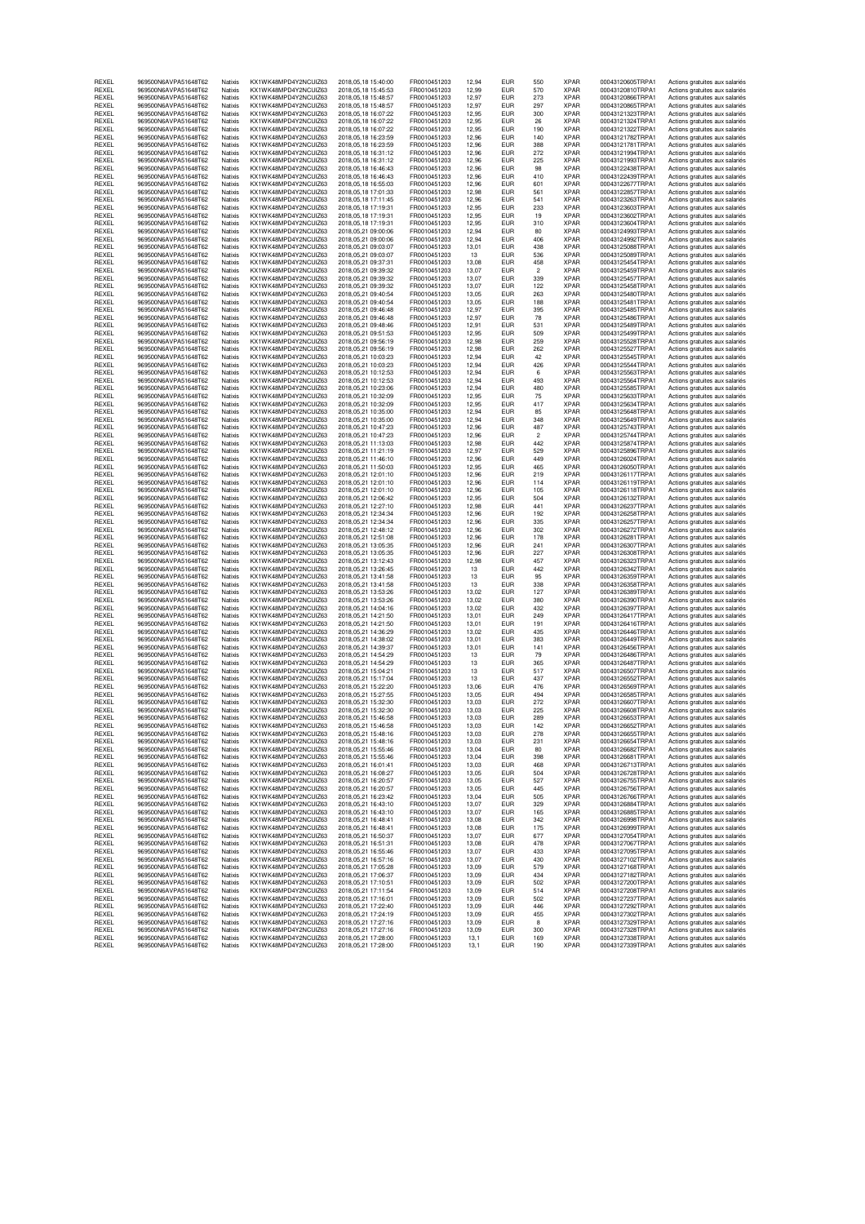| REXEL          | 969500N6AVPA51648T62                         | Natixis            | KX1WK48MPD4Y2NCUIZ63                          | 2018.05.18 15:40:00                            | FR0010451203                 | 12.94          | EUR                      | 55C                     | XPAR                       | 00043120605TRPA1                     | Actions gratuites aux salariés                                   |
|----------------|----------------------------------------------|--------------------|-----------------------------------------------|------------------------------------------------|------------------------------|----------------|--------------------------|-------------------------|----------------------------|--------------------------------------|------------------------------------------------------------------|
| REXEL<br>REXEL | 969500N6AVPA51648T62<br>969500N6AVPA51648T62 | Natixis<br>Natixis | KX1WK48MPD4Y2NCUIZ63<br>KX1WK48MPD4Y2NCUIZ63  | 2018, 05, 18 15: 45: 53<br>2018.05.18 15:48:57 | FR0010451203<br>FR0010451203 | 12,99<br>12.97 | <b>EUR</b><br><b>EUR</b> | 570<br>273              | XPAR<br><b>XPAR</b>        | 00043120810TRPA1                     | Actions gratuites aux salariés                                   |
|                |                                              |                    |                                               |                                                |                              |                |                          |                         |                            | 00043120866TRPA1<br>00043120865TRPA1 | Actions gratuites aux salariés                                   |
| REXEL<br>REXEL | 969500N6AVPA51648T62                         | Natixis            | KX1WK48MPD4Y2NCUIZ63                          | 2018, 05, 18 15: 48: 57                        | FR0010451203                 | 12,97          | <b>EUR</b>               | 297                     | <b>XPAR</b><br><b>XPAR</b> |                                      | Actions gratuites aux salariés                                   |
|                | 969500N6AVPA51648T62                         | Natixis<br>Natixis | KX1WK48MPD4Y2NCUIZ63<br>KX1WK48MPD4Y2NCUIZ63  | 2018, 05, 18 16: 07: 22                        | FR0010451203                 | 12,95          | <b>EUR</b>               | 300<br>26               | <b>XPAR</b>                | 00043121323TRPA1<br>00043121324TRPA1 | Actions gratuites aux salariés                                   |
| REXEL          | 969500N6AVPA51648T62                         |                    |                                               | 2018, 05, 18 16: 07: 22                        | FR0010451203                 | 12,95          | <b>EUR</b>               |                         |                            |                                      | Actions gratuites aux salariés                                   |
| REXEL<br>REXEL | 969500N6AVPA51648T62<br>969500N6AVPA51648T62 | Natixis<br>Natixis | KX1WK48MPD4Y2NCUIZ63<br>KX1WK48MPD4Y2NCUIZ63  | 2018, 05, 18 16: 07: 22<br>2018.05.18 16:23:59 | FR0010451203<br>FR0010451203 | 12,95<br>12.96 | <b>EUR</b><br><b>EUR</b> | 190<br>140              | <b>XPAR</b><br><b>XPAR</b> | 00043121322TRPA1<br>00043121782TRPA1 | Actions gratuites aux salariés<br>Actions gratuites aux salariés |
| REXEL          | 969500N6AVPA51648T62                         | Natixis            | KX1WK48MPD4Y2NCUIZ63                          | 2018, 05, 18 16: 23: 59                        | FR0010451203                 | 12,96          | <b>EUR</b>               | 388                     | <b>XPAR</b>                | 00043121781TRPA1                     | Actions gratuites aux salariés                                   |
| REXEL          | 969500N6AVPA51648T62                         | Natixis            | KX1WK48MPD4Y2NCLIIZ63                         | 2018, 05, 18 16: 31: 12                        | FR0010451203                 | 12,96          | <b>EUR</b>               | 272                     | <b>XPAR</b>                | 00043121994TRPA1                     | Actions gratuites aux salariés                                   |
| REXEL          | 969500N6AVPA51648T62                         | Natixis            | KX1WK48MPD4Y2NCUIZ63                          | 2018, 05, 18 16: 31: 12                        | FR0010451203                 | 12,96          | <b>EUR</b>               | 225                     | <b>XPAR</b>                | 00043121993TRPA1                     | Actions gratuites aux salariés                                   |
| REXEL          | 969500N6AVPA51648T62                         | Natixis            | KX1WK48MPD4Y2NCUIZ63                          | 2018, 05, 18 16: 46: 43                        | FR0010451203                 | 12,96          | <b>EUR</b>               | 98                      | XPAR                       | 00043122438TRPA1                     | Actions gratuites aux salariés                                   |
| REXEL          | 969500N6AVPA51648T62                         | Natixis            | KX1WK48MPD4Y2NCUIZ63                          | 2018, 05, 18 16: 46: 43                        | FR0010451203                 | 12.96          | <b>EUR</b>               | 410                     | <b>XPAR</b>                | 00043122439TRPA1                     | Actions gratuites aux salariés                                   |
| REXEL          | 969500N6AVPA51648T62                         | Natixis            | KX1WK48MPD4Y2NCUIZ63                          | 2018.05.18 16:55:03                            | FR0010451203                 | 12,96          | <b>EUR</b>               | 601                     | <b>XPAR</b>                | 00043122677TRPA1                     | Actions gratuites aux salariés                                   |
| REXEL          | 969500N6AVPA51648T62                         | Natixis            | KX1WK48MPD4Y2NCUIZ63                          | 2018, 05, 18 17: 01: 33                        | FR0010451203                 | 12,98          | <b>EUR</b>               | 561                     | <b>XPAR</b>                | 00043122857TRPA1                     | Actions gratuites aux salariés                                   |
| REXEL          | 969500N6AVPA51648T62                         | Natixis            | KX1WK48MPD4Y2NCUIZ63                          | 2018, 05, 18 17:11:45                          | FR0010451203                 | 12,96          | <b>EUR</b>               | 541                     | <b>XPAR</b>                | 00043123263TRPA1                     | Actions gratuites aux salariés                                   |
| REXEL          | 969500N6AVPA51648T62                         | Natixis            | KX1WK48MPD4Y2NCUIZ63                          | 2018,05,18 17:19:31                            | FR0010451203                 | 12,95          | <b>EUR</b>               | 233                     | <b>XPAR</b>                | 00043123603TRPA1                     | Actions gratuites aux salariés                                   |
| REXEL          | 969500N6AVPA51648T62                         | Natixis            | KX1WK48MPD4Y2NCUIZ63                          | 2018.05.18 17:19:31                            | FR0010451203                 | 12.95          | <b>EUR</b>               | 19                      | <b>XPAR</b>                | 00043123602TRPA1                     | Actions gratuites aux salariés                                   |
| REXEL          | 969500N6AVPA51648T62                         | Natixis            | KX1WK48MPD4Y2NCUIZ63                          | 2018.05.18.17:19:31                            | FR0010451203                 | 12,95          | <b>EUR</b>               | 310                     | <b>XPAR</b>                | 00043123604TRPA1                     | Actions gratuites aux salariés                                   |
| REXEL          | 969500N6AVPA51648T62                         | Natixis            | KX1WK48MPD4Y2NCUIZ63                          | 2018,05,21 09:00:06                            | FR0010451203                 | 12,94          | <b>EUR</b>               | 80                      | <b>XPAR</b>                | 00043124993TRPA1                     | Actions gratuites aux salariés                                   |
| REXEL          | 969500N6AVPA51648T62                         | Natixis            | KX1WK48MPD4Y2NCUIZ63                          | 2018,05,21 09:00:06                            | FR0010451203                 | 12,94          | <b>EUR</b>               | 406                     | <b>XPAR</b>                | 00043124992TRPA1                     | Actions gratuites aux salariés                                   |
| REXEL          | 969500N6AVPA51648T62                         | Natixis            | KX1WK48MPD4Y2NCUIZ63                          | 2018,05,21 09:03:07                            | FR0010451203                 | 13,01          | <b>EUR</b>               | 438                     | XPAR                       | 00043125088TRPA1                     | Actions gratuites aux salariés                                   |
| REXEL          | 969500N6AVPA51648T62                         | Natixis            | KX1WK48MPD4Y2NCUIZ63                          | 2018,05,21 09:03:07                            | FR0010451203                 | 13             | <b>EUR</b>               | 536                     | <b>XPAR</b>                | 00043125089TRPA1                     | Actions gratuites aux salariés                                   |
| REXEL          | 969500N6AVPA51648T62                         | Natixis            | KX1WK48MPD4Y2NCUIZ63                          | 2018.05.21.09:37:31                            | FR0010451203                 | 13,08          | <b>EUR</b>               | 458                     | <b>XPAR</b>                | 00043125454TRPA1                     | Actions gratuites aux salariés                                   |
| REXEL          | 969500N6AVPA51648T62                         | Natixis            | KX1WK48MPD4Y2NCUIZ63                          | 2018,05,21 09:39:32                            | FR0010451203                 | 13,07          | <b>EUR</b>               | $\overline{2}$          | <b>XPAR</b>                | 00043125459TRPA1                     | Actions gratuites aux salariés                                   |
| REXEL          | 969500N6AVPA51648T62                         | Natixis            | KX1WK48MPD4Y2NCUIZ63                          | 2018,05,21 09:39:32                            | FR0010451203                 | 13,07          | <b>EUR</b>               | 339                     | <b>XPAR</b>                | 00043125457TRPA1                     | Actions gratuites aux salariés                                   |
| REXEL          | 969500N6AVPA51648T62                         | Natixis            | KX1WK48MPD4Y2NCUIZ63                          | 2018,05,21 09:39:32                            | FR0010451203                 | 13,07          | <b>EUR</b>               | 122                     | <b>XPAR</b>                | 00043125458TRPA1                     | Actions gratuites aux salariés                                   |
| REXEL          | 969500N6AVPA51648T62                         | Natixis            | KX1WK48MPD4Y2NCUIZ63                          | 2018.05.21 09:40:54                            | FR0010451203                 | 13,05          | <b>EUR</b>               | 263                     | XPAR                       | 00043125480TRPA1                     | Actions gratuites aux salariés                                   |
| REXEL          | 969500N6AVPA51648T62                         | Natixis            | KX1WK48MPD4Y2NCUIZ63                          | 2018.05.21 09:40:54                            | FR0010451203                 | 13,05          | <b>EUR</b>               | 188                     | <b>XPAR</b>                | 00043125481TRPA1                     | Actions gratuites aux salariés                                   |
| REXEL          | 969500N6AVPA51648T62                         | Natixis            | KX1WK48MPD4Y2NCUIZ63                          | 2018, 05, 21 09: 46: 48                        | FR0010451203                 | 12,97          | <b>EUR</b>               | 395                     | <b>XPAR</b>                | 00043125485TRPA1                     | Actions gratuites aux salariés                                   |
| REXEL          | 969500N6AVPA51648T62                         | Natixis            | KX1WK48MPD4Y2NCUIZ63                          | 2018,05,21 09:46:48                            | FR0010451203                 | 12,97          | <b>EUR</b>               | 78                      | <b>XPAR</b>                | 00043125486TRPA1                     | Actions gratuites aux salariés                                   |
| REXEL          | 969500N6AVPA51648T62                         | Natixis            | KX1WK48MPD4Y2NCUIZ63                          | 2018, 05, 21 09: 48: 46                        | FR0010451203                 | 12,91          | <b>EUR</b>               | 531                     | XPAR                       | 00043125489TRPA1                     | Actions gratuites aux salariés                                   |
| REXEL          | 969500N6AVPA51648T62                         | Natixis            | KX1WK48MPD4Y2NCUIZ63                          | 2018.05.21 09:51:53                            | FR0010451203                 | 12.95          | <b>EUR</b>               | 509                     | <b>XPAR</b>                | 00043125499TRPA1                     | Actions gratuites aux salariés                                   |
| REXEL          | 969500N6AVPA51648T62                         | Natixis            | KX1WK48MPD4Y2NCUIZ63                          | 2018.05.21 09:56:19                            | FR0010451203                 | 12,98          | <b>EUR</b>               | 259                     | <b>XPAR</b>                | 00043125528TRPA1                     | Actions gratuites aux salariés                                   |
| REXEL          | 969500N6AVPA51648T62                         | Natixis            | KX1WK48MPD4Y2NCUIZ63                          | 2018,05,21 09:56:19                            | FR0010451203                 | 12,98          | <b>EUR</b>               | 262                     | <b>XPAR</b>                | 00043125527TRPA1                     | Actions gratuites aux salariés                                   |
| REXEL          | 969500N6AVPA51648T62                         | Natixis            | KX1WK48MPD4Y2NCUIZ63                          | 2018,05,21 10:03:23                            | FR0010451203                 | 12,94          | <b>EUR</b>               | 42                      | <b>XPAR</b>                | 00043125545TRPA1                     | Actions gratuites aux salariés                                   |
| REXEL          | 969500N6AVPA51648T62                         | Natixis            | KX1WK48MPD4Y2NCUIZ63                          | 2018,05,21 10:03:23                            | FR0010451203                 | 12,94          | <b>EUR</b>               | 426                     | <b>XPAR</b>                | 00043125544TRPA1                     | Actions gratuites aux salariés                                   |
| REXEL          | 969500N6AVPA51648T62                         | Natixis            | KX1WK48MPD4Y2NCUIZ63                          | 2018.05.21 10:12:53                            | FR0010451203                 | 12.94          | <b>EUR</b>               | 6                       | <b>XPAR</b>                | 00043125563TRPA1                     | Actions gratuites aux salariés                                   |
| REXEL          | 969500N6AVPA51648T62                         | Natixis            | KX1WK48MPD4Y2NCUIZ63                          | 2018,05,21 10:12:53                            | FR0010451203                 | 12,94          | <b>EUR</b>               | 493                     | <b>XPAR</b>                | 00043125564TRPA1                     | Actions gratuites aux salariés                                   |
| REXEL          | 969500N6AVPA51648T62                         | Natixis            | KX1WK48MPD4Y2NCUIZ63                          | 2018, 05, 21 10: 23: 06                        | FR0010451203                 | 12,94          | <b>EUR</b>               | 480                     | <b>XPAR</b>                | 00043125585TRPA1                     | Actions gratuites aux salariés                                   |
| REXEL          | 969500N6AVPA51648T62                         | Natixis            | KX1WK48MPD4Y2NCUIZ63                          | 2018,05,21 10:32:09                            | FR0010451203                 | 12,95          | <b>EUR</b>               | 75                      | <b>XPAR</b>                | 00043125633TRPA1                     | Actions gratuites aux salariés                                   |
| REXEL          | 969500N6AVPA51648T62                         | Natixis            | KX1WK48MPD4Y2NCUIZ63                          | 2018,05,21 10:32:09                            | FR0010451203                 | 12,95          | <b>EUR</b>               | 417                     | <b>XPAR</b>                | 00043125634TRPA1                     | Actions gratuites aux salariés                                   |
| REXEL          | 969500N6AVPA51648T62                         | Natixis            | KX1WK48MPD4Y2NCUIZ63                          | 2018,05,21 10:35:00                            | FR0010451203                 | 12.94          | <b>EUR</b>               | 85                      | <b>XPAR</b>                | 00043125648TRPA1                     | Actions gratuites aux salariés                                   |
| REXEL          | 969500N6AVPA51648T62                         | Natixis            | KX1WK48MPD4Y2NCUIZ63                          | 2018,05,21 10:35:00                            | FR0010451203                 | 12,94          | <b>EUR</b>               | 348                     | <b>XPAR</b>                | 00043125649TRPA1                     | Actions gratuites aux salariés                                   |
| REXEL          | 969500N6AVPA51648T62                         | Natixis            | KX1WK48MPD4Y2NCUIZ63                          | 2018,05,21 10:47:23                            | FR0010451203                 | 12,96          | <b>EUR</b>               | 487                     | <b>XPAR</b>                | 00043125743TRPA1                     | Actions gratuites aux salariés                                   |
| REXEL          | 969500N6AVPA51648T62                         | Natixis            | KX1WK48MPD4Y2NCUIZ63                          | 2018, 05, 21 10: 47: 23                        | FR0010451203                 | 12,96          | <b>EUR</b>               | $\overline{\mathbf{c}}$ | <b>XPAR</b>                | 00043125744TRPA1                     | Actions gratuites aux salariés                                   |
| REXEL<br>REXEL | 969500N6AVPA51648T62                         | Natixis<br>Natixis | KX1WK48MPD4Y2NCUIZ63<br>KX1WK48MPD4Y2NCLIIZ63 | 2018,05,21 11:13:03<br>2018.05.21 11:21:19     | FR0010451203                 | 12,98<br>12.97 | <b>EUR</b><br><b>EUR</b> | 442<br>529              | <b>XPAR</b><br><b>XPAR</b> | 00043125874TRPA1<br>00043125896TRPA1 | Actions gratuites aux salariés<br>Actions gratuites aux salariés |
| REXEL          | 969500N6AVPA51648T62<br>969500N6AVPA51648T62 |                    | KX1WK48MPD4Y2NCUIZ63                          | 2018.05.21 11:46:10                            | FR0010451203<br>FR0010451203 |                | <b>EUR</b>               | 449                     | <b>XPAR</b>                | 00043126024TRPA1                     | Actions gratuites aux salariés                                   |
| REXEL          | 969500N6AVPA51648T62                         | Natixis<br>Natixis | KX1WK48MPD4Y2NCUIZ63                          | 2018, 05, 21 11:50: 03                         | FR0010451203                 | 12,96<br>12,95 | <b>EUR</b>               | 465                     | <b>XPAR</b>                | 00043126050TRPA1                     |                                                                  |
| REXEL          | 969500N6AVPA51648T62                         | Natixis            | KX1WK48MPD4Y2NCUIZ63                          | 2018,05,21 12:01:10                            | FR0010451203                 | 12,96          | <b>EUR</b>               | 219                     | <b>XPAR</b>                | 00043126117TRPA1                     | Actions gratuites aux salariés<br>Actions gratuites aux salariés |
| REXEL          | 969500N6AVPA51648T62                         | Natixis            | KX1WK48MPD4Y2NCUIZ63                          | 2018,05,21 12:01:10                            | FR0010451203                 | 12,96          | <b>EUR</b>               | 114                     | XPAR                       | 00043126119TRPA1                     | Actions gratuites aux salariés                                   |
| REXEL          | 969500N6AVPA51648T62                         | Natixis            | KX1WK48MPD4Y2NCUIZ63                          | 2018, 05, 21 12: 01: 10                        | FR0010451203                 | 12.96          | <b>EUR</b>               | 105                     | <b>XPAR</b>                | 00043126118TRPA1                     | Actions gratuites aux salariés                                   |
| REXEL          | 969500N6AVPA51648T62                         | Natixis            | KX1WK48MPD4Y2NCUIZ63                          | 2018.05.21 12:06:42                            | FR0010451203                 | 12,95          | <b>EUR</b>               | 504                     | <b>XPAR</b>                | 00043126132TRPA1                     | Actions gratuites aux salariés                                   |
| REXEL          | 969500N6AVPA51648T62                         | Natixis            | KX1WK48MPD4Y2NCUIZ63                          | 2018, 05, 21 12: 27: 10                        | FR0010451203                 | 12,98          | <b>EUR</b>               | 441                     | <b>XPAR</b>                | 00043126237TRPA1                     | Actions gratuites aux salariés                                   |
| REXEL          | 969500N6AVPA51648T62                         | Natixis            | KX1WK48MPD4Y2NCUIZ63                          | 2018, 05, 21 12: 34: 34                        | FR0010451203                 | 12,96          | <b>EUR</b>               | 192                     | <b>XPAR</b>                | 00043126258TRPA1                     | Actions gratuites aux salariés                                   |
| REXEL          | 969500N6AVPA51648T62                         | Natixis            | KX1WK48MPD4Y2NCUIZ63                          | 2018, 05, 21 12: 34: 34                        | FR0010451203                 | 12,96          | <b>EUR</b>               | 335                     | <b>XPAR</b>                | 00043126257TRPA1                     | Actions gratuites aux salariés                                   |
| REXEL          | 969500N6AVPA51648T62                         | Natixis            | KX1WK48MPD4Y2NCUIZ63                          | 2018.05.21 12:48:12                            | FR0010451203                 | 12.96          | <b>EUR</b>               | 302                     | <b>XPAR</b>                | 00043126272TRPA1                     | Actions gratuites aux salariés                                   |
| REXEL          | 969500N6AVPA51648T62                         | Natixis            | KX1WK48MPD4Y2NCUIZ63                          | 2018.05.21 12:51:08                            | FR0010451203                 | 12,96          | <b>EUR</b>               | 178                     | <b>XPAR</b>                | 00043126281TRPA1                     | Actions gratuites aux salariés                                   |
| REXEL          | 969500N6AVPA51648T62                         | Natixis            | KX1WK48MPD4Y2NCUIZ63                          | 2018, 05, 21 13: 05: 35                        | FR0010451203                 | 12,96          | <b>EUR</b>               | 241                     | <b>XPAR</b>                | 00043126307TRPA1                     | Actions gratuites aux salariés                                   |
| REXEL          | 969500N6AVPA51648T62                         | Natixis            | KX1WK48MPD4Y2NCUIZ63                          | 2018.05.21 13:05:35                            | FR0010451203                 | 12.96          | <b>EUR</b>               | 227                     | <b>XPAR</b>                | 00043126308TRPA1                     | Actions gratuites aux salariés                                   |
| REXEL          | 969500N6AVPA51648T62                         | Natixis            | KX1WK48MPD4Y2NCUIZ63                          | 2018, 05, 21 13:12:43                          | FR0010451203                 | 12,98          | <b>EUR</b>               | 457                     | XPAR                       | 00043126323TRPA1                     | Actions gratuites aux salariés                                   |
| REXEL          | 969500N6AVPA51648T62                         | Natixis            | KX1WK48MPD4Y2NCUIZ63                          | 2018, 05, 21 13: 26: 45                        | FR0010451203                 | 13             | <b>EUR</b>               | 442                     | <b>XPAR</b>                | 00043126342TRPA1                     | Actions gratuites aux salariés                                   |
| REXEL          | 969500N6AVPA51648T62                         | Natixis            | KX1WK48MPD4Y2NCUIZ63                          | 2018, 05, 21 13: 41: 58                        | FR0010451203                 | 13             | <b>EUR</b>               | 95                      | <b>XPAR</b>                | 00043126359TRPA1                     | Actions gratuites aux salariés                                   |
| REXEL          | 969500N6AVPA51648T62                         | Natixis            | KX1WK48MPD4Y2NCUIZ63                          | 2018, 05, 21 13: 41: 58                        | FR0010451203                 | 13             | <b>EUR</b>               | 338                     | <b>XPAR</b>                | 00043126358TRPA1                     | Actions gratuites aux salariés                                   |
| REXEL          | 969500N6AVPA51648T62                         | Natixis            | KX1WK48MPD4Y2NCUIZ63                          | 2018.05.21 13:53:26                            | FR0010451203                 | 13.02          | <b>EUR</b>               | 127                     | <b>XPAR</b>                | 00043126389TRPA1                     | Actions gratuites aux salariés                                   |
| REXEL          | 969500N6AVPA51648T62                         | Natixis            | KX1WK48MPD4Y2NCUIZ63                          | 2018, 05, 21 13: 53: 26                        | FR0010451203                 | 13,02          | <b>EUR</b>               | 380                     | <b>XPAR</b>                | 00043126390TRPA1                     | Actions gratuites aux salariés                                   |
| REXEL          | 969500N6AVPA51648T62                         | Natixis            | KX1WK48MPD4Y2NCUIZ63                          | 2018, 05, 21 14: 04: 16                        | FR0010451203                 | 13,02          | <b>EUR</b>               | 432                     | <b>XPAR</b>                | 00043126397TRPA1                     | Actions gratuites aux salariés                                   |
| REXEL          | 969500N6AVPA51648T62                         | Natixis            | KX1WK48MPD4Y2NCUIZ63                          | 2018, 05, 21 14: 21: 50                        | FR0010451203                 |                |                          | 249                     | <b>XPAR</b>                | 00043126417TRPA1                     |                                                                  |
| REXEL          | 969500N6AVPA51648T62                         |                    |                                               |                                                |                              | 13,01          | <b>EUR</b>               |                         |                            |                                      | Actions gratuites aux salariés                                   |
| REXEL          | 969500N6AVPA51648T62                         | Natixis            | KX1WK48MPD4Y2NCUIZ63                          | 2018, 05, 21 14: 21: 50                        | FR0010451203                 | 13,01          | <b>EUR</b>               | 191                     | <b>XPAR</b>                | 00043126416TRPA1                     | Actions gratuites aux salariés                                   |
| REXEL          |                                              | Natixis            | KX1WK48MPD4Y2NCUIZ63                          | 2018.05.21 14:36:29                            | FR0010451203                 | 13,02          | <b>EUR</b>               | 435                     | <b>XPAR</b>                | 00043126446TRPA1                     | Actions gratuites aux salariés                                   |
| REXEL          | 969500N6AVPA51648T62                         | Natixis            | KX1WK48MPD4Y2NCUIZ63                          | 2018, 05, 21 14: 38: 02                        | FR0010451203                 | 13,01          | <b>EUR</b>               | 383                     | XPAR                       | 00043126449TRPA1                     | Actions gratuites aux salariés                                   |
|                | 969500N6AVPA51648T62                         | Natixis            | KX1WK48MPD4Y2NCUIZ63                          | 2018.05.21 14:39:37                            | FR0010451203                 | 13,01          | <b>EUR</b>               | 141                     | <b>XPAR</b>                | 00043126456TRPA1                     | Actions gratuites aux salariés                                   |
| REXEL          | 969500N6AVPA51648T62                         | Natixis            | KX1WK48MPD4Y2NCUIZ63                          | 2018.05.21 14:54:29                            | FR0010451203                 | 13             | <b>EUR</b>               | 79                      | <b>XPAR</b>                | 00043126486TRPA1                     | Actions gratuites aux salariés                                   |
| REXEL          | 969500N6AVPA51648T62                         | Natixis            | KX1WK48MPD4Y2NCUIZ63                          | 2018.05.21 14:54:29                            | FR0010451203                 | 13             | <b>EUR</b>               | 365                     | <b>XPAR</b>                | 00043126487TRPA1                     | Actions gratuites aux salariés                                   |
| REXEL          | 969500N6AVPA51648T62                         | Natixis            | KX1WK48MPD4Y2NCUIZ63                          | 2018.05.21 15:04:21                            | FR0010451203                 | 13             | <b>EUR</b>               | 517                     | <b>XPAR</b>                | 00043126507TRPA1                     | Actions gratuites aux salariés                                   |
| REXEL          | 969500N6AVPA51648T62                         | Natixis            | KX1WK48MPD4Y2NCUIZ63                          | 2018, 05, 21 15:17: 04                         | FR0010451203                 | 13             | <b>EUR</b>               | 437                     | <b>XPAR</b>                | 00043126552TRPA1                     | Actions gratuites aux salariés                                   |
| REXEL          | 969500N6AVPA51648T62                         | Natixis            | KX1WK48MPD4Y2NCUIZ63                          | 2018.05.21 15:22:20                            | FR0010451203                 | 13,06          | <b>EUR</b>               | 476                     | <b>XPAR</b>                | 00043126569TRPA1                     | Actions gratuites aux salariés                                   |
| REXEL          | 969500N6AVPA51648T62                         | Natixis            | KX1WK48MPD4Y2NCUIZ63                          | 2018, 05, 21 15: 27: 55                        | FR0010451203                 | 13,05          | <b>EUR</b>               | 494                     | <b>XPAR</b>                | 00043126585TRPA1                     | Actions gratuites aux salariés                                   |
| REXEL          | 969500N6AVPA51648T62                         | Natixis            | KX1WK48MPD4Y2NCUIZ63<br>KX1WK48MPD4Y2NCLIIZ63 | 2018.05.21 15:32:30                            | FR0010451203                 | 13,03          | <b>EUR</b>               | 272                     | <b>XPAR</b>                | 00043126607TRPA1                     | Actions gratuites aux salariés                                   |
| REXEL          | 969500N6AVPA51648T62                         | Natixis            |                                               | 2018.05.21 15:32:30                            | FR0010451203                 | 13,03          | <b>EUR</b>               | 225                     | <b>XPAR</b>                | 00043126608TRPA1                     | Actions gratuites aux salariés                                   |
| REXEL<br>REXEL | 969500N6AVPA51648T62<br>969500N6AVPA51648T62 | Natixis<br>Natixis | KX1WK48MPD4Y2NCUIZ63<br>KX1WK48MPD4Y2NCUIZ63  | 2018, 05, 21 15: 46: 58                        | FR0010451203                 | 13,03          | <b>EUR</b><br><b>EUR</b> | 289<br>142              | XPAR<br><b>XPAR</b>        | 00043126653TRPA1                     | Actions gratuites aux salariés                                   |
|                | 969500N6AVPA51648T62                         | Natixis            | KX1WK48MPD4Y2NGUIZ63                          | 2018,05,21 15:46:58<br>2018.05.21 15:48:16     | FR0010451203<br>FR0010451203 | 13,03          | EUR                      |                         | <b>XPAH</b>                | 00043126652TRPA1<br>000431266551HPA1 | Actions gratuites aux salariés                                   |
| HEXEL          | 969500N6AVPA51648T62                         | Natixis            | KX1WK48MPD4Y2NCUIZ63                          | 2018.05.21 15:48:16                            | FR0010451203                 | 13,03<br>13,03 | <b>EUR</b>               | 278<br>231              | <b>XPAR</b>                | 00043126654TRPA1                     | Actions gratuites aux salaries<br>Actions gratuites aux salariés |
| REXEL<br>REXEL | 969500N6AVPA51648T62                         | Natixis            | KX1WK48MPD4Y2NCUIZ63                          | 2018.05.21 15:55:46                            | FR0010451203                 | 13,04          | <b>EUR</b>               | 80                      | <b>XPAR</b>                | 00043126682TRPA1                     | Actions gratuites aux salariés                                   |
| REXEL          | 969500N6AVPA51648T62                         | Natixis            | KX1WK48MPD4Y2NCUIZ63                          | 2018, 05, 21 15:55:46                          | FR0010451203                 | 13,04          | <b>EUR</b>               | 398                     | <b>XPAR</b>                | 00043126681TRPA1                     | Actions gratuites aux salariés                                   |
| REXEL          | 969500N6AVPA51648T62                         | Natixis            | KX1WK48MPD4Y2NCUIZ63                          | 2018,05,21 16:01:41                            | FR0010451203                 | 13,03          | <b>EUR</b>               | 468                     | <b>XPAR</b>                | 00043126713TRPA1                     | Actions gratuites aux salariés                                   |
| REXEL          | 969500N6AVPA51648T62                         | Natixis            | KX1WK48MPD4Y2NCUIZ63                          | 2018, 05, 21 16: 08: 27                        | FR0010451203                 | 13,05          | <b>EUR</b>               | 504                     | <b>XPAR</b>                | 00043126728TRPA1                     | Actions gratuites aux salariés                                   |
| REXEL          | 969500N6AVPA51648T62                         | Natixis            | KX1WK48MPD4Y2NCUIZ63                          | 2018, 05, 21 16: 20: 57                        | FR0010451203                 | 13,05          | <b>EUR</b>               | 527                     | <b>XPAR</b>                | 00043126755TRPA1                     | Actions gratuites aux salariés                                   |
| REXEL          | 969500N6AVPA51648T62                         | Natixis            | KX1WK48MPD4Y2NCUIZ63                          | 2018, 05, 21 16: 20: 57                        | FR0010451203                 | 13,05          | <b>EUR</b>               | 445                     | <b>XPAR</b>                | 00043126756TRPA1                     | Actions gratuites aux salariés                                   |
| REXEL          | 969500N6AVPA51648T62                         | Natixis            | KX1WK48MPD4Y2NCUIZ63                          | 2018, 05, 21 16: 23: 42                        | FR0010451203                 | 13,04          | <b>EUR</b>               | 505                     | <b>XPAR</b>                | 00043126766TRPA1                     | Actions gratuites aux salariés                                   |
| REXEL          | 969500N6AVPA51648T62                         | Natixis            | KX1WK48MPD4Y2NCUIZ63                          | 2018, 05, 21 16: 43: 10                        | FR0010451203                 | 13.07          | <b>EUR</b>               | 329                     | <b>XPAR</b>                | 00043126884TRPA1                     | Actions gratuites aux salariés                                   |
| REXEL          | 969500N6AVPA51648T62                         | Natixis            | KX1WK48MPD4Y2NCUIZ63                          | 2018,05,21 16:43:10                            | FR0010451203                 | 13,07          | <b>EUR</b>               | 165                     | <b>XPAR</b>                | 00043126885TRPA1                     | Actions gratuites aux salariés                                   |
| REXEL          | 969500N6AVPA51648T62                         | Natixis            | KX1WK48MPD4Y2NCUIZ63                          | 2018, 05, 21 16: 48: 41                        | FR0010451203                 | 13,08          | <b>EUR</b>               | 342                     | <b>XPAR</b>                | 00043126998TRPA1                     | Actions gratuites aux salariés                                   |
| REXEL          | 969500N6AVPA51648T62                         | Natixis            | KX1WK48MPD4Y2NCUIZ63                          | 2018, 05, 21 16: 48: 41                        | FR0010451203                 | 13,08          | <b>EUR</b>               | 175                     | <b>XPAR</b>                | 00043126999TRPA1                     | Actions gratuites aux salariés                                   |
| REXEL          | 969500N6AVPA51648T62                         | Natixis            | KX1WK48MPD4Y2NCUIZ63                          | 2018, 05, 21 16:50:37                          | FR0010451203                 | 13,07          | <b>EUR</b>               | 677                     | <b>XPAR</b>                | 00043127054TRPA1                     | Actions gratuites aux salariés                                   |
| REXEL          | 969500N6AVPA51648T62                         | Natixis            | KX1WK48MPD4Y2NCUIZ63                          | 2018,05,21 16:51:31                            | FR0010451203                 | 13.08          | <b>EUR</b>               | 478                     | <b>XPAR</b>                | 00043127067TRPA1                     | Actions gratuites aux salariés                                   |
| REXEL          | 969500N6AVPA51648T62                         | Natixis            | KX1WK48MPD4Y2NCUIZ63                          | 2018, 05, 21 16:55:46                          | FR0010451203                 | 13,07          | <b>EUR</b>               | 433                     | <b>XPAR</b>                | 00043127095TRPA1                     | Actions gratuites aux salariés                                   |
| REXEL          | 969500N6AVPA51648T62                         | Natixis            | KX1WK48MPD4Y2NCUIZ63                          | 2018, 05, 21 16: 57: 16                        | FR0010451203                 | 13,07          | <b>EUR</b>               | 430                     | <b>XPAR</b>                | 00043127102TRPA1                     | Actions gratuites aux salariés                                   |
| REXEL          | 969500N6AVPA51648T62                         | Natixis            | KX1WK48MPD4Y2NCUIZ63                          | 2018, 05, 21 17: 05: 28                        | FR0010451203                 | 13,09          | <b>EUR</b>               | 579                     | <b>XPAR</b>                | 00043127168TRPA1                     | Actions gratuites aux salariés                                   |
| REXEL          | 969500N6AVPA51648T62<br>969500N6AVPA51648T62 | Natixis            | KX1WK48MPD4Y2NCUIZ63                          | 2018, 05, 21 17: 06: 37                        | FR0010451203                 | 13,09          | <b>EUR</b>               | 434                     | <b>XPAR</b>                | 00043127182TRPA1                     | Actions gratuites aux salariés                                   |
| REXEL          |                                              | Natixis            | KX1WK48MPD4Y2NCUIZ63                          | 2018.05.21 17:10:51                            | FR0010451203                 | 13.09          | <b>EUR</b>               | 502                     | <b>XPAR</b>                | 00043127200TRPA1                     | Actions gratuites aux salariés                                   |
| REXEL          | 969500N6AVPA51648T62<br>969500N6AVPA51648T62 | Natixis            | KX1WK48MPD4Y2NCUIZ63                          | 2018, 05, 21 17:11:54                          | FR0010451203                 | 13,09          | <b>EUR</b>               | 514                     | <b>XPAR</b>                | 00043127208TRPA1                     | Actions gratuites aux salariés                                   |
| REXEL          |                                              | Natixis            | KX1WK48MPD4Y2NCUIZ63                          | 2018, 05, 21 17:16:01                          | FR0010451203                 | 13,09          | <b>EUR</b>               | 502                     | <b>XPAR</b>                | 00043127237TRPA1                     | Actions gratuites aux salariés                                   |
| REXEL          | 969500N6AVPA51648T62                         | Natixis            | KX1WK48MPD4Y2NCUIZ63                          | 2018, 05, 21 17: 22: 40                        | FR0010451203                 | 13,09          | <b>EUR</b>               | 446                     | <b>XPAR</b>                | 00043127292TRPA1                     | Actions gratuites aux salariés                                   |
| REXEL          | 969500N6AVPA51648T62<br>969500N6AVPA51648T62 | Natixis            | KX1WK48MPD4Y2NCUIZ63<br>KX1WK48MPD4Y2NCUIZ63  | 2018, 05, 21 17: 24: 19                        | FR0010451203<br>FR0010451203 | 13,09          | <b>EUR</b>               | 455<br>8                | <b>XPAR</b><br><b>XPAR</b> | 00043127302TRPA1<br>00043127329TRPA1 | Actions gratuites aux salariés                                   |
| REXEL          | 969500N6AVPA51648T62                         | Natixis<br>Natixis |                                               | 2018, 05, 21 17: 27: 16                        |                              | 13,09          | <b>EUR</b>               | 300                     | <b>XPAR</b>                |                                      | Actions gratuites aux salariés                                   |
| REXEL<br>REXEL | 969500N6AVPA51648T62                         | Natixis            | KX1WK48MPD4Y2NCUIZ63<br>KX1WK48MPD4Y2NCUIZ63  | 2018, 05, 21 17: 27: 16<br>2018,05,21 17:28:00 | FR0010451203<br>FR0010451203 | 13,09<br>13,1  | <b>EUR</b><br><b>EUR</b> | 169                     | <b>XPAR</b>                | 00043127328TRPA1<br>00043127338TRPA1 | Actions gratuites aux salariés<br>Actions gratuites aux salariés |